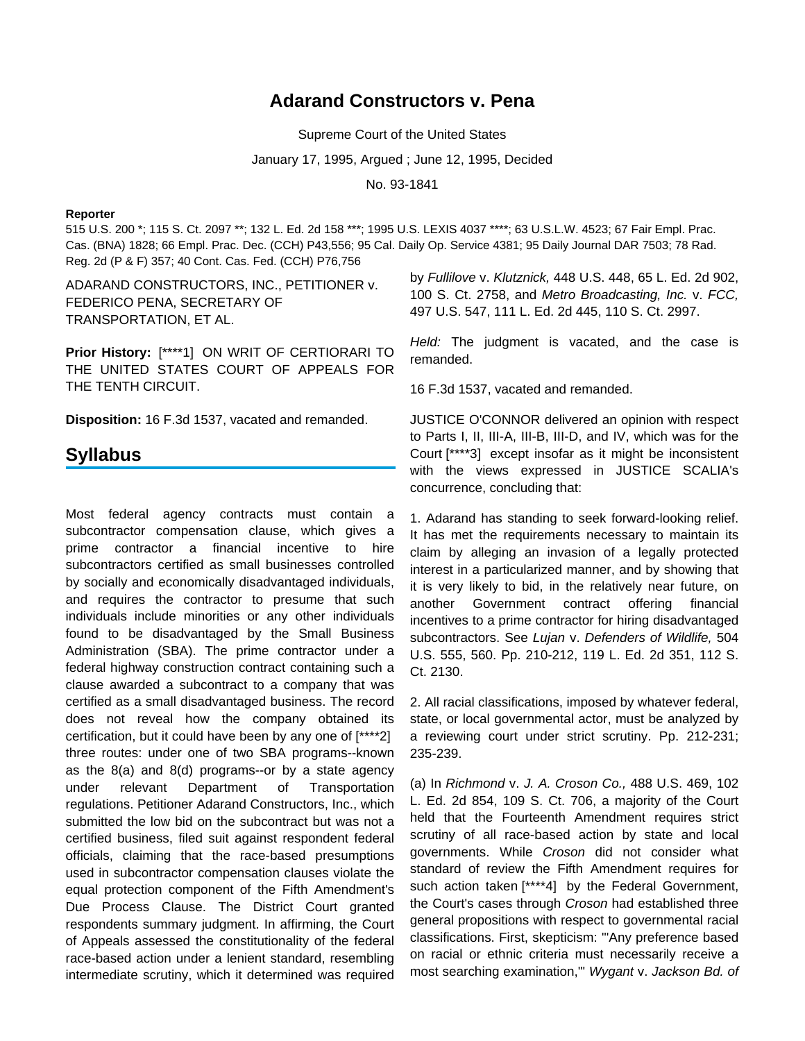# **Adarand Constructors v. Pena**

Supreme Court of the United States

January 17, 1995, Argued ; June 12, 1995, Decided

No. 93-1841

#### **Reporter**

515 U.S. 200 \*; 115 S. Ct. 2097 \*\*; 132 L. Ed. 2d 158 \*\*\*; 1995 U.S. LEXIS 4037 \*\*\*\*; 63 U.S.L.W. 4523; 67 Fair Empl. Prac. Cas. (BNA) 1828; 66 Empl. Prac. Dec. (CCH) P43,556; 95 Cal. Daily Op. Service 4381; 95 Daily Journal DAR 7503; 78 Rad. Reg. 2d (P & F) 357; 40 Cont. Cas. Fed. (CCH) P76,756

ADARAND CONSTRUCTORS, INC., PETITIONER v. FEDERICO PENA, SECRETARY OF TRANSPORTATION, ET AL.

**Prior History:** [\*\*\*\*1] ON WRIT OF CERTIORARI TO THE UNITED STATES COURT OF APPEALS FOR THE TENTH CIRCUIT.

**Disposition:** 16 F.3d 1537, vacated and remanded.

# **Syllabus**

Most federal agency contracts must contain a subcontractor compensation clause, which gives a prime contractor a financial incentive to hire subcontractors certified as small businesses controlled by socially and economically disadvantaged individuals, and requires the contractor to presume that such individuals include minorities or any other individuals found to be disadvantaged by the Small Business Administration (SBA). The prime contractor under a federal highway construction contract containing such a clause awarded a subcontract to a company that was certified as a small disadvantaged business. The record does not reveal how the company obtained its certification, but it could have been by any one of [\*\*\*\*2] three routes: under one of two SBA programs--known as the 8(a) and 8(d) programs--or by a state agency under relevant Department of Transportation regulations. Petitioner Adarand Constructors, Inc., which submitted the low bid on the subcontract but was not a certified business, filed suit against respondent federal officials, claiming that the race-based presumptions used in subcontractor compensation clauses violate the equal protection component of the Fifth Amendment's Due Process Clause. The District Court granted respondents summary judgment. In affirming, the Court of Appeals assessed the constitutionality of the federal race-based action under a lenient standard, resembling intermediate scrutiny, which it determined was required

by Fullilove v. Klutznick, 448 U.S. 448, 65 L. Ed. 2d 902, 100 S. Ct. 2758, and Metro Broadcasting, Inc. v. FCC, 497 U.S. 547, 111 L. Ed. 2d 445, 110 S. Ct. 2997.

Held: The judgment is vacated, and the case is remanded.

16 F.3d 1537, vacated and remanded.

JUSTICE O'CONNOR delivered an opinion with respect to Parts I, II, III-A, III-B, III-D, and IV, which was for the Court [\*\*\*\*3] except insofar as it might be inconsistent with the views expressed in JUSTICE SCALIA's concurrence, concluding that:

1. Adarand has standing to seek forward-looking relief. It has met the requirements necessary to maintain its claim by alleging an invasion of a legally protected interest in a particularized manner, and by showing that it is very likely to bid, in the relatively near future, on another Government contract offering financial incentives to a prime contractor for hiring disadvantaged subcontractors. See Lujan v. Defenders of Wildlife, 504 U.S. 555, 560. Pp. 210-212, 119 L. Ed. 2d 351, 112 S. Ct. 2130.

2. All racial classifications, imposed by whatever federal, state, or local governmental actor, must be analyzed by a reviewing court under strict scrutiny. Pp. 212-231; 235-239.

(a) In Richmond v. J. A. Croson Co., 488 U.S. 469, 102 L. Ed. 2d 854, 109 S. Ct. 706, a majority of the Court held that the Fourteenth Amendment requires strict scrutiny of all race-based action by state and local governments. While Croson did not consider what standard of review the Fifth Amendment requires for such action taken [\*\*\*\*4] by the Federal Government, the Court's cases through Croson had established three general propositions with respect to governmental racial classifications. First, skepticism: "'Any preference based on racial or ethnic criteria must necessarily receive a most searching examination,'" Wygant v. Jackson Bd. of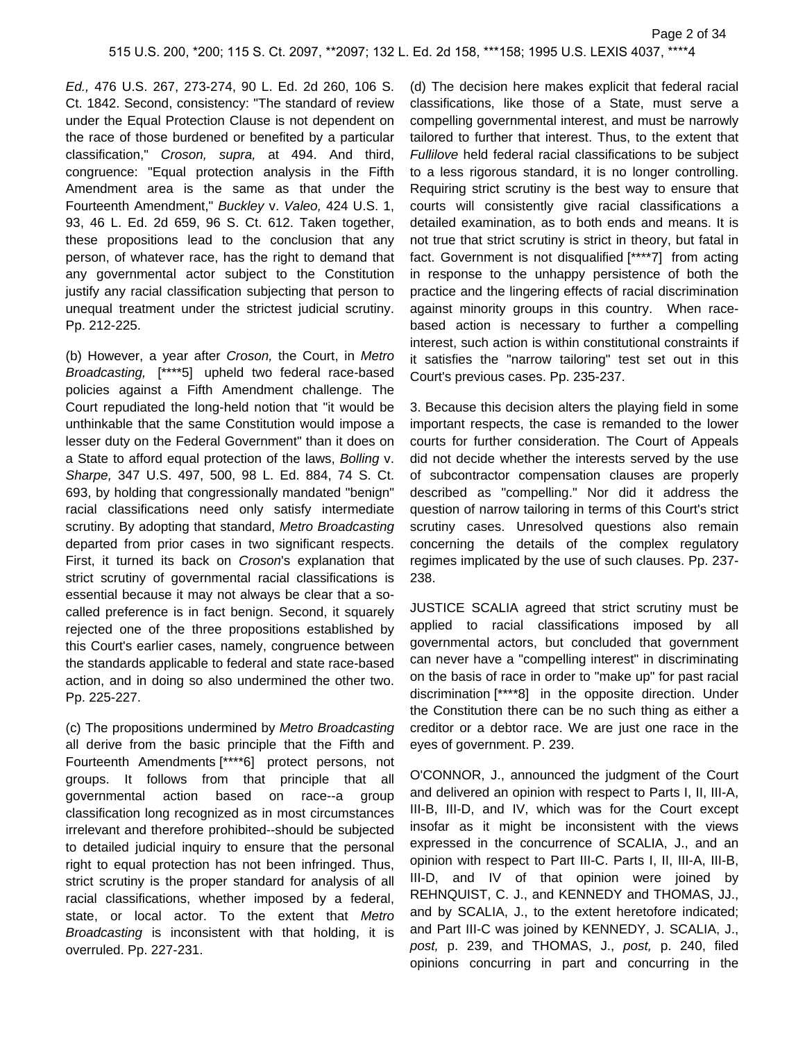Ed., 476 U.S. 267, 273-274, 90 L. Ed. 2d 260, 106 S. Ct. 1842. Second, consistency: "The standard of review under the Equal Protection Clause is not dependent on the race of those burdened or benefited by a particular classification," Croson, supra, at 494. And third, congruence: "Equal protection analysis in the Fifth Amendment area is the same as that under the Fourteenth Amendment," Buckley v. Valeo, 424 U.S. 1, 93, 46 L. Ed. 2d 659, 96 S. Ct. 612. Taken together, these propositions lead to the conclusion that any person, of whatever race, has the right to demand that any governmental actor subject to the Constitution justify any racial classification subjecting that person to unequal treatment under the strictest judicial scrutiny. Pp. 212-225.

(b) However, a year after Croson, the Court, in Metro Broadcasting, [\*\*\*\*5] upheld two federal race-based policies against a Fifth Amendment challenge. The Court repudiated the long-held notion that "it would be unthinkable that the same Constitution would impose a lesser duty on the Federal Government" than it does on a State to afford equal protection of the laws, Bolling v. Sharpe, 347 U.S. 497, 500, 98 L. Ed. 884, 74 S. Ct. 693, by holding that congressionally mandated "benign" racial classifications need only satisfy intermediate scrutiny. By adopting that standard, Metro Broadcasting departed from prior cases in two significant respects. First, it turned its back on Croson's explanation that strict scrutiny of governmental racial classifications is essential because it may not always be clear that a socalled preference is in fact benign. Second, it squarely rejected one of the three propositions established by this Court's earlier cases, namely, congruence between the standards applicable to federal and state race-based action, and in doing so also undermined the other two. Pp. 225-227.

(c) The propositions undermined by Metro Broadcasting all derive from the basic principle that the Fifth and Fourteenth Amendments [\*\*\*\*6] protect persons, not groups. It follows from that principle that all governmental action based on race--a group classification long recognized as in most circumstances irrelevant and therefore prohibited--should be subjected to detailed judicial inquiry to ensure that the personal right to equal protection has not been infringed. Thus, strict scrutiny is the proper standard for analysis of all racial classifications, whether imposed by a federal, state, or local actor. To the extent that Metro Broadcasting is inconsistent with that holding, it is overruled. Pp. 227-231.

(d) The decision here makes explicit that federal racial classifications, like those of a State, must serve a compelling governmental interest, and must be narrowly tailored to further that interest. Thus, to the extent that Fullilove held federal racial classifications to be subject to a less rigorous standard, it is no longer controlling. Requiring strict scrutiny is the best way to ensure that courts will consistently give racial classifications a detailed examination, as to both ends and means. It is not true that strict scrutiny is strict in theory, but fatal in fact. Government is not disqualified [\*\*\*\*7] from acting in response to the unhappy persistence of both the practice and the lingering effects of racial discrimination against minority groups in this country. When racebased action is necessary to further a compelling interest, such action is within constitutional constraints if it satisfies the "narrow tailoring" test set out in this Court's previous cases. Pp. 235-237.

3. Because this decision alters the playing field in some important respects, the case is remanded to the lower courts for further consideration. The Court of Appeals did not decide whether the interests served by the use of subcontractor compensation clauses are properly described as "compelling." Nor did it address the question of narrow tailoring in terms of this Court's strict scrutiny cases. Unresolved questions also remain concerning the details of the complex regulatory regimes implicated by the use of such clauses. Pp. 237- 238.

JUSTICE SCALIA agreed that strict scrutiny must be applied to racial classifications imposed by all governmental actors, but concluded that government can never have a "compelling interest" in discriminating on the basis of race in order to "make up" for past racial discrimination [\*\*\*\*8] in the opposite direction. Under the Constitution there can be no such thing as either a creditor or a debtor race. We are just one race in the eyes of government. P. 239.

O'CONNOR, J., announced the judgment of the Court and delivered an opinion with respect to Parts I, II, III-A, III-B, III-D, and IV, which was for the Court except insofar as it might be inconsistent with the views expressed in the concurrence of SCALIA, J., and an opinion with respect to Part III-C. Parts I, II, III-A, III-B, III-D, and IV of that opinion were joined by REHNQUIST, C. J., and KENNEDY and THOMAS, JJ., and by SCALIA, J., to the extent heretofore indicated; and Part III-C was joined by KENNEDY, J. SCALIA, J., post, p. 239, and THOMAS, J., post, p. 240, filed opinions concurring in part and concurring in the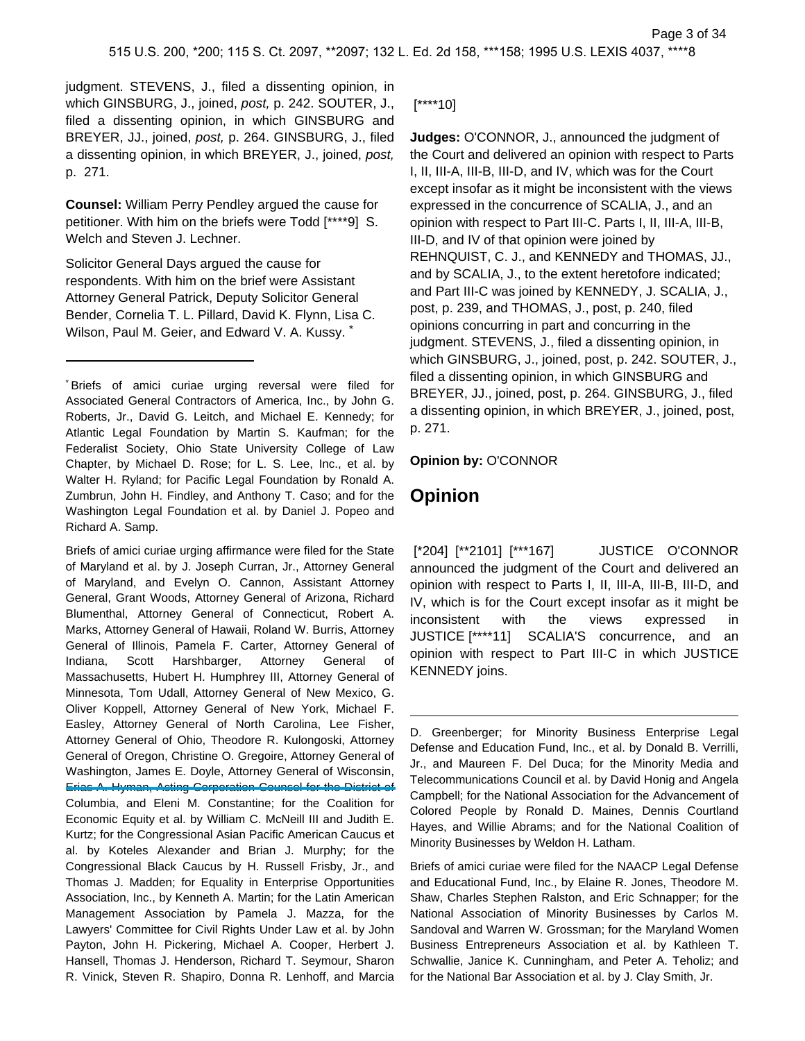judgment. STEVENS, J., filed a dissenting opinion, in which GINSBURG, J., joined, post, p. 242. SOUTER, J., filed a dissenting opinion, in which GINSBURG and BREYER, JJ., joined, post, p. 264. GINSBURG, J., filed a dissenting opinion, in which BREYER, J., joined, post, p. 271.

**Counsel:** William Perry Pendley argued the cause for petitioner. With him on the briefs were Todd [\*\*\*\*9] S. Welch and Steven J. Lechner.

Solicitor General Days argued the cause for respondents. With him on the brief were Assistant Attorney General Patrick, Deputy Solicitor General Bender, Cornelia T. L. Pillard, David K. Flynn, Lisa C. Wilson, Paul M. Geier, and Edward V. A. Kussy.

\* Briefs of amici curiae urging reversal were filed for Associated General Contractors of America, Inc., by John G. Roberts, Jr., David G. Leitch, and Michael E. Kennedy; for Atlantic Legal Foundation by Martin S. Kaufman; for the Federalist Society, Ohio State University College of Law Chapter, by Michael D. Rose; for L. S. Lee, Inc., et al. by Walter H. Ryland; for Pacific Legal Foundation by Ronald A. Zumbrun, John H. Findley, and Anthony T. Caso; and for the Washington Legal Foundation et al. by Daniel J. Popeo and Richard A. Samp.

Briefs of amici curiae urging affirmance were filed for the State of Maryland et al. by J. Joseph Curran, Jr., Attorney General of Maryland, and Evelyn O. Cannon, Assistant Attorney General, Grant Woods, Attorney General of Arizona, Richard Blumenthal, Attorney General of Connecticut, Robert A. Marks, Attorney General of Hawaii, Roland W. Burris, Attorney General of Illinois, Pamela F. Carter, Attorney General of Indiana, Scott Harshbarger, Attorney General of Massachusetts, Hubert H. Humphrey III, Attorney General of Minnesota, Tom Udall, Attorney General of New Mexico, G. Oliver Koppell, Attorney General of New York, Michael F. Easley, Attorney General of North Carolina, Lee Fisher, Attorney General of Ohio, Theodore R. Kulongoski, Attorney General of Oregon, Christine O. Gregoire, Attorney General of Washington, James E. Doyle, Attorney General of Wisconsin, Erias A. Hyman, Acting Corporation Counsel for the District of Columbia, and Eleni M. Constantine; for the Coalition for Economic Equity et al. by William C. McNeill III and Judith E. Kurtz; for the Congressional Asian Pacific American Caucus et al. by Koteles Alexander and Brian J. Murphy; for the Congressional Black Caucus by H. Russell Frisby, Jr., and Thomas J. Madden; for Equality in Enterprise Opportunities Association, Inc., by Kenneth A. Martin; for the Latin American Management Association by Pamela J. Mazza, for the Lawyers' Committee for Civil Rights Under Law et al. by John Payton, John H. Pickering, Michael A. Cooper, Herbert J. Hansell, Thomas J. Henderson, Richard T. Seymour, Sharon R. Vinick, Steven R. Shapiro, Donna R. Lenhoff, and Marcia

## [\*\*\*\*10]

**Judges:** O'CONNOR, J., announced the judgment of the Court and delivered an opinion with respect to Parts I, II, III-A, III-B, III-D, and IV, which was for the Court except insofar as it might be inconsistent with the views expressed in the concurrence of SCALIA, J., and an opinion with respect to Part III-C. Parts I, II, III-A, III-B, III-D, and IV of that opinion were joined by REHNQUIST, C. J., and KENNEDY and THOMAS, JJ., and by SCALIA, J., to the extent heretofore indicated; and Part III-C was joined by KENNEDY, J. SCALIA, J., post, p. 239, and THOMAS, J., post, p. 240, filed opinions concurring in part and concurring in the judgment. STEVENS, J., filed a dissenting opinion, in which GINSBURG, J., joined, post, p. 242. SOUTER, J., filed a dissenting opinion, in which GINSBURG and BREYER, JJ., joined, post, p. 264. GINSBURG, J., filed a dissenting opinion, in which BREYER, J., joined, post, p. 271.

Page 3 of 34

## **Opinion by:** O'CONNOR

# **Opinion**

 [\*204] [\*\*2101] [\*\*\*167] JUSTICE O'CONNOR announced the judgment of the Court and delivered an opinion with respect to Parts I, II, III-A, III-B, III-D, and IV, which is for the Court except insofar as it might be inconsistent with the views expressed in JUSTICE [\*\*\*\*11] SCALIA'S concurrence, and an opinion with respect to Part III-C in which JUSTICE KENNEDY joins.

D. Greenberger; for Minority Business Enterprise Legal Defense and Education Fund, Inc., et al. by Donald B. Verrilli, Jr., and Maureen F. Del Duca; for the Minority Media and Telecommunications Council et al. by David Honig and Angela Campbell; for the National Association for the Advancement of Colored People by Ronald D. Maines, Dennis Courtland Hayes, and Willie Abrams; and for the National Coalition of Minority Businesses by Weldon H. Latham.

Briefs of amici curiae were filed for the NAACP Legal Defense and Educational Fund, Inc., by Elaine R. Jones, Theodore M. Shaw, Charles Stephen Ralston, and Eric Schnapper; for the National Association of Minority Businesses by Carlos M. Sandoval and Warren W. Grossman; for the Maryland Women Business Entrepreneurs Association et al. by Kathleen T. Schwallie, Janice K. Cunningham, and Peter A. Teholiz; and for the National Bar Association et al. by J. Clay Smith, Jr.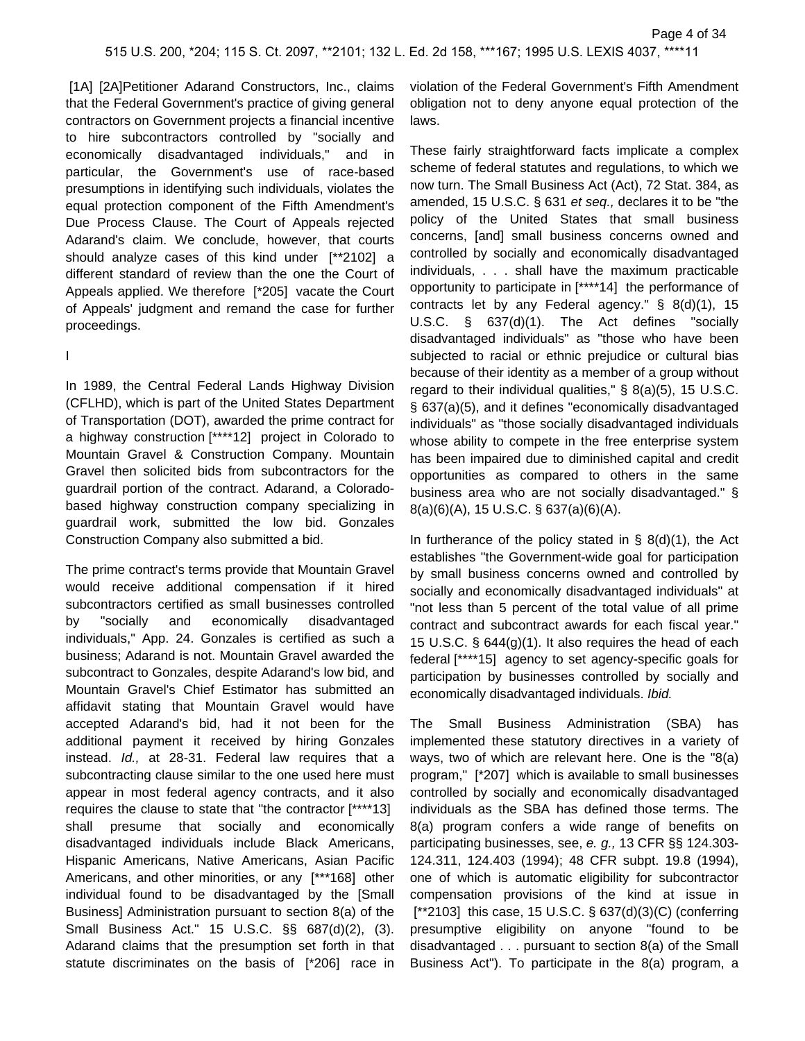[1A] [2A]Petitioner Adarand Constructors, Inc., claims that the Federal Government's practice of giving general contractors on Government projects a financial incentive to hire subcontractors controlled by "socially and economically disadvantaged individuals," and in particular, the Government's use of race-based presumptions in identifying such individuals, violates the equal protection component of the Fifth Amendment's Due Process Clause. The Court of Appeals rejected Adarand's claim. We conclude, however, that courts should analyze cases of this kind under [\*\*2102] a different standard of review than the one the Court of Appeals applied. We therefore [\*205] vacate the Court of Appeals' judgment and remand the case for further proceedings.

### I

In 1989, the Central Federal Lands Highway Division (CFLHD), which is part of the United States Department of Transportation (DOT), awarded the prime contract for a highway construction [\*\*\*\*12] project in Colorado to Mountain Gravel & Construction Company. Mountain Gravel then solicited bids from subcontractors for the guardrail portion of the contract. Adarand, a Coloradobased highway construction company specializing in guardrail work, submitted the low bid. Gonzales Construction Company also submitted a bid.

The prime contract's terms provide that Mountain Gravel would receive additional compensation if it hired subcontractors certified as small businesses controlled by "socially and economically disadvantaged individuals," App. 24. Gonzales is certified as such a business; Adarand is not. Mountain Gravel awarded the subcontract to Gonzales, despite Adarand's low bid, and Mountain Gravel's Chief Estimator has submitted an affidavit stating that Mountain Gravel would have accepted Adarand's bid, had it not been for the additional payment it received by hiring Gonzales instead. Id., at 28-31. Federal law requires that a subcontracting clause similar to the one used here must appear in most federal agency contracts, and it also requires the clause to state that "the contractor [\*\*\*\*13] shall presume that socially and economically disadvantaged individuals include Black Americans, Hispanic Americans, Native Americans, Asian Pacific Americans, and other minorities, or any [\*\*\*168] other individual found to be disadvantaged by the [Small Business] Administration pursuant to section 8(a) of the Small Business Act." 15 U.S.C. §§ 687(d)(2), (3). Adarand claims that the presumption set forth in that statute discriminates on the basis of [\*206] race in

violation of the Federal Government's Fifth Amendment obligation not to deny anyone equal protection of the laws.

These fairly straightforward facts implicate a complex scheme of federal statutes and regulations, to which we now turn. The Small Business Act (Act), 72 Stat. 384, as amended, 15 U.S.C. § 631 et seq., declares it to be "the policy of the United States that small business concerns, [and] small business concerns owned and controlled by socially and economically disadvantaged individuals, . . . shall have the maximum practicable opportunity to participate in [\*\*\*\*14] the performance of contracts let by any Federal agency." § 8(d)(1), 15 U.S.C. § 637(d)(1). The Act defines "socially disadvantaged individuals" as "those who have been subjected to racial or ethnic prejudice or cultural bias because of their identity as a member of a group without regard to their individual qualities," § 8(a)(5), 15 U.S.C. § 637(a)(5), and it defines "economically disadvantaged individuals" as "those socially disadvantaged individuals whose ability to compete in the free enterprise system has been impaired due to diminished capital and credit opportunities as compared to others in the same business area who are not socially disadvantaged." § 8(a)(6)(A), 15 U.S.C. § 637(a)(6)(A).

In furtherance of the policy stated in  $\S$  8(d)(1), the Act establishes "the Government-wide goal for participation by small business concerns owned and controlled by socially and economically disadvantaged individuals" at "not less than 5 percent of the total value of all prime contract and subcontract awards for each fiscal year." 15 U.S.C. § 644(g)(1). It also requires the head of each federal [\*\*\*\*15] agency to set agency-specific goals for participation by businesses controlled by socially and economically disadvantaged individuals. Ibid.

The Small Business Administration (SBA) has implemented these statutory directives in a variety of ways, two of which are relevant here. One is the "8(a) program," [\*207] which is available to small businesses controlled by socially and economically disadvantaged individuals as the SBA has defined those terms. The 8(a) program confers a wide range of benefits on participating businesses, see, e. g., 13 CFR §§ 124.303- 124.311, 124.403 (1994); 48 CFR subpt. 19.8 (1994), one of which is automatic eligibility for subcontractor compensation provisions of the kind at issue in [\*\*2103] this case, 15 U.S.C. § 637(d)(3)(C) (conferring presumptive eligibility on anyone "found to be disadvantaged . . . pursuant to section 8(a) of the Small Business Act"). To participate in the 8(a) program, a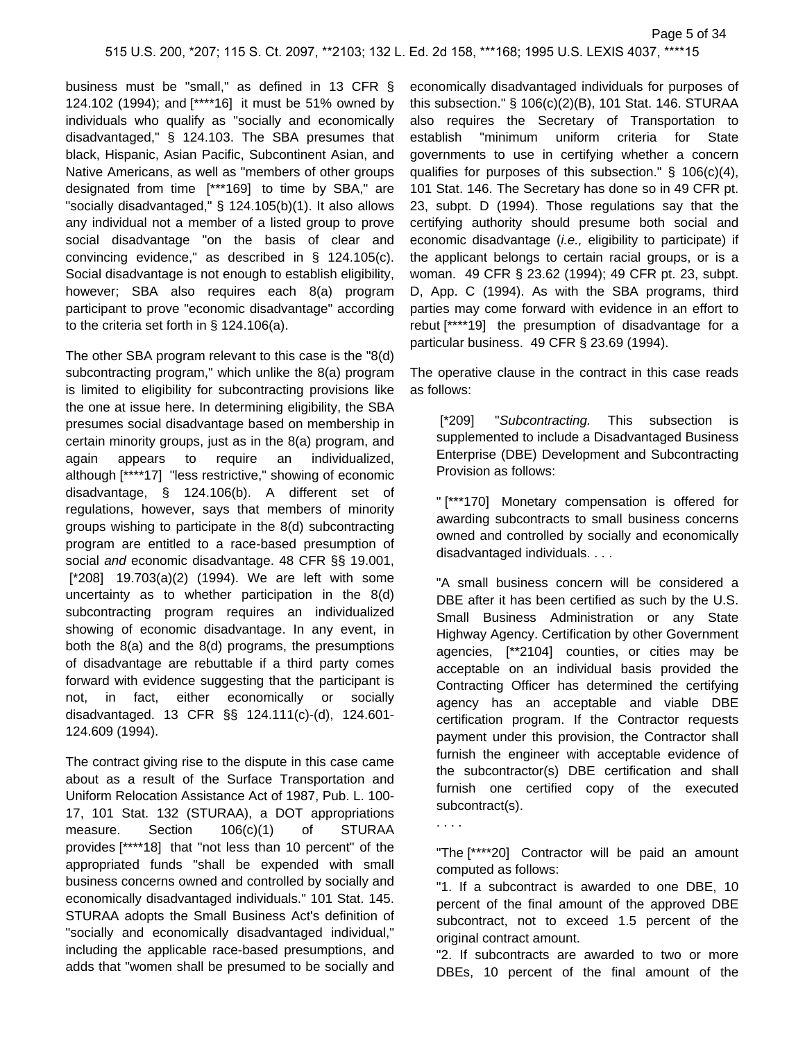business must be "small," as defined in 13 CFR § 124.102 (1994); and [\*\*\*\*16] it must be 51% owned by individuals who qualify as "socially and economically disadvantaged," § 124.103. The SBA presumes that black, Hispanic, Asian Pacific, Subcontinent Asian, and Native Americans, as well as "members of other groups designated from time [\*\*\*169] to time by SBA," are "socially disadvantaged," § 124.105(b)(1). It also allows any individual not a member of a listed group to prove social disadvantage "on the basis of clear and convincing evidence," as described in § 124.105(c). Social disadvantage is not enough to establish eligibility, however; SBA also requires each 8(a) program participant to prove "economic disadvantage" according to the criteria set forth in § 124.106(a).

The other SBA program relevant to this case is the "8(d) subcontracting program," which unlike the 8(a) program is limited to eligibility for subcontracting provisions like the one at issue here. In determining eligibility, the SBA presumes social disadvantage based on membership in certain minority groups, just as in the 8(a) program, and again appears to require an individualized, although [\*\*\*\*17] "less restrictive," showing of economic disadvantage, § 124.106(b). A different set of regulations, however, says that members of minority groups wishing to participate in the 8(d) subcontracting program are entitled to a race-based presumption of social and economic disadvantage. 48 CFR §§ 19.001, [\*208] 19.703(a)(2) (1994). We are left with some uncertainty as to whether participation in the 8(d) subcontracting program requires an individualized showing of economic disadvantage. In any event, in both the 8(a) and the 8(d) programs, the presumptions of disadvantage are rebuttable if a third party comes forward with evidence suggesting that the participant is not, in fact, either economically or socially disadvantaged. 13 CFR §§ 124.111(c)-(d), 124.601- 124.609 (1994).

The contract giving rise to the dispute in this case came about as a result of the Surface Transportation and Uniform Relocation Assistance Act of 1987, Pub. L. 100- 17, 101 Stat. 132 (STURAA), a DOT appropriations measure. Section 106(c)(1) of STURAA provides [\*\*\*\*18] that "not less than 10 percent" of the appropriated funds "shall be expended with small business concerns owned and controlled by socially and economically disadvantaged individuals." 101 Stat. 145. STURAA adopts the Small Business Act's definition of "socially and economically disadvantaged individual," including the applicable race-based presumptions, and adds that "women shall be presumed to be socially and

economically disadvantaged individuals for purposes of this subsection." § 106(c)(2)(B), 101 Stat. 146. STURAA also requires the Secretary of Transportation to establish "minimum uniform criteria for State governments to use in certifying whether a concern qualifies for purposes of this subsection." § 106(c)(4), 101 Stat. 146. The Secretary has done so in 49 CFR pt. 23, subpt. D (1994). Those regulations say that the certifying authority should presume both social and economic disadvantage (*i.e.*, eligibility to participate) if the applicant belongs to certain racial groups, or is a woman. 49 CFR § 23.62 (1994); 49 CFR pt. 23, subpt. D, App. C (1994). As with the SBA programs, third parties may come forward with evidence in an effort to rebut [\*\*\*\*19] the presumption of disadvantage for a particular business. 49 CFR § 23.69 (1994).

The operative clause in the contract in this case reads as follows:

[\*209] "Subcontracting. This subsection is supplemented to include a Disadvantaged Business Enterprise (DBE) Development and Subcontracting Provision as follows:

" [\*\*\*170] Monetary compensation is offered for awarding subcontracts to small business concerns owned and controlled by socially and economically disadvantaged individuals. . . .

"A small business concern will be considered a DBE after it has been certified as such by the U.S. Small Business Administration or any State Highway Agency. Certification by other Government agencies, [\*\*2104] counties, or cities may be acceptable on an individual basis provided the Contracting Officer has determined the certifying agency has an acceptable and viable DBE certification program. If the Contractor requests payment under this provision, the Contractor shall furnish the engineer with acceptable evidence of the subcontractor(s) DBE certification and shall furnish one certified copy of the executed subcontract(s).

- . . . .
- "The [\*\*\*\*20] Contractor will be paid an amount computed as follows:
- "1. If a subcontract is awarded to one DBE, 10 percent of the final amount of the approved DBE subcontract, not to exceed 1.5 percent of the original contract amount.

"2. If subcontracts are awarded to two or more DBEs, 10 percent of the final amount of the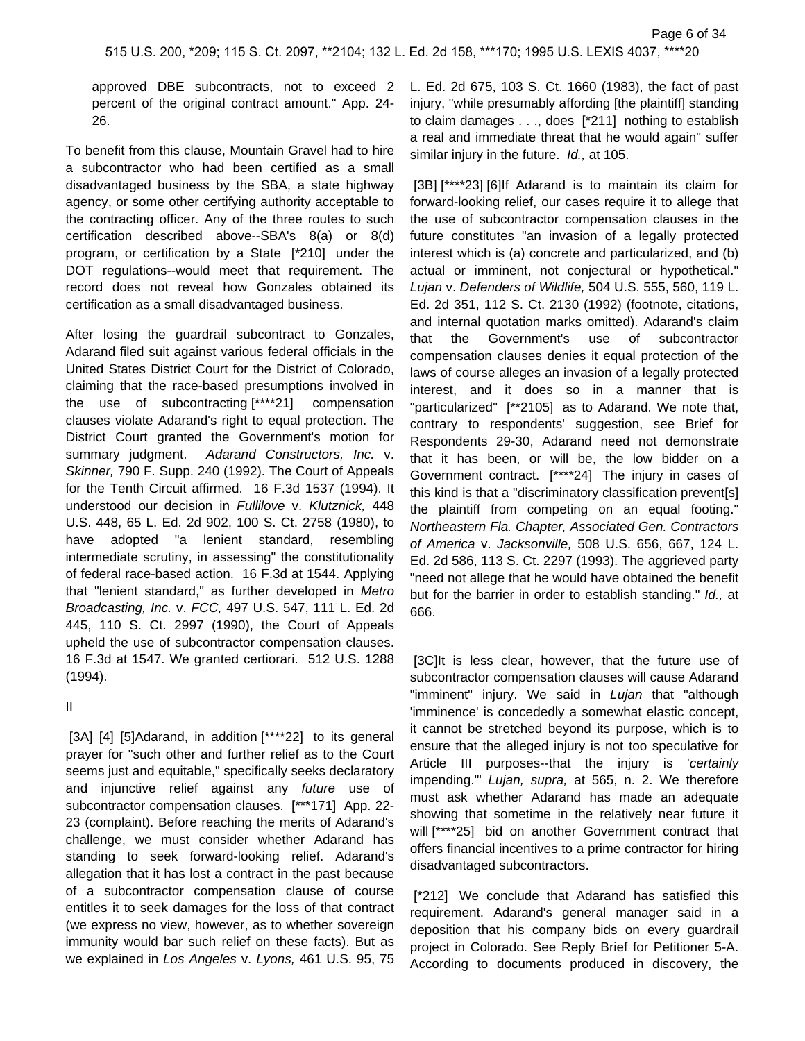approved DBE subcontracts, not to exceed 2 percent of the original contract amount." App. 24- 26.

To benefit from this clause, Mountain Gravel had to hire a subcontractor who had been certified as a small disadvantaged business by the SBA, a state highway agency, or some other certifying authority acceptable to the contracting officer. Any of the three routes to such certification described above--SBA's 8(a) or 8(d) program, or certification by a State [\*210] under the DOT regulations--would meet that requirement. The record does not reveal how Gonzales obtained its certification as a small disadvantaged business.

After losing the guardrail subcontract to Gonzales, Adarand filed suit against various federal officials in the United States District Court for the District of Colorado, claiming that the race-based presumptions involved in the use of subcontracting [\*\*\*\*21] compensation clauses violate Adarand's right to equal protection. The District Court granted the Government's motion for summary judgment. Adarand Constructors, Inc. v. Skinner, 790 F. Supp. 240 (1992). The Court of Appeals for the Tenth Circuit affirmed. 16 F.3d 1537 (1994). It understood our decision in Fullilove v. Klutznick, 448 U.S. 448, 65 L. Ed. 2d 902, 100 S. Ct. 2758 (1980), to have adopted "a lenient standard, resembling intermediate scrutiny, in assessing" the constitutionality of federal race-based action. 16 F.3d at 1544. Applying that "lenient standard," as further developed in Metro Broadcasting, Inc. v. FCC, 497 U.S. 547, 111 L. Ed. 2d 445, 110 S. Ct. 2997 (1990), the Court of Appeals upheld the use of subcontractor compensation clauses. 16 F.3d at 1547. We granted certiorari. 512 U.S. 1288 (1994).

II

[3A] [4] [5]Adarand, in addition [\*\*\*\*22] to its general prayer for "such other and further relief as to the Court seems just and equitable," specifically seeks declaratory and injunctive relief against any future use of subcontractor compensation clauses. [\*\*\*171] App. 22- 23 (complaint). Before reaching the merits of Adarand's challenge, we must consider whether Adarand has standing to seek forward-looking relief. Adarand's allegation that it has lost a contract in the past because of a subcontractor compensation clause of course entitles it to seek damages for the loss of that contract (we express no view, however, as to whether sovereign immunity would bar such relief on these facts). But as we explained in Los Angeles v. Lyons, 461 U.S. 95, 75

L. Ed. 2d 675, 103 S. Ct. 1660 (1983), the fact of past injury, "while presumably affording [the plaintiff] standing to claim damages . . ., does [\*211] nothing to establish a real and immediate threat that he would again" suffer similar injury in the future. Id., at 105.

[3B] [\*\*\*\*23] [6] If Adarand is to maintain its claim for forward-looking relief, our cases require it to allege that the use of subcontractor compensation clauses in the future constitutes "an invasion of a legally protected interest which is (a) concrete and particularized, and (b) actual or imminent, not conjectural or hypothetical." Lujan v. Defenders of Wildlife, 504 U.S. 555, 560, 119 L. Ed. 2d 351, 112 S. Ct. 2130 (1992) (footnote, citations, and internal quotation marks omitted). Adarand's claim that the Government's use of subcontractor compensation clauses denies it equal protection of the laws of course alleges an invasion of a legally protected interest, and it does so in a manner that is "particularized" [\*\*2105] as to Adarand. We note that, contrary to respondents' suggestion, see Brief for Respondents 29-30, Adarand need not demonstrate that it has been, or will be, the low bidder on a Government contract. [\*\*\*\*24] The injury in cases of this kind is that a "discriminatory classification prevent[s] the plaintiff from competing on an equal footing." Northeastern Fla. Chapter, Associated Gen. Contractors of America v. Jacksonville, 508 U.S. 656, 667, 124 L. Ed. 2d 586, 113 S. Ct. 2297 (1993). The aggrieved party "need not allege that he would have obtained the benefit but for the barrier in order to establish standing." Id., at 666.

[3C]It is less clear, however, that the future use of subcontractor compensation clauses will cause Adarand "imminent" injury. We said in Lujan that "although 'imminence' is concededly a somewhat elastic concept, it cannot be stretched beyond its purpose, which is to ensure that the alleged injury is not too speculative for Article III purposes--that the injury is 'certainly impending." Lujan, supra, at 565, n. 2. We therefore must ask whether Adarand has made an adequate showing that sometime in the relatively near future it will [\*\*\*\*25] bid on another Government contract that offers financial incentives to a prime contractor for hiring disadvantaged subcontractors.

 [\*212] We conclude that Adarand has satisfied this requirement. Adarand's general manager said in a deposition that his company bids on every guardrail project in Colorado. See Reply Brief for Petitioner 5-A. According to documents produced in discovery, the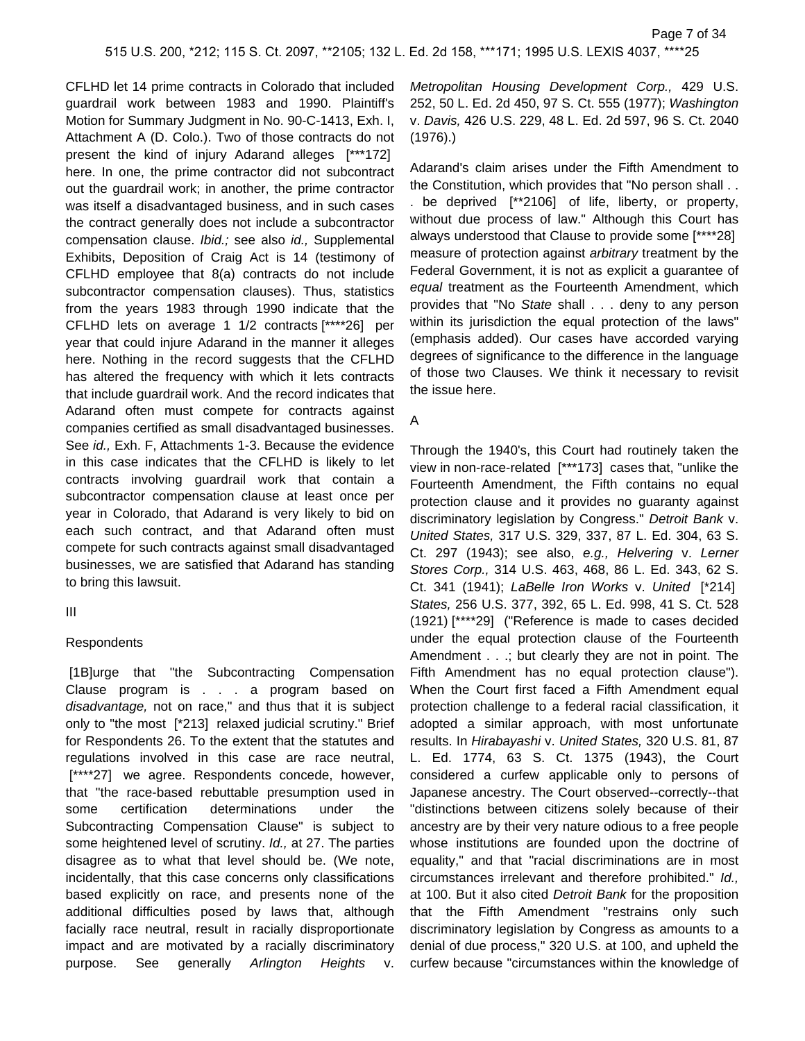CFLHD let 14 prime contracts in Colorado that included guardrail work between 1983 and 1990. Plaintiff's Motion for Summary Judgment in No. 90-C-1413, Exh. I, Attachment A (D. Colo.). Two of those contracts do not present the kind of injury Adarand alleges [\*\*\*172] here. In one, the prime contractor did not subcontract out the guardrail work; in another, the prime contractor was itself a disadvantaged business, and in such cases the contract generally does not include a subcontractor compensation clause. Ibid.; see also id., Supplemental Exhibits, Deposition of Craig Act is 14 (testimony of CFLHD employee that 8(a) contracts do not include subcontractor compensation clauses). Thus, statistics from the years 1983 through 1990 indicate that the CFLHD lets on average 1 1/2 contracts [\*\*\*\*26] per year that could injure Adarand in the manner it alleges here. Nothing in the record suggests that the CFLHD has altered the frequency with which it lets contracts that include guardrail work. And the record indicates that Adarand often must compete for contracts against companies certified as small disadvantaged businesses. See id., Exh. F, Attachments 1-3. Because the evidence in this case indicates that the CFLHD is likely to let contracts involving guardrail work that contain a subcontractor compensation clause at least once per year in Colorado, that Adarand is very likely to bid on each such contract, and that Adarand often must compete for such contracts against small disadvantaged businesses, we are satisfied that Adarand has standing to bring this lawsuit.

III

## **Respondents**

 [1B]urge that "the Subcontracting Compensation Clause program is . . . a program based on disadvantage, not on race," and thus that it is subject only to "the most [\*213] relaxed judicial scrutiny." Brief for Respondents 26. To the extent that the statutes and regulations involved in this case are race neutral, [\*\*\*\*27] we agree. Respondents concede, however, that "the race-based rebuttable presumption used in some certification determinations under the Subcontracting Compensation Clause" is subject to some heightened level of scrutiny. Id., at 27. The parties disagree as to what that level should be. (We note, incidentally, that this case concerns only classifications based explicitly on race, and presents none of the additional difficulties posed by laws that, although facially race neutral, result in racially disproportionate impact and are motivated by a racially discriminatory purpose. See generally Arlington Heights v.

Metropolitan Housing Development Corp., 429 U.S. 252, 50 L. Ed. 2d 450, 97 S. Ct. 555 (1977); Washington v. Davis, 426 U.S. 229, 48 L. Ed. 2d 597, 96 S. Ct. 2040 (1976).)

Page 7 of 34

Adarand's claim arises under the Fifth Amendment to the Constitution, which provides that "No person shall . . . be deprived [\*\*2106] of life, liberty, or property, without due process of law." Although this Court has always understood that Clause to provide some [\*\*\*\*28] measure of protection against arbitrary treatment by the Federal Government, it is not as explicit a guarantee of equal treatment as the Fourteenth Amendment, which provides that "No State shall . . . deny to any person within its jurisdiction the equal protection of the laws" (emphasis added). Our cases have accorded varying degrees of significance to the difference in the language of those two Clauses. We think it necessary to revisit the issue here.

### A

Through the 1940's, this Court had routinely taken the view in non-race-related [\*\*\*173] cases that, "unlike the Fourteenth Amendment, the Fifth contains no equal protection clause and it provides no guaranty against discriminatory legislation by Congress." Detroit Bank v. United States, 317 U.S. 329, 337, 87 L. Ed. 304, 63 S. Ct. 297 (1943); see also, e.g., Helvering v. Lerner Stores Corp., 314 U.S. 463, 468, 86 L. Ed. 343, 62 S. Ct. 341 (1941); LaBelle Iron Works v. United [\*214] States, 256 U.S. 377, 392, 65 L. Ed. 998, 41 S. Ct. 528 (1921) [\*\*\*\*29] ("Reference is made to cases decided under the equal protection clause of the Fourteenth Amendment . . .; but clearly they are not in point. The Fifth Amendment has no equal protection clause"). When the Court first faced a Fifth Amendment equal protection challenge to a federal racial classification, it adopted a similar approach, with most unfortunate results. In Hirabayashi v. United States, 320 U.S. 81, 87 L. Ed. 1774, 63 S. Ct. 1375 (1943), the Court considered a curfew applicable only to persons of Japanese ancestry. The Court observed--correctly--that "distinctions between citizens solely because of their ancestry are by their very nature odious to a free people whose institutions are founded upon the doctrine of equality," and that "racial discriminations are in most circumstances irrelevant and therefore prohibited." Id., at 100. But it also cited Detroit Bank for the proposition that the Fifth Amendment "restrains only such discriminatory legislation by Congress as amounts to a denial of due process," 320 U.S. at 100, and upheld the curfew because "circumstances within the knowledge of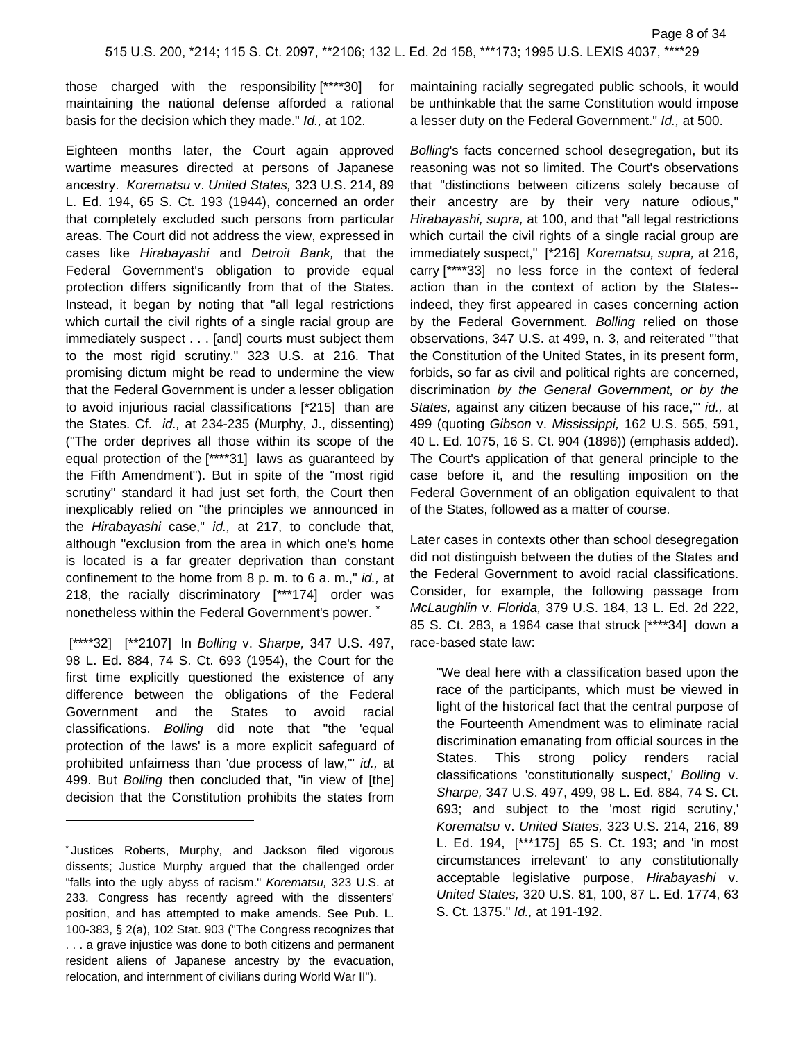those charged with the responsibility [\*\*\*\*30] for maintaining the national defense afforded a rational basis for the decision which they made." Id., at 102.

Eighteen months later, the Court again approved wartime measures directed at persons of Japanese ancestry. Korematsu v. United States, 323 U.S. 214, 89 L. Ed. 194, 65 S. Ct. 193 (1944), concerned an order that completely excluded such persons from particular areas. The Court did not address the view, expressed in cases like Hirabayashi and Detroit Bank, that the Federal Government's obligation to provide equal protection differs significantly from that of the States. Instead, it began by noting that "all legal restrictions which curtail the civil rights of a single racial group are immediately suspect . . . [and] courts must subject them to the most rigid scrutiny." 323 U.S. at 216. That promising dictum might be read to undermine the view that the Federal Government is under a lesser obligation to avoid injurious racial classifications [\*215] than are the States. Cf. id., at 234-235 (Murphy, J., dissenting) ("The order deprives all those within its scope of the equal protection of the [\*\*\*\*31] laws as guaranteed by the Fifth Amendment"). But in spite of the "most rigid scrutiny" standard it had just set forth, the Court then inexplicably relied on "the principles we announced in the Hirabayashi case," id., at 217, to conclude that, although "exclusion from the area in which one's home is located is a far greater deprivation than constant confinement to the home from 8 p.m. to 6 a.m.," id., at 218, the racially discriminatory [\*\*\*174] order was nonetheless within the Federal Government's power. \*

[\*\*\*\*32] [\*\*2107] In Bolling v. Sharpe, 347 U.S. 497, 98 L. Ed. 884, 74 S. Ct. 693 (1954), the Court for the first time explicitly questioned the existence of any difference between the obligations of the Federal Government and the States to avoid racial classifications. Bolling did note that "the 'equal protection of the laws' is a more explicit safeguard of prohibited unfairness than 'due process of law,'" id., at 499. But Bolling then concluded that, "in view of [the] decision that the Constitution prohibits the states from

maintaining racially segregated public schools, it would be unthinkable that the same Constitution would impose a lesser duty on the Federal Government." Id., at 500.

Bolling's facts concerned school desegregation, but its reasoning was not so limited. The Court's observations that "distinctions between citizens solely because of their ancestry are by their very nature odious," Hirabayashi, supra, at 100, and that "all legal restrictions which curtail the civil rights of a single racial group are immediately suspect," [\*216] Korematsu, supra, at 216, carry [\*\*\*\*33] no less force in the context of federal action than in the context of action by the States- indeed, they first appeared in cases concerning action by the Federal Government. Bolling relied on those observations, 347 U.S. at 499, n. 3, and reiterated "'that the Constitution of the United States, in its present form, forbids, so far as civil and political rights are concerned, discrimination by the General Government, or by the States, against any citizen because of his race," id., at 499 (quoting Gibson v. Mississippi, 162 U.S. 565, 591, 40 L. Ed. 1075, 16 S. Ct. 904 (1896)) (emphasis added). The Court's application of that general principle to the case before it, and the resulting imposition on the Federal Government of an obligation equivalent to that of the States, followed as a matter of course.

Later cases in contexts other than school desegregation did not distinguish between the duties of the States and the Federal Government to avoid racial classifications. Consider, for example, the following passage from McLaughlin v. Florida, 379 U.S. 184, 13 L. Ed. 2d 222, 85 S. Ct. 283, a 1964 case that struck [\*\*\*\*34] down a race-based state law:

"We deal here with a classification based upon the race of the participants, which must be viewed in light of the historical fact that the central purpose of the Fourteenth Amendment was to eliminate racial discrimination emanating from official sources in the States. This strong policy renders racial classifications 'constitutionally suspect,' Bolling v. Sharpe, 347 U.S. 497, 499, 98 L. Ed. 884, 74 S. Ct. 693; and subject to the 'most rigid scrutiny,' Korematsu v. United States, 323 U.S. 214, 216, 89 L. Ed. 194, [\*\*\*175] 65 S. Ct. 193; and 'in most circumstances irrelevant' to any constitutionally acceptable legislative purpose, Hirabayashi v. United States, 320 U.S. 81, 100, 87 L. Ed. 1774, 63 S. Ct. 1375." Id., at 191-192.

<sup>\*</sup> Justices Roberts, Murphy, and Jackson filed vigorous dissents; Justice Murphy argued that the challenged order "falls into the ugly abyss of racism." Korematsu, 323 U.S. at 233. Congress has recently agreed with the dissenters' position, and has attempted to make amends. See Pub. L. 100-383, § 2(a), 102 Stat. 903 ("The Congress recognizes that . . . a grave injustice was done to both citizens and permanent resident aliens of Japanese ancestry by the evacuation, relocation, and internment of civilians during World War II").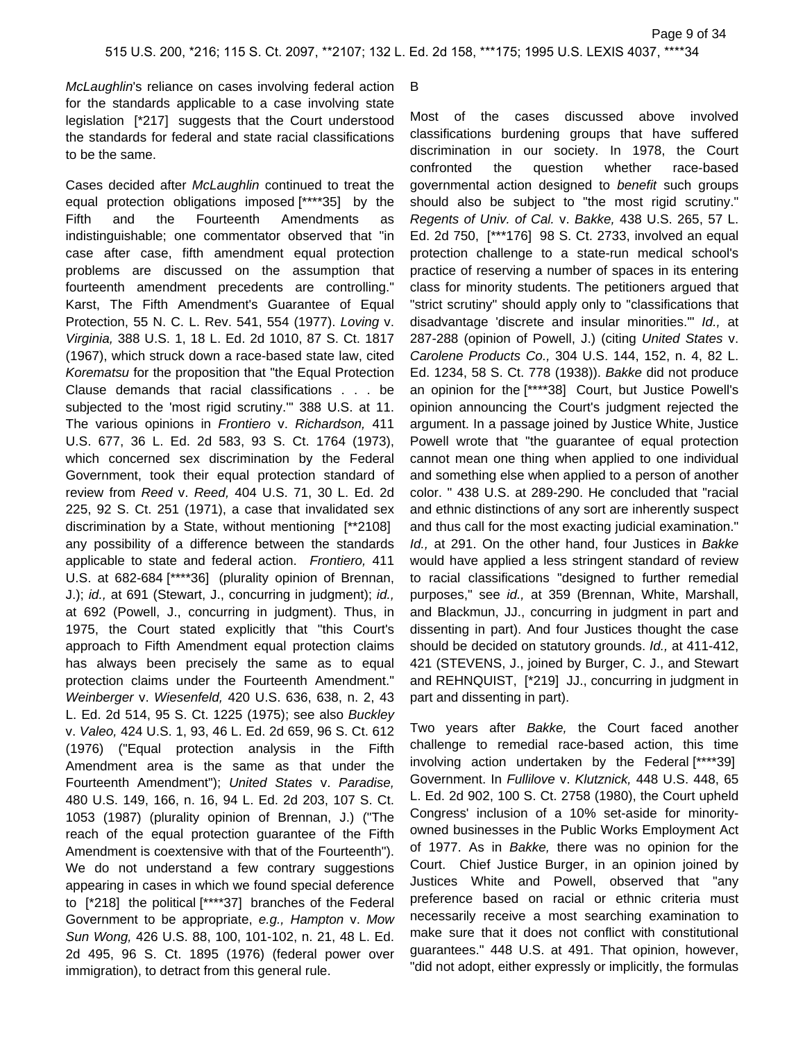McLaughlin's reliance on cases involving federal action for the standards applicable to a case involving state legislation [\*217] suggests that the Court understood the standards for federal and state racial classifications to be the same.

Cases decided after McLaughlin continued to treat the equal protection obligations imposed [\*\*\*\*35] by the Fifth and the Fourteenth Amendments as indistinguishable; one commentator observed that "in case after case, fifth amendment equal protection problems are discussed on the assumption that fourteenth amendment precedents are controlling." Karst, The Fifth Amendment's Guarantee of Equal Protection, 55 N. C. L. Rev. 541, 554 (1977). Loving v. Virginia, 388 U.S. 1, 18 L. Ed. 2d 1010, 87 S. Ct. 1817 (1967), which struck down a race-based state law, cited Korematsu for the proposition that "the Equal Protection Clause demands that racial classifications . . . be subjected to the 'most rigid scrutiny.'" 388 U.S. at 11. The various opinions in Frontiero v. Richardson, 411 U.S. 677, 36 L. Ed. 2d 583, 93 S. Ct. 1764 (1973), which concerned sex discrimination by the Federal Government, took their equal protection standard of review from Reed v. Reed, 404 U.S. 71, 30 L. Ed. 2d 225, 92 S. Ct. 251 (1971), a case that invalidated sex discrimination by a State, without mentioning [\*\*2108] any possibility of a difference between the standards applicable to state and federal action. Frontiero, 411 U.S. at 682-684 [\*\*\*\*36] (plurality opinion of Brennan, J.); id., at 691 (Stewart, J., concurring in judgment); id., at 692 (Powell, J., concurring in judgment). Thus, in 1975, the Court stated explicitly that "this Court's approach to Fifth Amendment equal protection claims has always been precisely the same as to equal protection claims under the Fourteenth Amendment." Weinberger v. Wiesenfeld, 420 U.S. 636, 638, n. 2, 43 L. Ed. 2d 514, 95 S. Ct. 1225 (1975); see also Buckley v. Valeo, 424 U.S. 1, 93, 46 L. Ed. 2d 659, 96 S. Ct. 612 (1976) ("Equal protection analysis in the Fifth Amendment area is the same as that under the Fourteenth Amendment"); United States v. Paradise, 480 U.S. 149, 166, n. 16, 94 L. Ed. 2d 203, 107 S. Ct. 1053 (1987) (plurality opinion of Brennan, J.) ("The reach of the equal protection guarantee of the Fifth Amendment is coextensive with that of the Fourteenth"). We do not understand a few contrary suggestions appearing in cases in which we found special deference to [\*218] the political [\*\*\*\*37] branches of the Federal Government to be appropriate, e.g., Hampton v. Mow Sun Wong, 426 U.S. 88, 100, 101-102, n. 21, 48 L. Ed. 2d 495, 96 S. Ct. 1895 (1976) (federal power over immigration), to detract from this general rule.

B

Most of the cases discussed above involved classifications burdening groups that have suffered discrimination in our society. In 1978, the Court confronted the question whether race-based governmental action designed to benefit such groups should also be subject to "the most rigid scrutiny." Regents of Univ. of Cal. v. Bakke, 438 U.S. 265, 57 L. Ed. 2d 750, [\*\*\*176] 98 S. Ct. 2733, involved an equal protection challenge to a state-run medical school's practice of reserving a number of spaces in its entering class for minority students. The petitioners argued that "strict scrutiny" should apply only to "classifications that disadvantage 'discrete and insular minorities.'" Id., at 287-288 (opinion of Powell, J.) (citing United States v. Carolene Products Co., 304 U.S. 144, 152, n. 4, 82 L. Ed. 1234, 58 S. Ct. 778 (1938)). Bakke did not produce an opinion for the [\*\*\*\*38] Court, but Justice Powell's opinion announcing the Court's judgment rejected the argument. In a passage joined by Justice White, Justice Powell wrote that "the guarantee of equal protection cannot mean one thing when applied to one individual and something else when applied to a person of another color. " 438 U.S. at 289-290. He concluded that "racial and ethnic distinctions of any sort are inherently suspect and thus call for the most exacting judicial examination." Id., at 291. On the other hand, four Justices in Bakke would have applied a less stringent standard of review to racial classifications "designed to further remedial purposes," see id., at 359 (Brennan, White, Marshall, and Blackmun, JJ., concurring in judgment in part and dissenting in part). And four Justices thought the case should be decided on statutory grounds. Id., at 411-412, 421 (STEVENS, J., joined by Burger, C. J., and Stewart and REHNQUIST, [\*219] JJ., concurring in judgment in part and dissenting in part).

Two years after Bakke, the Court faced another challenge to remedial race-based action, this time involving action undertaken by the Federal [\*\*\*\*39] Government. In Fullilove v. Klutznick, 448 U.S. 448, 65 L. Ed. 2d 902, 100 S. Ct. 2758 (1980), the Court upheld Congress' inclusion of a 10% set-aside for minorityowned businesses in the Public Works Employment Act of 1977. As in Bakke, there was no opinion for the Court. Chief Justice Burger, in an opinion joined by Justices White and Powell, observed that "any preference based on racial or ethnic criteria must necessarily receive a most searching examination to make sure that it does not conflict with constitutional guarantees." 448 U.S. at 491. That opinion, however, "did not adopt, either expressly or implicitly, the formulas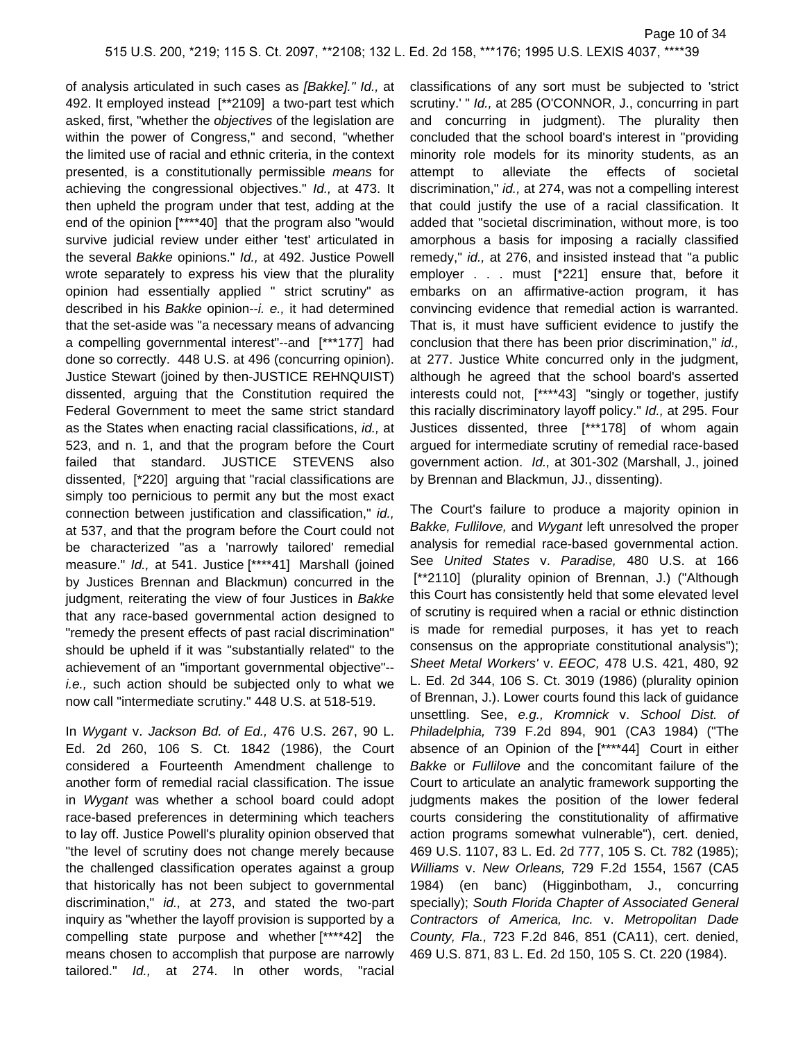of analysis articulated in such cases as [Bakke]." Id., at 492. It employed instead [\*\*2109] a two-part test which asked, first, "whether the objectives of the legislation are within the power of Congress," and second, "whether the limited use of racial and ethnic criteria, in the context presented, is a constitutionally permissible means for achieving the congressional objectives." Id., at 473. It then upheld the program under that test, adding at the end of the opinion [\*\*\*\*40] that the program also "would survive judicial review under either 'test' articulated in the several Bakke opinions." Id., at 492. Justice Powell wrote separately to express his view that the plurality opinion had essentially applied " strict scrutiny" as described in his Bakke opinion--i. e., it had determined that the set-aside was "a necessary means of advancing a compelling governmental interest"--and [\*\*\*177] had done so correctly. 448 U.S. at 496 (concurring opinion). Justice Stewart (joined by then-JUSTICE REHNQUIST) dissented, arguing that the Constitution required the Federal Government to meet the same strict standard as the States when enacting racial classifications, id., at 523, and n. 1, and that the program before the Court failed that standard. JUSTICE STEVENS also dissented, [\*220] arguing that "racial classifications are simply too pernicious to permit any but the most exact connection between justification and classification," id., at 537, and that the program before the Court could not be characterized "as a 'narrowly tailored' remedial measure." Id., at 541. Justice [\*\*\*\*41] Marshall (joined by Justices Brennan and Blackmun) concurred in the judgment, reiterating the view of four Justices in Bakke that any race-based governmental action designed to "remedy the present effects of past racial discrimination" should be upheld if it was "substantially related" to the achievement of an "important governmental objective"- i.e., such action should be subjected only to what we now call "intermediate scrutiny." 448 U.S. at 518-519.

In Wygant v. Jackson Bd. of Ed., 476 U.S. 267, 90 L. Ed. 2d 260, 106 S. Ct. 1842 (1986), the Court considered a Fourteenth Amendment challenge to another form of remedial racial classification. The issue in Wygant was whether a school board could adopt race-based preferences in determining which teachers to lay off. Justice Powell's plurality opinion observed that "the level of scrutiny does not change merely because the challenged classification operates against a group that historically has not been subject to governmental discrimination," id., at 273, and stated the two-part inquiry as "whether the layoff provision is supported by a compelling state purpose and whether [\*\*\*\*42] the means chosen to accomplish that purpose are narrowly tailored." Id., at 274. In other words, "racial

classifications of any sort must be subjected to 'strict scrutiny.' " *Id.*, at 285 (O'CONNOR, J., concurring in part and concurring in judgment). The plurality then concluded that the school board's interest in "providing minority role models for its minority students, as an attempt to alleviate the effects of societal discrimination," id., at 274, was not a compelling interest that could justify the use of a racial classification. It added that "societal discrimination, without more, is too amorphous a basis for imposing a racially classified remedy," id., at 276, and insisted instead that "a public employer . . . must [\*221] ensure that, before it embarks on an affirmative-action program, it has convincing evidence that remedial action is warranted. That is, it must have sufficient evidence to justify the conclusion that there has been prior discrimination," id., at 277. Justice White concurred only in the judgment, although he agreed that the school board's asserted interests could not, [\*\*\*\*43] "singly or together, justify this racially discriminatory layoff policy." Id., at 295. Four Justices dissented, three [\*\*\*178] of whom again argued for intermediate scrutiny of remedial race-based government action. Id., at 301-302 (Marshall, J., joined by Brennan and Blackmun, JJ., dissenting).

The Court's failure to produce a majority opinion in Bakke, Fullilove, and Wygant left unresolved the proper analysis for remedial race-based governmental action. See United States v. Paradise, 480 U.S. at 166 [\*\*2110] (plurality opinion of Brennan, J.) ("Although this Court has consistently held that some elevated level of scrutiny is required when a racial or ethnic distinction is made for remedial purposes, it has yet to reach consensus on the appropriate constitutional analysis"); Sheet Metal Workers' v. EEOC, 478 U.S. 421, 480, 92 L. Ed. 2d 344, 106 S. Ct. 3019 (1986) (plurality opinion of Brennan, J.). Lower courts found this lack of guidance unsettling. See, e.g., Kromnick v. School Dist. of Philadelphia, 739 F.2d 894, 901 (CA3 1984) ("The absence of an Opinion of the [\*\*\*\*44] Court in either Bakke or Fullilove and the concomitant failure of the Court to articulate an analytic framework supporting the judgments makes the position of the lower federal courts considering the constitutionality of affirmative action programs somewhat vulnerable"), cert. denied, 469 U.S. 1107, 83 L. Ed. 2d 777, 105 S. Ct. 782 (1985); Williams v. New Orleans, 729 F.2d 1554, 1567 (CA5 1984) (en banc) (Higginbotham, J., concurring specially); South Florida Chapter of Associated General Contractors of America, Inc. v. Metropolitan Dade County, Fla., 723 F.2d 846, 851 (CA11), cert. denied, 469 U.S. 871, 83 L. Ed. 2d 150, 105 S. Ct. 220 (1984).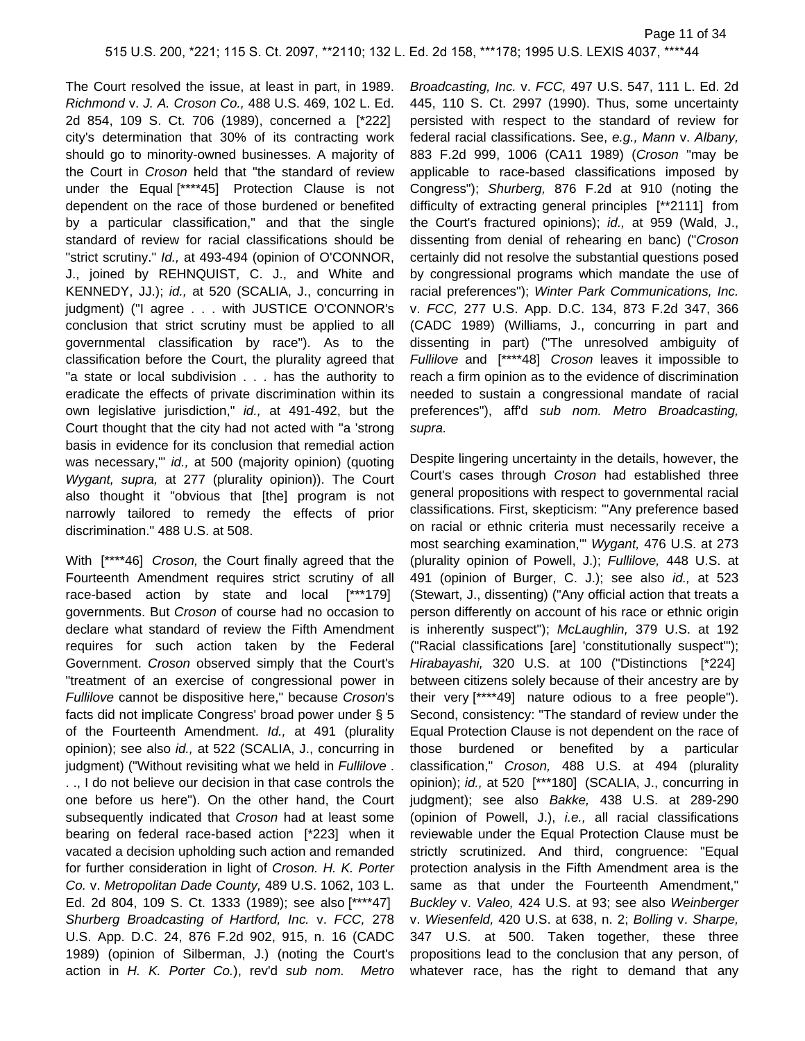The Court resolved the issue, at least in part, in 1989. Richmond v. J. A. Croson Co., 488 U.S. 469, 102 L. Ed. 2d 854, 109 S. Ct. 706 (1989), concerned a [\*222] city's determination that 30% of its contracting work should go to minority-owned businesses. A majority of the Court in Croson held that "the standard of review under the Equal [\*\*\*\*45] Protection Clause is not dependent on the race of those burdened or benefited by a particular classification," and that the single standard of review for racial classifications should be "strict scrutiny." Id., at 493-494 (opinion of O'CONNOR, J., joined by REHNQUIST, C. J., and White and KENNEDY, JJ.); id., at 520 (SCALIA, J., concurring in judgment) ("I agree . . . with JUSTICE O'CONNOR's conclusion that strict scrutiny must be applied to all governmental classification by race"). As to the classification before the Court, the plurality agreed that "a state or local subdivision . . . has the authority to eradicate the effects of private discrimination within its own legislative jurisdiction," id., at 491-492, but the Court thought that the city had not acted with "a 'strong basis in evidence for its conclusion that remedial action was necessary," id., at 500 (majority opinion) (quoting Wygant, supra, at 277 (plurality opinion)). The Court also thought it "obvious that [the] program is not narrowly tailored to remedy the effects of prior discrimination." 488 U.S. at 508.

With [\*\*\*\*46] Croson, the Court finally agreed that the Fourteenth Amendment requires strict scrutiny of all race-based action by state and local [\*\*\*179] governments. But Croson of course had no occasion to declare what standard of review the Fifth Amendment requires for such action taken by the Federal Government. Croson observed simply that the Court's "treatment of an exercise of congressional power in Fullilove cannot be dispositive here," because Croson's facts did not implicate Congress' broad power under § 5 of the Fourteenth Amendment. Id., at 491 (plurality opinion); see also id., at 522 (SCALIA, J., concurring in judgment) ("Without revisiting what we held in Fullilove. . ., I do not believe our decision in that case controls the one before us here"). On the other hand, the Court subsequently indicated that Croson had at least some bearing on federal race-based action [\*223] when it vacated a decision upholding such action and remanded for further consideration in light of Croson. H. K. Porter Co. v. Metropolitan Dade County, 489 U.S. 1062, 103 L. Ed. 2d 804, 109 S. Ct. 1333 (1989); see also [\*\*\*\*47] Shurberg Broadcasting of Hartford, Inc. v. FCC, 278 U.S. App. D.C. 24, 876 F.2d 902, 915, n. 16 (CADC 1989) (opinion of Silberman, J.) (noting the Court's action in H. K. Porter Co.), rev'd sub nom. Metro

Broadcasting, Inc. v. FCC, 497 U.S. 547, 111 L. Ed. 2d 445, 110 S. Ct. 2997 (1990). Thus, some uncertainty persisted with respect to the standard of review for federal racial classifications. See, e.g., Mann v. Albany, 883 F.2d 999, 1006 (CA11 1989) (Croson "may be applicable to race-based classifications imposed by Congress"); Shurberg, 876 F.2d at 910 (noting the difficulty of extracting general principles [\*\*2111] from the Court's fractured opinions); id., at 959 (Wald, J., dissenting from denial of rehearing en banc) ("Croson certainly did not resolve the substantial questions posed by congressional programs which mandate the use of racial preferences"); Winter Park Communications, Inc. v. FCC, 277 U.S. App. D.C. 134, 873 F.2d 347, 366 (CADC 1989) (Williams, J., concurring in part and dissenting in part) ("The unresolved ambiguity of Fullilove and [\*\*\*\*48] Croson leaves it impossible to reach a firm opinion as to the evidence of discrimination needed to sustain a congressional mandate of racial preferences"), aff'd sub nom. Metro Broadcasting, supra.

Despite lingering uncertainty in the details, however, the Court's cases through Croson had established three general propositions with respect to governmental racial classifications. First, skepticism: "'Any preference based on racial or ethnic criteria must necessarily receive a most searching examination,'" Wygant, 476 U.S. at 273 (plurality opinion of Powell, J.); Fullilove, 448 U.S. at 491 (opinion of Burger, C. J.); see also id., at 523 (Stewart, J., dissenting) ("Any official action that treats a person differently on account of his race or ethnic origin is inherently suspect"); McLaughlin, 379 U.S. at 192 ("Racial classifications [are] 'constitutionally suspect'"); Hirabayashi, 320 U.S. at 100 ("Distinctions [\*224] between citizens solely because of their ancestry are by their very [\*\*\*\*49] nature odious to a free people"). Second, consistency: "The standard of review under the Equal Protection Clause is not dependent on the race of those burdened or benefited by a particular classification," Croson, 488 U.S. at 494 (plurality opinion); id., at 520 [\*\*\*180] (SCALIA, J., concurring in judgment); see also Bakke, 438 U.S. at 289-290 (opinion of Powell, J.), i.e., all racial classifications reviewable under the Equal Protection Clause must be strictly scrutinized. And third, congruence: "Equal protection analysis in the Fifth Amendment area is the same as that under the Fourteenth Amendment," Buckley v. Valeo, 424 U.S. at 93; see also Weinberger v. Wiesenfeld, 420 U.S. at 638, n. 2; Bolling v. Sharpe, 347 U.S. at 500. Taken together, these three propositions lead to the conclusion that any person, of whatever race, has the right to demand that any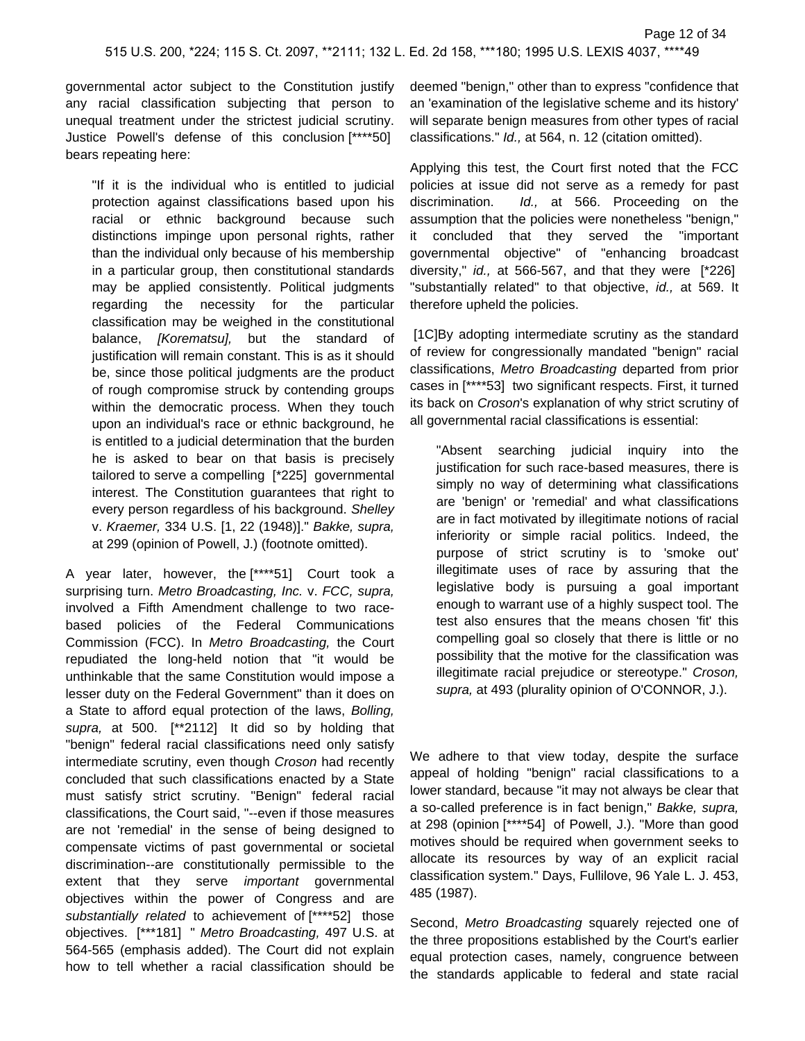governmental actor subject to the Constitution justify any racial classification subjecting that person to unequal treatment under the strictest judicial scrutiny. Justice Powell's defense of this conclusion [\*\*\*\*50] bears repeating here:

"If it is the individual who is entitled to judicial protection against classifications based upon his racial or ethnic background because such distinctions impinge upon personal rights, rather than the individual only because of his membership in a particular group, then constitutional standards may be applied consistently. Political judgments regarding the necessity for the particular classification may be weighed in the constitutional balance, [Korematsu], but the standard of justification will remain constant. This is as it should be, since those political judgments are the product of rough compromise struck by contending groups within the democratic process. When they touch upon an individual's race or ethnic background, he is entitled to a judicial determination that the burden he is asked to bear on that basis is precisely tailored to serve a compelling [\*225] governmental interest. The Constitution guarantees that right to every person regardless of his background. Shelley v. Kraemer, 334 U.S. [1, 22 (1948)]." Bakke, supra, at 299 (opinion of Powell, J.) (footnote omitted).

A year later, however, the [\*\*\*\*51] Court took a surprising turn. Metro Broadcasting, Inc. v. FCC, supra, involved a Fifth Amendment challenge to two racebased policies of the Federal Communications Commission (FCC). In Metro Broadcasting, the Court repudiated the long-held notion that "it would be unthinkable that the same Constitution would impose a lesser duty on the Federal Government" than it does on a State to afford equal protection of the laws, Bolling, supra, at 500. [\*\*2112] It did so by holding that "benign" federal racial classifications need only satisfy intermediate scrutiny, even though Croson had recently concluded that such classifications enacted by a State must satisfy strict scrutiny. "Benign" federal racial classifications, the Court said, "--even if those measures are not 'remedial' in the sense of being designed to compensate victims of past governmental or societal discrimination--are constitutionally permissible to the extent that they serve *important* governmental objectives within the power of Congress and are substantially related to achievement of [\*\*\*\*52] those objectives. [\*\*\*181] " Metro Broadcasting, 497 U.S. at 564-565 (emphasis added). The Court did not explain how to tell whether a racial classification should be

deemed "benign," other than to express "confidence that an 'examination of the legislative scheme and its history' will separate benign measures from other types of racial classifications." Id., at 564, n. 12 (citation omitted).

Applying this test, the Court first noted that the FCC policies at issue did not serve as a remedy for past discrimination. Id., at 566. Proceeding on the assumption that the policies were nonetheless "benign," it concluded that they served the "important governmental objective" of "enhancing broadcast diversity,"  $id.$ , at 566-567, and that they were  $[^*226]$ "substantially related" to that objective, id., at 569. It therefore upheld the policies.

 [1C]By adopting intermediate scrutiny as the standard of review for congressionally mandated "benign" racial classifications, Metro Broadcasting departed from prior cases in [\*\*\*\*53] two significant respects. First, it turned its back on Croson's explanation of why strict scrutiny of all governmental racial classifications is essential:

"Absent searching judicial inquiry into the justification for such race-based measures, there is simply no way of determining what classifications are 'benign' or 'remedial' and what classifications are in fact motivated by illegitimate notions of racial inferiority or simple racial politics. Indeed, the purpose of strict scrutiny is to 'smoke out' illegitimate uses of race by assuring that the legislative body is pursuing a goal important enough to warrant use of a highly suspect tool. The test also ensures that the means chosen 'fit' this compelling goal so closely that there is little or no possibility that the motive for the classification was illegitimate racial prejudice or stereotype." Croson, supra, at 493 (plurality opinion of O'CONNOR, J.).

We adhere to that view today, despite the surface appeal of holding "benign" racial classifications to a lower standard, because "it may not always be clear that a so-called preference is in fact benign," Bakke, supra, at 298 (opinion [\*\*\*\*54] of Powell, J.). "More than good motives should be required when government seeks to allocate its resources by way of an explicit racial classification system." Days, Fullilove, 96 Yale L. J. 453, 485 (1987).

Second, Metro Broadcasting squarely rejected one of the three propositions established by the Court's earlier equal protection cases, namely, congruence between the standards applicable to federal and state racial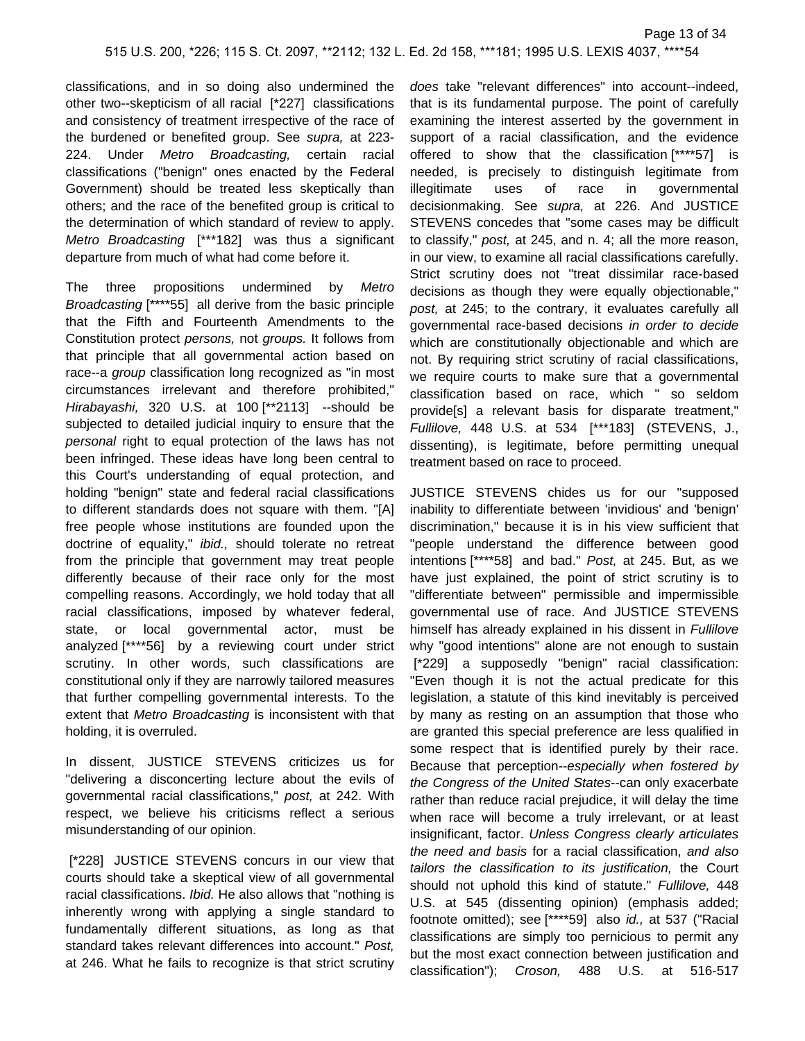classifications, and in so doing also undermined the other two--skepticism of all racial [\*227] classifications and consistency of treatment irrespective of the race of the burdened or benefited group. See supra, at 223- 224. Under Metro Broadcasting, certain racial classifications ("benign" ones enacted by the Federal Government) should be treated less skeptically than others; and the race of the benefited group is critical to the determination of which standard of review to apply. Metro Broadcasting [\*\*\*182] was thus a significant departure from much of what had come before it.

The three propositions undermined by Metro Broadcasting [\*\*\*\*55] all derive from the basic principle that the Fifth and Fourteenth Amendments to the Constitution protect persons, not groups. It follows from that principle that all governmental action based on race--a group classification long recognized as "in most circumstances irrelevant and therefore prohibited," Hirabayashi, 320 U.S. at 100 [\*\*2113] --should be subjected to detailed judicial inquiry to ensure that the personal right to equal protection of the laws has not been infringed. These ideas have long been central to this Court's understanding of equal protection, and holding "benign" state and federal racial classifications to different standards does not square with them. "[A] free people whose institutions are founded upon the doctrine of equality," ibid., should tolerate no retreat from the principle that government may treat people differently because of their race only for the most compelling reasons. Accordingly, we hold today that all racial classifications, imposed by whatever federal, state, or local governmental actor, must be analyzed [\*\*\*\*56] by a reviewing court under strict scrutiny. In other words, such classifications are constitutional only if they are narrowly tailored measures that further compelling governmental interests. To the extent that Metro Broadcasting is inconsistent with that holding, it is overruled.

In dissent, JUSTICE STEVENS criticizes us for "delivering a disconcerting lecture about the evils of governmental racial classifications," post, at 242. With respect, we believe his criticisms reflect a serious misunderstanding of our opinion.

 [\*228] JUSTICE STEVENS concurs in our view that courts should take a skeptical view of all governmental racial classifications. Ibid. He also allows that "nothing is inherently wrong with applying a single standard to fundamentally different situations, as long as that standard takes relevant differences into account." Post, at 246. What he fails to recognize is that strict scrutiny

does take "relevant differences" into account--indeed, that is its fundamental purpose. The point of carefully examining the interest asserted by the government in support of a racial classification, and the evidence offered to show that the classification [\*\*\*\*57] is needed, is precisely to distinguish legitimate from illegitimate uses of race in governmental decisionmaking. See supra, at 226. And JUSTICE STEVENS concedes that "some cases may be difficult to classify," post, at 245, and n. 4; all the more reason, in our view, to examine all racial classifications carefully. Strict scrutiny does not "treat dissimilar race-based decisions as though they were equally objectionable," post, at 245; to the contrary, it evaluates carefully all governmental race-based decisions in order to decide which are constitutionally objectionable and which are not. By requiring strict scrutiny of racial classifications, we require courts to make sure that a governmental classification based on race, which " so seldom provide[s] a relevant basis for disparate treatment," Fullilove, 448 U.S. at 534 [\*\*\*183] (STEVENS, J., dissenting), is legitimate, before permitting unequal treatment based on race to proceed.

JUSTICE STEVENS chides us for our "supposed inability to differentiate between 'invidious' and 'benign' discrimination," because it is in his view sufficient that "people understand the difference between good intentions [\*\*\*\*58] and bad." Post, at 245. But, as we have just explained, the point of strict scrutiny is to "differentiate between" permissible and impermissible governmental use of race. And JUSTICE STEVENS himself has already explained in his dissent in Fullilove why "good intentions" alone are not enough to sustain [\*229] a supposedly "benign" racial classification: "Even though it is not the actual predicate for this legislation, a statute of this kind inevitably is perceived by many as resting on an assumption that those who are granted this special preference are less qualified in some respect that is identified purely by their race. Because that perception--especially when fostered by the Congress of the United States--can only exacerbate rather than reduce racial prejudice, it will delay the time when race will become a truly irrelevant, or at least insignificant, factor. Unless Congress clearly articulates the need and basis for a racial classification, and also tailors the classification to its justification, the Court should not uphold this kind of statute." Fullilove, 448 U.S. at 545 (dissenting opinion) (emphasis added; footnote omitted); see [\*\*\*\*59] also id., at 537 ("Racial classifications are simply too pernicious to permit any but the most exact connection between justification and classification"); Croson, 488 U.S. at 516-517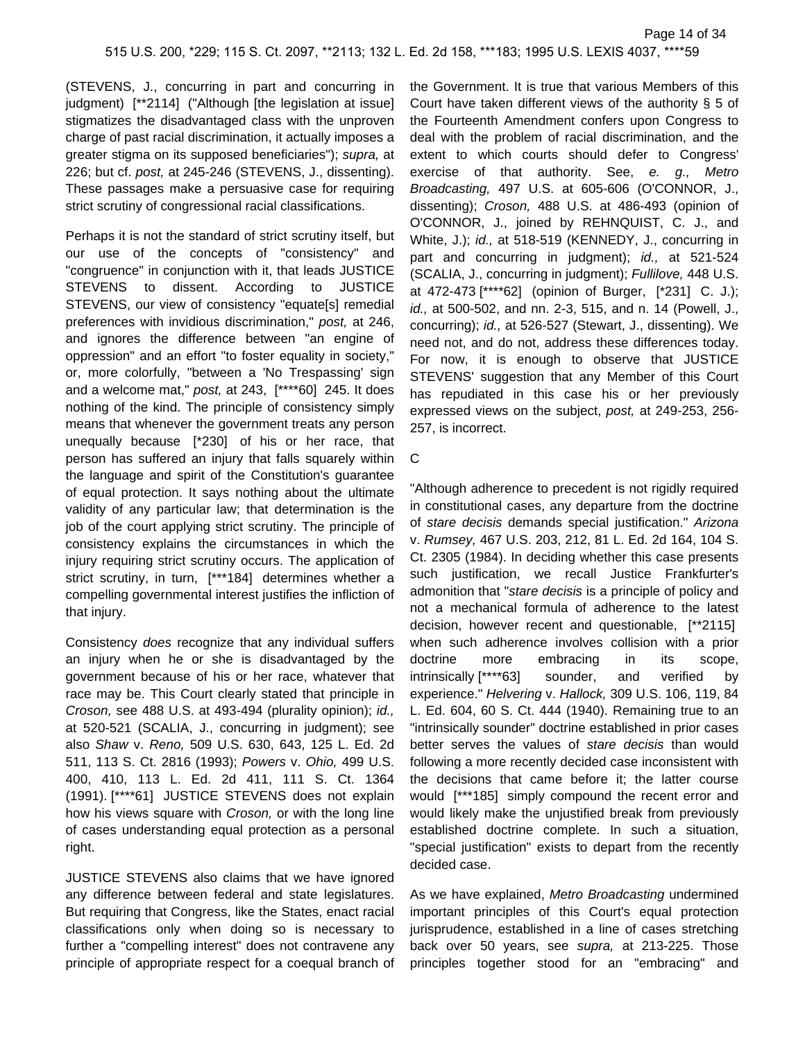(STEVENS, J., concurring in part and concurring in judgment) [\*\*2114] ("Although [the legislation at issue] stigmatizes the disadvantaged class with the unproven charge of past racial discrimination, it actually imposes a greater stigma on its supposed beneficiaries"); supra, at 226; but cf. post, at 245-246 (STEVENS, J., dissenting). These passages make a persuasive case for requiring strict scrutiny of congressional racial classifications.

Perhaps it is not the standard of strict scrutiny itself, but our use of the concepts of "consistency" and "congruence" in conjunction with it, that leads JUSTICE STEVENS to dissent. According to JUSTICE STEVENS, our view of consistency "equate[s] remedial preferences with invidious discrimination," post, at 246, and ignores the difference between "an engine of oppression" and an effort "to foster equality in society," or, more colorfully, "between a 'No Trespassing' sign and a welcome mat," post, at 243, [\*\*\*\*60] 245. It does nothing of the kind. The principle of consistency simply means that whenever the government treats any person unequally because [\*230] of his or her race, that person has suffered an injury that falls squarely within the language and spirit of the Constitution's guarantee of equal protection. It says nothing about the ultimate validity of any particular law; that determination is the job of the court applying strict scrutiny. The principle of consistency explains the circumstances in which the injury requiring strict scrutiny occurs. The application of strict scrutiny, in turn, [\*\*\*184] determines whether a compelling governmental interest justifies the infliction of that injury.

Consistency does recognize that any individual suffers an injury when he or she is disadvantaged by the government because of his or her race, whatever that race may be. This Court clearly stated that principle in Croson, see 488 U.S. at 493-494 (plurality opinion); id., at 520-521 (SCALIA, J., concurring in judgment); see also Shaw v. Reno, 509 U.S. 630, 643, 125 L. Ed. 2d 511, 113 S. Ct. 2816 (1993); Powers v. Ohio, 499 U.S. 400, 410, 113 L. Ed. 2d 411, 111 S. Ct. 1364 (1991). [\*\*\*\*61] JUSTICE STEVENS does not explain how his views square with Croson, or with the long line of cases understanding equal protection as a personal right.

JUSTICE STEVENS also claims that we have ignored any difference between federal and state legislatures. But requiring that Congress, like the States, enact racial classifications only when doing so is necessary to further a "compelling interest" does not contravene any principle of appropriate respect for a coequal branch of the Government. It is true that various Members of this Court have taken different views of the authority § 5 of the Fourteenth Amendment confers upon Congress to deal with the problem of racial discrimination, and the extent to which courts should defer to Congress' exercise of that authority. See, e. g., Metro Broadcasting, 497 U.S. at 605-606 (O'CONNOR, J., dissenting); Croson, 488 U.S. at 486-493 (opinion of O'CONNOR, J., joined by REHNQUIST, C. J., and White, J.); id., at 518-519 (KENNEDY, J., concurring in part and concurring in judgment); id., at 521-524 (SCALIA, J., concurring in judgment); Fullilove, 448 U.S. at 472-473 [\*\*\*\*62] (opinion of Burger, [\*231] C. J.); id., at 500-502, and nn. 2-3, 515, and n. 14 (Powell, J., concurring); id., at 526-527 (Stewart, J., dissenting). We need not, and do not, address these differences today. For now, it is enough to observe that JUSTICE STEVENS' suggestion that any Member of this Court has repudiated in this case his or her previously expressed views on the subject, post, at 249-253, 256- 257, is incorrect.

#### C

"Although adherence to precedent is not rigidly required in constitutional cases, any departure from the doctrine of stare decisis demands special justification." Arizona v. Rumsey, 467 U.S. 203, 212, 81 L. Ed. 2d 164, 104 S. Ct. 2305 (1984). In deciding whether this case presents such justification, we recall Justice Frankfurter's admonition that "stare decisis is a principle of policy and not a mechanical formula of adherence to the latest decision, however recent and questionable, [\*\*2115] when such adherence involves collision with a prior doctrine more embracing in its scope, intrinsically [\*\*\*\*63] sounder, and verified by experience." Helvering v. Hallock, 309 U.S. 106, 119, 84 L. Ed. 604, 60 S. Ct. 444 (1940). Remaining true to an "intrinsically sounder" doctrine established in prior cases better serves the values of stare decisis than would following a more recently decided case inconsistent with the decisions that came before it; the latter course would [\*\*\*185] simply compound the recent error and would likely make the unjustified break from previously established doctrine complete. In such a situation, "special justification" exists to depart from the recently decided case.

As we have explained, Metro Broadcasting undermined important principles of this Court's equal protection jurisprudence, established in a line of cases stretching back over 50 years, see supra, at 213-225. Those principles together stood for an "embracing" and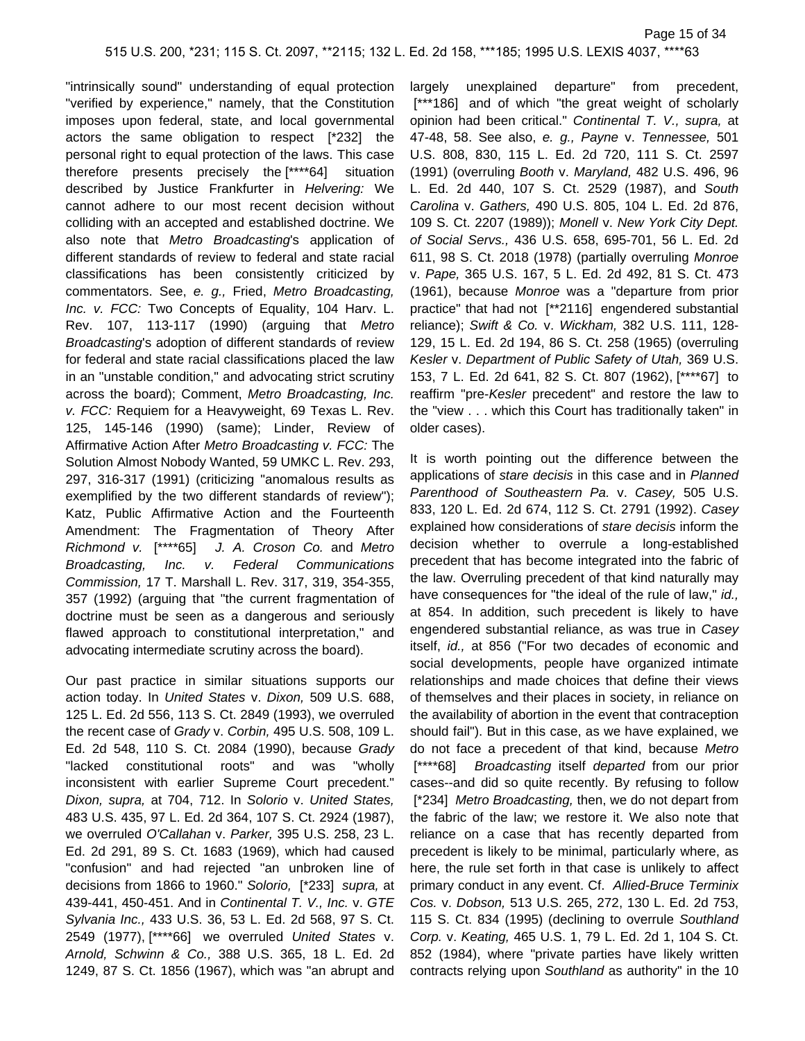"intrinsically sound" understanding of equal protection "verified by experience," namely, that the Constitution imposes upon federal, state, and local governmental actors the same obligation to respect [\*232] the personal right to equal protection of the laws. This case therefore presents precisely the [\*\*\*\*64] situation described by Justice Frankfurter in Helvering: We cannot adhere to our most recent decision without colliding with an accepted and established doctrine. We also note that Metro Broadcasting's application of different standards of review to federal and state racial classifications has been consistently criticized by commentators. See, e. g., Fried, Metro Broadcasting, Inc. v. FCC: Two Concepts of Equality, 104 Harv. L. Rev. 107, 113-117 (1990) (arguing that Metro Broadcasting's adoption of different standards of review for federal and state racial classifications placed the law in an "unstable condition," and advocating strict scrutiny across the board); Comment, Metro Broadcasting, Inc. v. FCC: Requiem for a Heavyweight, 69 Texas L. Rev. 125, 145-146 (1990) (same); Linder, Review of Affirmative Action After Metro Broadcasting v. FCC: The Solution Almost Nobody Wanted, 59 UMKC L. Rev. 293, 297, 316-317 (1991) (criticizing "anomalous results as exemplified by the two different standards of review"); Katz, Public Affirmative Action and the Fourteenth Amendment: The Fragmentation of Theory After Richmond v. [\*\*\*\*65] J. A. Croson Co. and Metro Broadcasting, Inc. v. Federal Communications Commission, 17 T. Marshall L. Rev. 317, 319, 354-355, 357 (1992) (arguing that "the current fragmentation of doctrine must be seen as a dangerous and seriously flawed approach to constitutional interpretation," and advocating intermediate scrutiny across the board).

Our past practice in similar situations supports our action today. In United States v. Dixon, 509 U.S. 688, 125 L. Ed. 2d 556, 113 S. Ct. 2849 (1993), we overruled the recent case of Grady v. Corbin, 495 U.S. 508, 109 L. Ed. 2d 548, 110 S. Ct. 2084 (1990), because Grady "lacked constitutional roots" and was "wholly inconsistent with earlier Supreme Court precedent." Dixon, supra, at 704, 712. In Solorio v. United States, 483 U.S. 435, 97 L. Ed. 2d 364, 107 S. Ct. 2924 (1987), we overruled O'Callahan v. Parker, 395 U.S. 258, 23 L. Ed. 2d 291, 89 S. Ct. 1683 (1969), which had caused "confusion" and had rejected "an unbroken line of decisions from 1866 to 1960." Solorio, [\*233] supra, at 439-441, 450-451. And in Continental T. V., Inc. v. GTE Sylvania Inc., 433 U.S. 36, 53 L. Ed. 2d 568, 97 S. Ct. 2549 (1977), [\*\*\*\*66] we overruled United States v. Arnold, Schwinn & Co., 388 U.S. 365, 18 L. Ed. 2d 1249, 87 S. Ct. 1856 (1967), which was "an abrupt and

largely unexplained departure" from precedent, [\*\*\*186] and of which "the great weight of scholarly opinion had been critical." Continental T. V., supra, at 47-48, 58. See also, e. g., Payne v. Tennessee, 501 U.S. 808, 830, 115 L. Ed. 2d 720, 111 S. Ct. 2597 (1991) (overruling Booth v. Maryland, 482 U.S. 496, 96 L. Ed. 2d 440, 107 S. Ct. 2529 (1987), and South Carolina v. Gathers, 490 U.S. 805, 104 L. Ed. 2d 876, 109 S. Ct. 2207 (1989)); Monell v. New York City Dept. of Social Servs., 436 U.S. 658, 695-701, 56 L. Ed. 2d 611, 98 S. Ct. 2018 (1978) (partially overruling Monroe v. Pape, 365 U.S. 167, 5 L. Ed. 2d 492, 81 S. Ct. 473 (1961), because Monroe was a "departure from prior practice" that had not [\*\*2116] engendered substantial reliance); Swift & Co. v. Wickham, 382 U.S. 111, 128- 129, 15 L. Ed. 2d 194, 86 S. Ct. 258 (1965) (overruling Kesler v. Department of Public Safety of Utah, 369 U.S. 153, 7 L. Ed. 2d 641, 82 S. Ct. 807 (1962), [\*\*\*\*67] to reaffirm "pre-Kesler precedent" and restore the law to the "view . . . which this Court has traditionally taken" in older cases).

It is worth pointing out the difference between the applications of stare decisis in this case and in Planned Parenthood of Southeastern Pa. v. Casey, 505 U.S. 833, 120 L. Ed. 2d 674, 112 S. Ct. 2791 (1992). Casey explained how considerations of stare decisis inform the decision whether to overrule a long-established precedent that has become integrated into the fabric of the law. Overruling precedent of that kind naturally may have consequences for "the ideal of the rule of law," *id.*, at 854. In addition, such precedent is likely to have engendered substantial reliance, as was true in Casey itself, id., at 856 ("For two decades of economic and social developments, people have organized intimate relationships and made choices that define their views of themselves and their places in society, in reliance on the availability of abortion in the event that contraception should fail"). But in this case, as we have explained, we do not face a precedent of that kind, because Metro [\*\*\*\*68] Broadcasting itself departed from our prior cases--and did so quite recently. By refusing to follow [\*234] Metro Broadcasting, then, we do not depart from the fabric of the law; we restore it. We also note that reliance on a case that has recently departed from precedent is likely to be minimal, particularly where, as here, the rule set forth in that case is unlikely to affect primary conduct in any event. Cf. Allied-Bruce Terminix Cos. v. Dobson, 513 U.S. 265, 272, 130 L. Ed. 2d 753, 115 S. Ct. 834 (1995) (declining to overrule Southland Corp. v. Keating, 465 U.S. 1, 79 L. Ed. 2d 1, 104 S. Ct. 852 (1984), where "private parties have likely written contracts relying upon Southland as authority" in the 10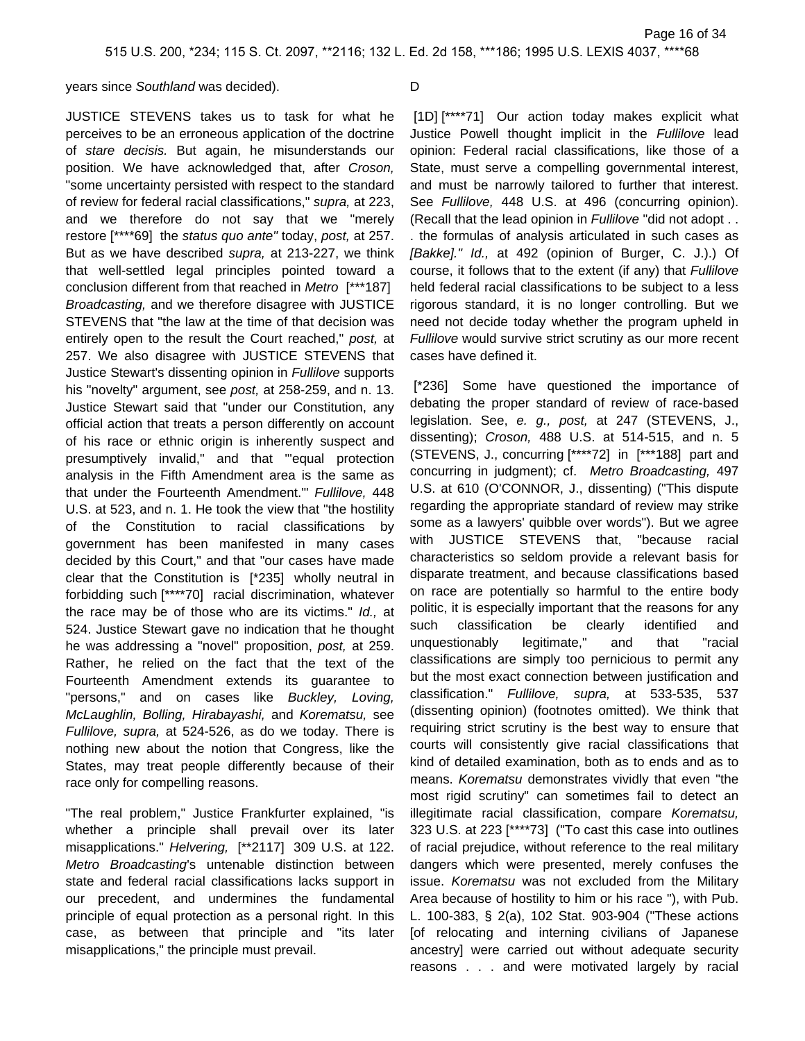years since Southland was decided).

JUSTICE STEVENS takes us to task for what he perceives to be an erroneous application of the doctrine of stare decisis. But again, he misunderstands our position. We have acknowledged that, after Croson, "some uncertainty persisted with respect to the standard of review for federal racial classifications," supra, at 223, and we therefore do not say that we "merely restore [\*\*\*\*69] the status quo ante" today, post, at 257. But as we have described supra, at 213-227, we think that well-settled legal principles pointed toward a conclusion different from that reached in Metro [\*\*\*187] Broadcasting, and we therefore disagree with JUSTICE STEVENS that "the law at the time of that decision was entirely open to the result the Court reached," post, at 257. We also disagree with JUSTICE STEVENS that Justice Stewart's dissenting opinion in Fullilove supports his "novelty" argument, see post, at 258-259, and n. 13. Justice Stewart said that "under our Constitution, any official action that treats a person differently on account of his race or ethnic origin is inherently suspect and presumptively invalid," and that "'equal protection analysis in the Fifth Amendment area is the same as that under the Fourteenth Amendment.'" Fullilove, 448 U.S. at 523, and n. 1. He took the view that "the hostility of the Constitution to racial classifications by government has been manifested in many cases decided by this Court," and that "our cases have made clear that the Constitution is [\*235] wholly neutral in forbidding such [\*\*\*\*70] racial discrimination, whatever the race may be of those who are its victims." Id., at 524. Justice Stewart gave no indication that he thought he was addressing a "novel" proposition, post, at 259. Rather, he relied on the fact that the text of the Fourteenth Amendment extends its guarantee to "persons," and on cases like Buckley, Loving, McLaughlin, Bolling, Hirabayashi, and Korematsu, see Fullilove, supra, at 524-526, as do we today. There is nothing new about the notion that Congress, like the States, may treat people differently because of their race only for compelling reasons.

"The real problem," Justice Frankfurter explained, "is whether a principle shall prevail over its later misapplications." Helvering, [\*\*2117] 309 U.S. at 122. Metro Broadcasting's untenable distinction between state and federal racial classifications lacks support in our precedent, and undermines the fundamental principle of equal protection as a personal right. In this case, as between that principle and "its later misapplications," the principle must prevail.

D

[1D] [\*\*\*\*71] Our action today makes explicit what Justice Powell thought implicit in the Fullilove lead opinion: Federal racial classifications, like those of a State, must serve a compelling governmental interest, and must be narrowly tailored to further that interest. See Fullilove, 448 U.S. at 496 (concurring opinion). (Recall that the lead opinion in Fullilove "did not adopt... . the formulas of analysis articulated in such cases as [Bakke]." Id., at 492 (opinion of Burger, C. J.).) Of course, it follows that to the extent (if any) that Fullilove held federal racial classifications to be subject to a less rigorous standard, it is no longer controlling. But we need not decide today whether the program upheld in Fullilove would survive strict scrutiny as our more recent cases have defined it.

Page 16 of 34

 [\*236] Some have questioned the importance of debating the proper standard of review of race-based legislation. See, e. g., post, at 247 (STEVENS, J., dissenting); Croson, 488 U.S. at 514-515, and n. 5 (STEVENS, J., concurring [\*\*\*\*72] in [\*\*\*188] part and concurring in judgment); cf. Metro Broadcasting, 497 U.S. at 610 (O'CONNOR, J., dissenting) ("This dispute regarding the appropriate standard of review may strike some as a lawyers' quibble over words"). But we agree with JUSTICE STEVENS that, "because racial characteristics so seldom provide a relevant basis for disparate treatment, and because classifications based on race are potentially so harmful to the entire body politic, it is especially important that the reasons for any such classification be clearly identified and unquestionably legitimate," and that "racial classifications are simply too pernicious to permit any but the most exact connection between justification and classification." Fullilove, supra, at 533-535, 537 (dissenting opinion) (footnotes omitted). We think that requiring strict scrutiny is the best way to ensure that courts will consistently give racial classifications that kind of detailed examination, both as to ends and as to means. Korematsu demonstrates vividly that even "the most rigid scrutiny" can sometimes fail to detect an illegitimate racial classification, compare Korematsu, 323 U.S. at 223 [\*\*\*\*73] ("To cast this case into outlines of racial prejudice, without reference to the real military dangers which were presented, merely confuses the issue. Korematsu was not excluded from the Military Area because of hostility to him or his race "), with Pub. L. 100-383, § 2(a), 102 Stat. 903-904 ("These actions [of relocating and interning civilians of Japanese ancestry] were carried out without adequate security reasons . . . and were motivated largely by racial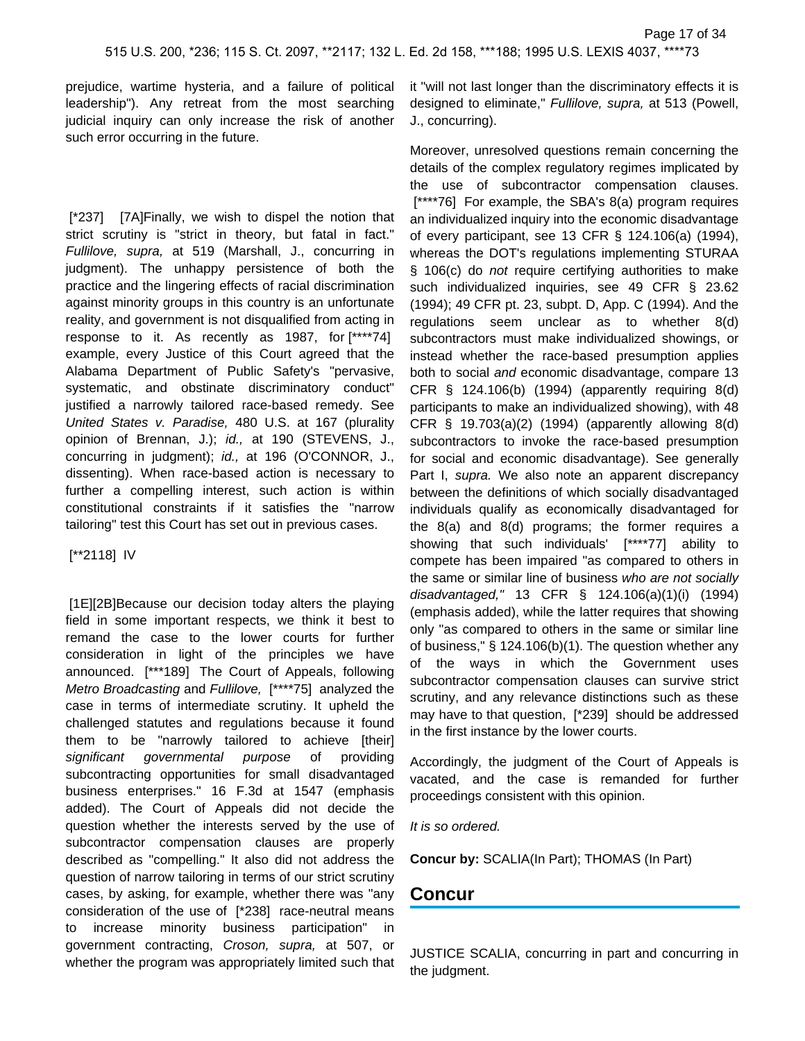prejudice, wartime hysteria, and a failure of political leadership"). Any retreat from the most searching judicial inquiry can only increase the risk of another such error occurring in the future.

 [\*237] [7A]Finally, we wish to dispel the notion that strict scrutiny is "strict in theory, but fatal in fact." Fullilove, supra, at 519 (Marshall, J., concurring in judgment). The unhappy persistence of both the practice and the lingering effects of racial discrimination against minority groups in this country is an unfortunate reality, and government is not disqualified from acting in response to it. As recently as 1987, for [\*\*\*\*74] example, every Justice of this Court agreed that the Alabama Department of Public Safety's "pervasive, systematic, and obstinate discriminatory conduct" justified a narrowly tailored race-based remedy. See United States v. Paradise, 480 U.S. at 167 (plurality opinion of Brennan, J.); id., at 190 (STEVENS, J., concurring in judgment); id., at 196 (O'CONNOR, J., dissenting). When race-based action is necessary to further a compelling interest, such action is within constitutional constraints if it satisfies the "narrow tailoring" test this Court has set out in previous cases.

[\*\*2118] IV

[1E][2B]Because our decision today alters the playing field in some important respects, we think it best to remand the case to the lower courts for further consideration in light of the principles we have announced. [\*\*\*189] The Court of Appeals, following Metro Broadcasting and Fullilove, [\*\*\*\*75] analyzed the case in terms of intermediate scrutiny. It upheld the challenged statutes and regulations because it found them to be "narrowly tailored to achieve [their] significant governmental purpose of providing subcontracting opportunities for small disadvantaged business enterprises." 16 F.3d at 1547 (emphasis added). The Court of Appeals did not decide the question whether the interests served by the use of subcontractor compensation clauses are properly described as "compelling." It also did not address the question of narrow tailoring in terms of our strict scrutiny cases, by asking, for example, whether there was "any consideration of the use of [\*238] race-neutral means to increase minority business participation" in government contracting, Croson, supra, at 507, or whether the program was appropriately limited such that

it "will not last longer than the discriminatory effects it is designed to eliminate," Fullilove, supra, at 513 (Powell, J., concurring).

Moreover, unresolved questions remain concerning the details of the complex regulatory regimes implicated by the use of subcontractor compensation clauses. [\*\*\*\*76] For example, the SBA's 8(a) program requires an individualized inquiry into the economic disadvantage of every participant, see 13 CFR § 124.106(a) (1994), whereas the DOT's regulations implementing STURAA § 106(c) do *not* require certifying authorities to make such individualized inquiries, see 49 CFR § 23.62 (1994); 49 CFR pt. 23, subpt. D, App. C (1994). And the regulations seem unclear as to whether 8(d) subcontractors must make individualized showings, or instead whether the race-based presumption applies both to social and economic disadvantage, compare 13 CFR § 124.106(b) (1994) (apparently requiring 8(d) participants to make an individualized showing), with 48 CFR § 19.703(a)(2) (1994) (apparently allowing 8(d) subcontractors to invoke the race-based presumption for social and economic disadvantage). See generally Part I, supra. We also note an apparent discrepancy between the definitions of which socially disadvantaged individuals qualify as economically disadvantaged for the 8(a) and 8(d) programs; the former requires a showing that such individuals' [\*\*\*\*77] ability to compete has been impaired "as compared to others in the same or similar line of business who are not socially disadvantaged," 13 CFR § 124.106(a)(1)(i) (1994) (emphasis added), while the latter requires that showing only "as compared to others in the same or similar line of business," § 124.106(b)(1). The question whether any of the ways in which the Government uses subcontractor compensation clauses can survive strict scrutiny, and any relevance distinctions such as these may have to that question, [\*239] should be addressed in the first instance by the lower courts.

Accordingly, the judgment of the Court of Appeals is vacated, and the case is remanded for further proceedings consistent with this opinion.

It is so ordered.

**Concur by:** SCALIA(In Part); THOMAS (In Part)

# **Concur**

JUSTICE SCALIA, concurring in part and concurring in the judgment.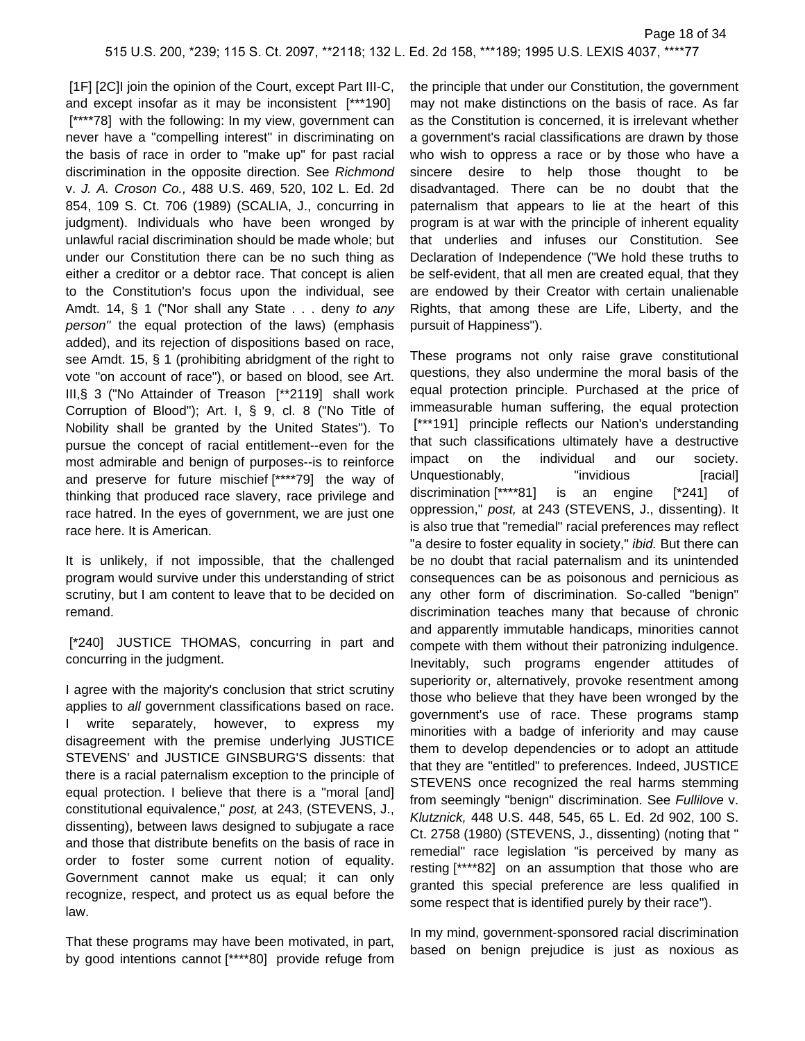[1F] [2C]I join the opinion of the Court, except Part III-C, and except insofar as it may be inconsistent [\*\*\*190] [\*\*\*\*78] with the following: In my view, government can never have a "compelling interest" in discriminating on the basis of race in order to "make up" for past racial discrimination in the opposite direction. See Richmond v. J. A. Croson Co., 488 U.S. 469, 520, 102 L. Ed. 2d 854, 109 S. Ct. 706 (1989) (SCALIA, J., concurring in judgment). Individuals who have been wronged by unlawful racial discrimination should be made whole; but under our Constitution there can be no such thing as either a creditor or a debtor race. That concept is alien to the Constitution's focus upon the individual, see Amdt. 14,  $\S$  1 ("Nor shall any State . . . deny to any person" the equal protection of the laws) (emphasis added), and its rejection of dispositions based on race, see Amdt. 15, § 1 (prohibiting abridgment of the right to vote "on account of race"), or based on blood, see Art. III,§ 3 ("No Attainder of Treason [\*\*2119] shall work Corruption of Blood"); Art. I, § 9, cl. 8 ("No Title of Nobility shall be granted by the United States"). To pursue the concept of racial entitlement--even for the most admirable and benign of purposes--is to reinforce and preserve for future mischief [\*\*\*\*79] the way of thinking that produced race slavery, race privilege and race hatred. In the eyes of government, we are just one race here. It is American.

It is unlikely, if not impossible, that the challenged program would survive under this understanding of strict scrutiny, but I am content to leave that to be decided on remand.

 [\*240] JUSTICE THOMAS, concurring in part and concurring in the judgment.

I agree with the majority's conclusion that strict scrutiny applies to all government classifications based on race. I write separately, however, to express my disagreement with the premise underlying JUSTICE STEVENS' and JUSTICE GINSBURG'S dissents: that there is a racial paternalism exception to the principle of equal protection. I believe that there is a "moral [and] constitutional equivalence," post, at 243, (STEVENS, J., dissenting), between laws designed to subjugate a race and those that distribute benefits on the basis of race in order to foster some current notion of equality. Government cannot make us equal; it can only recognize, respect, and protect us as equal before the law.

That these programs may have been motivated, in part, by good intentions cannot [\*\*\*\*80] provide refuge from the principle that under our Constitution, the government may not make distinctions on the basis of race. As far as the Constitution is concerned, it is irrelevant whether a government's racial classifications are drawn by those who wish to oppress a race or by those who have a sincere desire to help those thought to be disadvantaged. There can be no doubt that the paternalism that appears to lie at the heart of this program is at war with the principle of inherent equality that underlies and infuses our Constitution. See Declaration of Independence ("We hold these truths to be self-evident, that all men are created equal, that they are endowed by their Creator with certain unalienable Rights, that among these are Life, Liberty, and the pursuit of Happiness").

These programs not only raise grave constitutional questions, they also undermine the moral basis of the equal protection principle. Purchased at the price of immeasurable human suffering, the equal protection [\*\*\*191] principle reflects our Nation's understanding that such classifications ultimately have a destructive impact on the individual and our society. Unquestionably, "invidious [racial] discrimination [\*\*\*\*81] is an engine [\*241] of oppression," post, at 243 (STEVENS, J., dissenting). It is also true that "remedial" racial preferences may reflect "a desire to foster equality in society," *ibid*. But there can be no doubt that racial paternalism and its unintended consequences can be as poisonous and pernicious as any other form of discrimination. So-called "benign" discrimination teaches many that because of chronic and apparently immutable handicaps, minorities cannot compete with them without their patronizing indulgence. Inevitably, such programs engender attitudes of superiority or, alternatively, provoke resentment among those who believe that they have been wronged by the government's use of race. These programs stamp minorities with a badge of inferiority and may cause them to develop dependencies or to adopt an attitude that they are "entitled" to preferences. Indeed, JUSTICE STEVENS once recognized the real harms stemming from seemingly "benign" discrimination. See Fullilove v. Klutznick, 448 U.S. 448, 545, 65 L. Ed. 2d 902, 100 S. Ct. 2758 (1980) (STEVENS, J., dissenting) (noting that " remedial" race legislation "is perceived by many as resting [\*\*\*\*82] on an assumption that those who are granted this special preference are less qualified in some respect that is identified purely by their race").

In my mind, government-sponsored racial discrimination based on benign prejudice is just as noxious as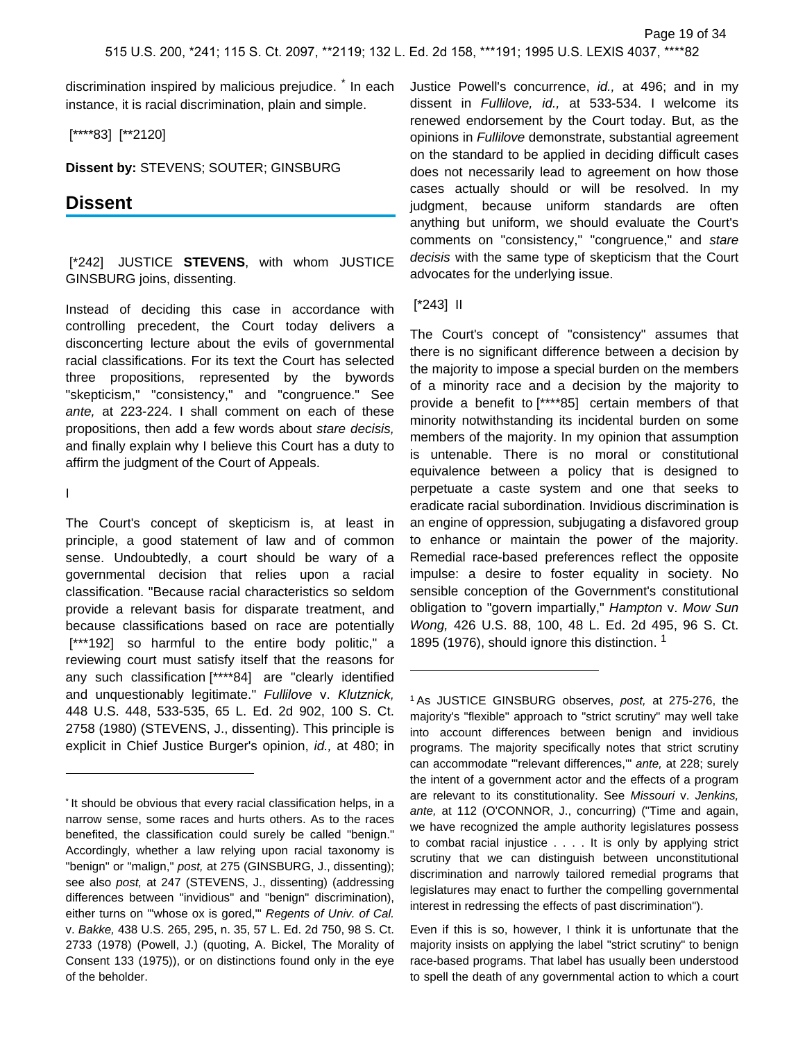discrimination inspired by malicious prejudice. \* In each instance, it is racial discrimination, plain and simple.

[\*\*\*\*83] [\*\*2120]

**Dissent by:** STEVENS; SOUTER; GINSBURG

## **Dissent**

 [\*242] JUSTICE **STEVENS**, with whom JUSTICE GINSBURG joins, dissenting.

Instead of deciding this case in accordance with controlling precedent, the Court today delivers a disconcerting lecture about the evils of governmental racial classifications. For its text the Court has selected three propositions, represented by the bywords "skepticism," "consistency," and "congruence." See ante, at 223-224. I shall comment on each of these propositions, then add a few words about stare decisis, and finally explain why I believe this Court has a duty to affirm the judgment of the Court of Appeals.

I

The Court's concept of skepticism is, at least in principle, a good statement of law and of common sense. Undoubtedly, a court should be wary of a governmental decision that relies upon a racial classification. "Because racial characteristics so seldom provide a relevant basis for disparate treatment, and because classifications based on race are potentially [\*\*\*192] so harmful to the entire body politic," a reviewing court must satisfy itself that the reasons for any such classification [\*\*\*\*84] are "clearly identified and unquestionably legitimate." Fullilove v. Klutznick, 448 U.S. 448, 533-535, 65 L. Ed. 2d 902, 100 S. Ct. 2758 (1980) (STEVENS, J., dissenting). This principle is explicit in Chief Justice Burger's opinion, id., at 480; in

Justice Powell's concurrence, id., at 496; and in my dissent in Fullilove, id., at 533-534. I welcome its renewed endorsement by the Court today. But, as the opinions in Fullilove demonstrate, substantial agreement on the standard to be applied in deciding difficult cases does not necessarily lead to agreement on how those cases actually should or will be resolved. In my judgment, because uniform standards are often anything but uniform, we should evaluate the Court's comments on "consistency," "congruence," and stare decisis with the same type of skepticism that the Court advocates for the underlying issue.

Page 19 of 34

### [\*243] II

The Court's concept of "consistency" assumes that there is no significant difference between a decision by the majority to impose a special burden on the members of a minority race and a decision by the majority to provide a benefit to [\*\*\*\*85] certain members of that minority notwithstanding its incidental burden on some members of the majority. In my opinion that assumption is untenable. There is no moral or constitutional equivalence between a policy that is designed to perpetuate a caste system and one that seeks to eradicate racial subordination. Invidious discrimination is an engine of oppression, subjugating a disfavored group to enhance or maintain the power of the majority. Remedial race-based preferences reflect the opposite impulse: a desire to foster equality in society. No sensible conception of the Government's constitutional obligation to "govern impartially," Hampton v. Mow Sun Wong, 426 U.S. 88, 100, 48 L. Ed. 2d 495, 96 S. Ct. 1895 (1976), should ignore this distinction. <sup>1</sup>

Even if this is so, however, I think it is unfortunate that the majority insists on applying the label "strict scrutiny" to benign race-based programs. That label has usually been understood to spell the death of any governmental action to which a court

<sup>\*</sup> It should be obvious that every racial classification helps, in a narrow sense, some races and hurts others. As to the races benefited, the classification could surely be called "benign." Accordingly, whether a law relying upon racial taxonomy is "benign" or "malign," post, at 275 (GINSBURG, J., dissenting); see also post, at 247 (STEVENS, J., dissenting) (addressing differences between "invidious" and "benign" discrimination), either turns on "'whose ox is gored," Regents of Univ. of Cal. v. Bakke, 438 U.S. 265, 295, n. 35, 57 L. Ed. 2d 750, 98 S. Ct. 2733 (1978) (Powell, J.) (quoting, A. Bickel, The Morality of Consent 133 (1975)), or on distinctions found only in the eye of the beholder.

<sup>1</sup>As JUSTICE GINSBURG observes, post, at 275-276, the majority's "flexible" approach to "strict scrutiny" may well take into account differences between benign and invidious programs. The majority specifically notes that strict scrutiny can accommodate "relevant differences," ante, at 228; surely the intent of a government actor and the effects of a program are relevant to its constitutionality. See Missouri v. Jenkins, ante, at 112 (O'CONNOR, J., concurring) ("Time and again, we have recognized the ample authority legislatures possess to combat racial injustice . . . . It is only by applying strict scrutiny that we can distinguish between unconstitutional discrimination and narrowly tailored remedial programs that legislatures may enact to further the compelling governmental interest in redressing the effects of past discrimination").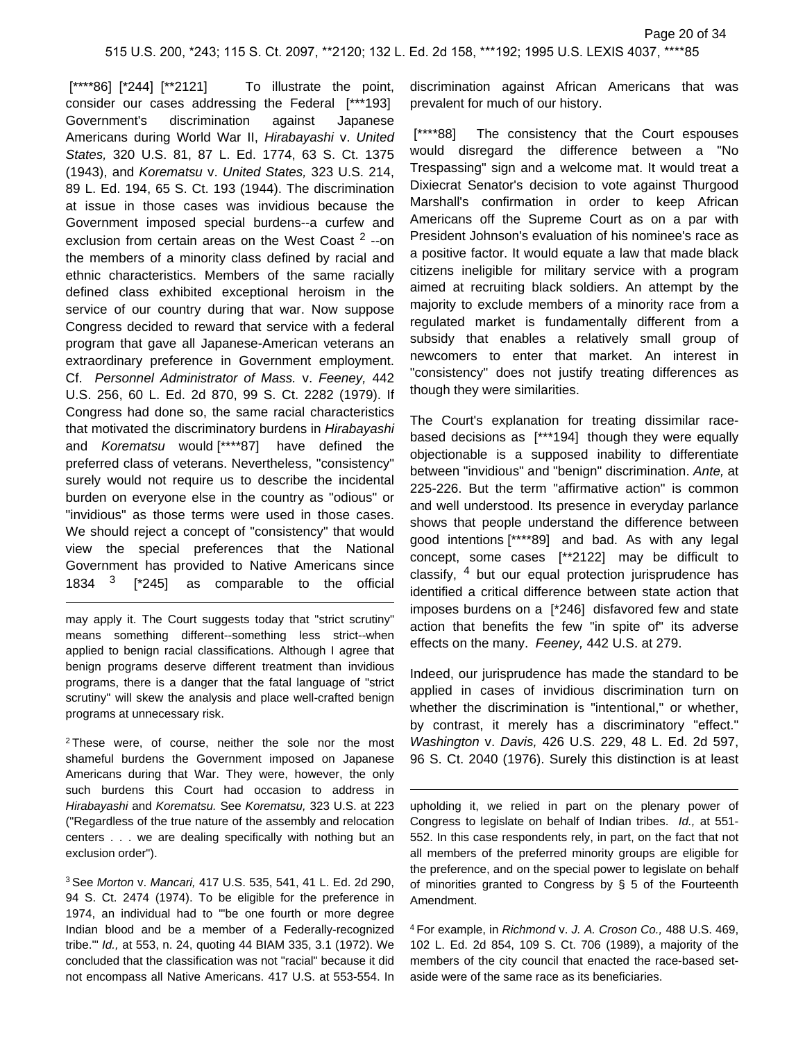[\*\*\*\*86] [\*244] [\*\*2121] To illustrate the point, consider our cases addressing the Federal [\*\*\*193] Government's discrimination against Japanese Americans during World War II, Hirabayashi v. United States, 320 U.S. 81, 87 L. Ed. 1774, 63 S. Ct. 1375 (1943), and Korematsu v. United States, 323 U.S. 214, 89 L. Ed. 194, 65 S. Ct. 193 (1944). The discrimination at issue in those cases was invidious because the Government imposed special burdens--a curfew and exclusion from certain areas on the West Coast <sup>2</sup> --on the members of a minority class defined by racial and ethnic characteristics. Members of the same racially defined class exhibited exceptional heroism in the service of our country during that war. Now suppose Congress decided to reward that service with a federal program that gave all Japanese-American veterans an extraordinary preference in Government employment. Cf. Personnel Administrator of Mass. v. Feeney, 442 U.S. 256, 60 L. Ed. 2d 870, 99 S. Ct. 2282 (1979). If Congress had done so, the same racial characteristics that motivated the discriminatory burdens in Hirabayashi and Korematsu would [\*\*\*\*87] have defined the preferred class of veterans. Nevertheless, "consistency" surely would not require us to describe the incidental burden on everyone else in the country as "odious" or "invidious" as those terms were used in those cases. We should reject a concept of "consistency" that would view the special preferences that the National Government has provided to Native Americans since 1834  $3$  [\*245] as comparable to the official

may apply it. The Court suggests today that "strict scrutiny" means something different--something less strict--when applied to benign racial classifications. Although I agree that benign programs deserve different treatment than invidious programs, there is a danger that the fatal language of "strict scrutiny" will skew the analysis and place well-crafted benign programs at unnecessary risk.

<sup>2</sup>These were, of course, neither the sole nor the most shameful burdens the Government imposed on Japanese Americans during that War. They were, however, the only such burdens this Court had occasion to address in Hirabayashi and Korematsu. See Korematsu, 323 U.S. at 223 ("Regardless of the true nature of the assembly and relocation centers . . . we are dealing specifically with nothing but an exclusion order").

<sup>3</sup>See Morton v. Mancari, 417 U.S. 535, 541, 41 L. Ed. 2d 290, 94 S. Ct. 2474 (1974). To be eligible for the preference in 1974, an individual had to "'be one fourth or more degree Indian blood and be a member of a Federally-recognized tribe.'" Id., at 553, n. 24, quoting 44 BIAM 335, 3.1 (1972). We concluded that the classification was not "racial" because it did not encompass all Native Americans. 417 U.S. at 553-554. In discrimination against African Americans that was prevalent for much of our history.

[\*\*\*\*88] The consistency that the Court espouses would disregard the difference between a "No Trespassing" sign and a welcome mat. It would treat a Dixiecrat Senator's decision to vote against Thurgood Marshall's confirmation in order to keep African Americans off the Supreme Court as on a par with President Johnson's evaluation of his nominee's race as a positive factor. It would equate a law that made black citizens ineligible for military service with a program aimed at recruiting black soldiers. An attempt by the majority to exclude members of a minority race from a regulated market is fundamentally different from a subsidy that enables a relatively small group of newcomers to enter that market. An interest in "consistency" does not justify treating differences as though they were similarities.

The Court's explanation for treating dissimilar racebased decisions as [\*\*\*194] though they were equally objectionable is a supposed inability to differentiate between "invidious" and "benign" discrimination. Ante, at 225-226. But the term "affirmative action" is common and well understood. Its presence in everyday parlance shows that people understand the difference between good intentions [\*\*\*\*89] and bad. As with any legal concept, some cases [\*\*2122] may be difficult to classify, <sup>4</sup> but our equal protection jurisprudence has identified a critical difference between state action that imposes burdens on a [\*246] disfavored few and state action that benefits the few "in spite of" its adverse effects on the many. Feeney, 442 U.S. at 279.

Indeed, our jurisprudence has made the standard to be applied in cases of invidious discrimination turn on whether the discrimination is "intentional," or whether, by contrast, it merely has a discriminatory "effect." Washington v. Davis, 426 U.S. 229, 48 L. Ed. 2d 597, 96 S. Ct. 2040 (1976). Surely this distinction is at least

upholding it, we relied in part on the plenary power of Congress to legislate on behalf of Indian tribes. Id., at 551- 552. In this case respondents rely, in part, on the fact that not all members of the preferred minority groups are eligible for the preference, and on the special power to legislate on behalf of minorities granted to Congress by § 5 of the Fourteenth Amendment.

<sup>4</sup>For example, in Richmond v. J. A. Croson Co., 488 U.S. 469, 102 L. Ed. 2d 854, 109 S. Ct. 706 (1989), a majority of the members of the city council that enacted the race-based setaside were of the same race as its beneficiaries.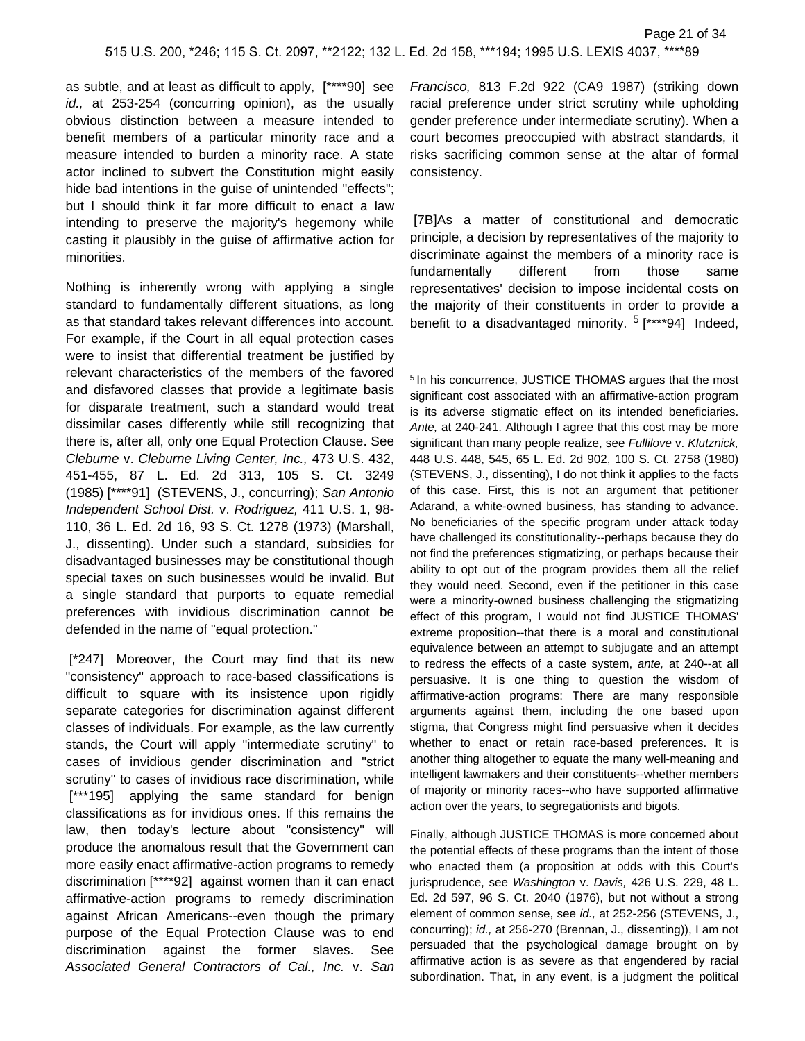as subtle, and at least as difficult to apply, [\*\*\*\*90] see id., at 253-254 (concurring opinion), as the usually obvious distinction between a measure intended to benefit members of a particular minority race and a measure intended to burden a minority race. A state actor inclined to subvert the Constitution might easily hide bad intentions in the guise of unintended "effects"; but I should think it far more difficult to enact a law intending to preserve the majority's hegemony while casting it plausibly in the guise of affirmative action for minorities.

Nothing is inherently wrong with applying a single standard to fundamentally different situations, as long as that standard takes relevant differences into account. For example, if the Court in all equal protection cases were to insist that differential treatment be justified by relevant characteristics of the members of the favored and disfavored classes that provide a legitimate basis for disparate treatment, such a standard would treat dissimilar cases differently while still recognizing that there is, after all, only one Equal Protection Clause. See Cleburne v. Cleburne Living Center, Inc., 473 U.S. 432, 451-455, 87 L. Ed. 2d 313, 105 S. Ct. 3249 (1985) [\*\*\*\*91] (STEVENS, J., concurring); San Antonio Independent School Dist. v. Rodriguez, 411 U.S. 1, 98- 110, 36 L. Ed. 2d 16, 93 S. Ct. 1278 (1973) (Marshall, J., dissenting). Under such a standard, subsidies for disadvantaged businesses may be constitutional though special taxes on such businesses would be invalid. But a single standard that purports to equate remedial preferences with invidious discrimination cannot be defended in the name of "equal protection."

[\*247] Moreover, the Court may find that its new "consistency" approach to race-based classifications is difficult to square with its insistence upon rigidly separate categories for discrimination against different classes of individuals. For example, as the law currently stands, the Court will apply "intermediate scrutiny" to cases of invidious gender discrimination and "strict scrutiny" to cases of invidious race discrimination, while [\*\*\*195] applying the same standard for benign classifications as for invidious ones. If this remains the law, then today's lecture about "consistency" will produce the anomalous result that the Government can more easily enact affirmative-action programs to remedy discrimination [\*\*\*\*92] against women than it can enact affirmative-action programs to remedy discrimination against African Americans--even though the primary purpose of the Equal Protection Clause was to end discrimination against the former slaves. See Associated General Contractors of Cal., Inc. v. San

Francisco, 813 F.2d 922 (CA9 1987) (striking down racial preference under strict scrutiny while upholding gender preference under intermediate scrutiny). When a court becomes preoccupied with abstract standards, it risks sacrificing common sense at the altar of formal consistency.

Page 21 of 34

 [7B]As a matter of constitutional and democratic principle, a decision by representatives of the majority to discriminate against the members of a minority race is fundamentally different from those same representatives' decision to impose incidental costs on the majority of their constituents in order to provide a benefit to a disadvantaged minority. <sup>5</sup> [\*\*\*\*94] Indeed,

<sup>5</sup> In his concurrence, JUSTICE THOMAS argues that the most significant cost associated with an affirmative-action program is its adverse stigmatic effect on its intended beneficiaries. Ante, at 240-241. Although I agree that this cost may be more significant than many people realize, see Fullilove v. Klutznick, 448 U.S. 448, 545, 65 L. Ed. 2d 902, 100 S. Ct. 2758 (1980) (STEVENS, J., dissenting), I do not think it applies to the facts of this case. First, this is not an argument that petitioner Adarand, a white-owned business, has standing to advance. No beneficiaries of the specific program under attack today have challenged its constitutionality--perhaps because they do not find the preferences stigmatizing, or perhaps because their ability to opt out of the program provides them all the relief they would need. Second, even if the petitioner in this case were a minority-owned business challenging the stigmatizing effect of this program, I would not find JUSTICE THOMAS' extreme proposition--that there is a moral and constitutional equivalence between an attempt to subjugate and an attempt to redress the effects of a caste system, ante, at 240--at all persuasive. It is one thing to question the wisdom of affirmative-action programs: There are many responsible arguments against them, including the one based upon stigma, that Congress might find persuasive when it decides whether to enact or retain race-based preferences. It is another thing altogether to equate the many well-meaning and intelligent lawmakers and their constituents--whether members of majority or minority races--who have supported affirmative action over the years, to segregationists and bigots.

Finally, although JUSTICE THOMAS is more concerned about the potential effects of these programs than the intent of those who enacted them (a proposition at odds with this Court's jurisprudence, see Washington v. Davis, 426 U.S. 229, 48 L. Ed. 2d 597, 96 S. Ct. 2040 (1976), but not without a strong element of common sense, see id., at 252-256 (STEVENS, J., concurring); id., at 256-270 (Brennan, J., dissenting)), I am not persuaded that the psychological damage brought on by affirmative action is as severe as that engendered by racial subordination. That, in any event, is a judgment the political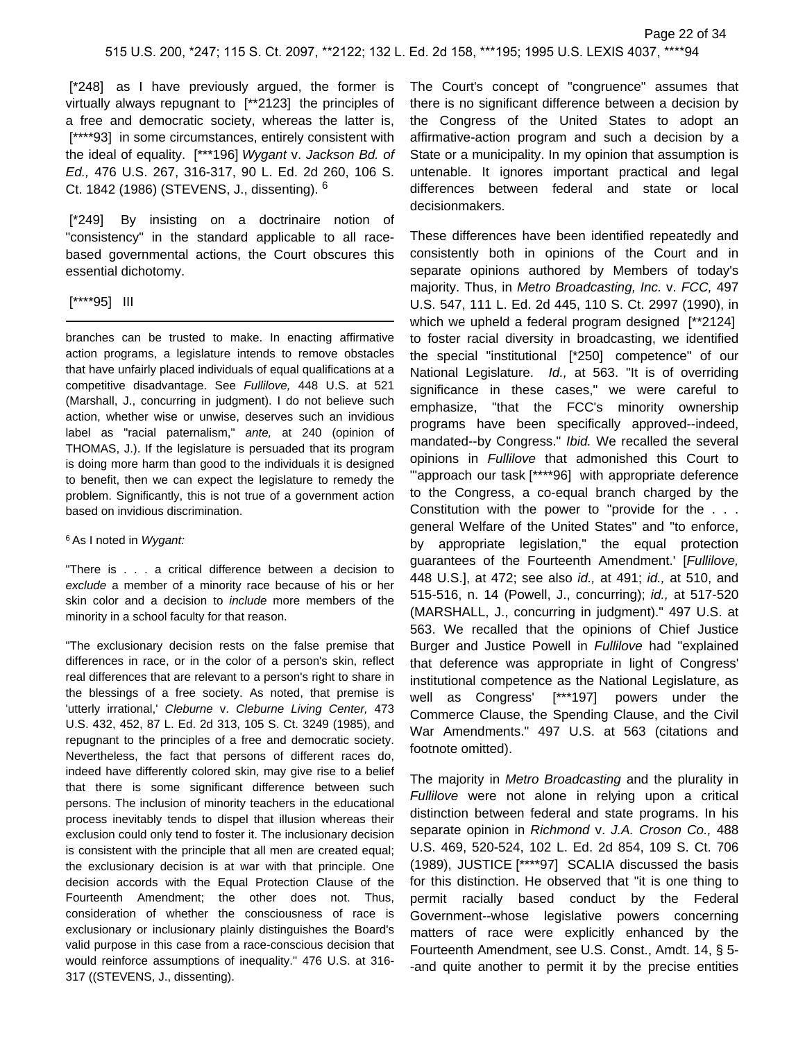[\*248] as I have previously argued, the former is virtually always repugnant to [\*\*2123] the principles of a free and democratic society, whereas the latter is, [\*\*\*\*93] in some circumstances, entirely consistent with the ideal of equality. [\*\*\*196] Wygant v. Jackson Bd. of Ed., 476 U.S. 267, 316-317, 90 L. Ed. 2d 260, 106 S. Ct. 1842 (1986) (STEVENS, J., dissenting). <sup>6</sup>

[\*249] By insisting on a doctrinaire notion of "consistency" in the standard applicable to all racebased governmental actions, the Court obscures this essential dichotomy.

branches can be trusted to make. In enacting affirmative action programs, a legislature intends to remove obstacles that have unfairly placed individuals of equal qualifications at a competitive disadvantage. See Fullilove, 448 U.S. at 521 (Marshall, J., concurring in judgment). I do not believe such action, whether wise or unwise, deserves such an invidious label as "racial paternalism," ante, at 240 (opinion of THOMAS, J.). If the legislature is persuaded that its program is doing more harm than good to the individuals it is designed to benefit, then we can expect the legislature to remedy the problem. Significantly, this is not true of a government action based on invidious discrimination.

<sup>6</sup> As I noted in Wygant:

"There is . . . a critical difference between a decision to exclude a member of a minority race because of his or her skin color and a decision to include more members of the minority in a school faculty for that reason.

"The exclusionary decision rests on the false premise that differences in race, or in the color of a person's skin, reflect real differences that are relevant to a person's right to share in the blessings of a free society. As noted, that premise is 'utterly irrational,' Cleburne v. Cleburne Living Center, 473 U.S. 432, 452, 87 L. Ed. 2d 313, 105 S. Ct. 3249 (1985), and repugnant to the principles of a free and democratic society. Nevertheless, the fact that persons of different races do, indeed have differently colored skin, may give rise to a belief that there is some significant difference between such persons. The inclusion of minority teachers in the educational process inevitably tends to dispel that illusion whereas their exclusion could only tend to foster it. The inclusionary decision is consistent with the principle that all men are created equal; the exclusionary decision is at war with that principle. One decision accords with the Equal Protection Clause of the Fourteenth Amendment; the other does not. Thus, consideration of whether the consciousness of race is exclusionary or inclusionary plainly distinguishes the Board's valid purpose in this case from a race-conscious decision that would reinforce assumptions of inequality." 476 U.S. at 316- 317 ((STEVENS, J., dissenting).

The Court's concept of "congruence" assumes that there is no significant difference between a decision by the Congress of the United States to adopt an affirmative-action program and such a decision by a State or a municipality. In my opinion that assumption is untenable. It ignores important practical and legal differences between federal and state or local decisionmakers.

These differences have been identified repeatedly and consistently both in opinions of the Court and in separate opinions authored by Members of today's majority. Thus, in Metro Broadcasting, Inc. v. FCC, 497 U.S. 547, 111 L. Ed. 2d 445, 110 S. Ct. 2997 (1990), in which we upheld a federal program designed [\*\*2124] to foster racial diversity in broadcasting, we identified the special "institutional [\*250] competence" of our National Legislature. Id., at 563. "It is of overriding significance in these cases," we were careful to emphasize, "that the FCC's minority ownership programs have been specifically approved--indeed, mandated--by Congress." Ibid. We recalled the several opinions in Fullilove that admonished this Court to "'approach our task [\*\*\*\*96] with appropriate deference to the Congress, a co-equal branch charged by the Constitution with the power to "provide for the . . . general Welfare of the United States" and "to enforce, by appropriate legislation," the equal protection guarantees of the Fourteenth Amendment.' [Fullilove, 448 U.S.], at 472; see also id., at 491; id., at 510, and 515-516, n. 14 (Powell, J., concurring); id., at 517-520 (MARSHALL, J., concurring in judgment)." 497 U.S. at 563. We recalled that the opinions of Chief Justice Burger and Justice Powell in Fullilove had "explained that deference was appropriate in light of Congress' institutional competence as the National Legislature, as well as Congress' [\*\*\*197] powers under the Commerce Clause, the Spending Clause, and the Civil War Amendments." 497 U.S. at 563 (citations and footnote omitted).

The majority in Metro Broadcasting and the plurality in Fullilove were not alone in relying upon a critical distinction between federal and state programs. In his separate opinion in Richmond v. J.A. Croson Co., 488 U.S. 469, 520-524, 102 L. Ed. 2d 854, 109 S. Ct. 706 (1989), JUSTICE [\*\*\*\*97] SCALIA discussed the basis for this distinction. He observed that "it is one thing to permit racially based conduct by the Federal Government--whose legislative powers concerning matters of race were explicitly enhanced by the Fourteenth Amendment, see U.S. Const., Amdt. 14, § 5- -and quite another to permit it by the precise entities

 <sup>[\*\*\*\*95]</sup> III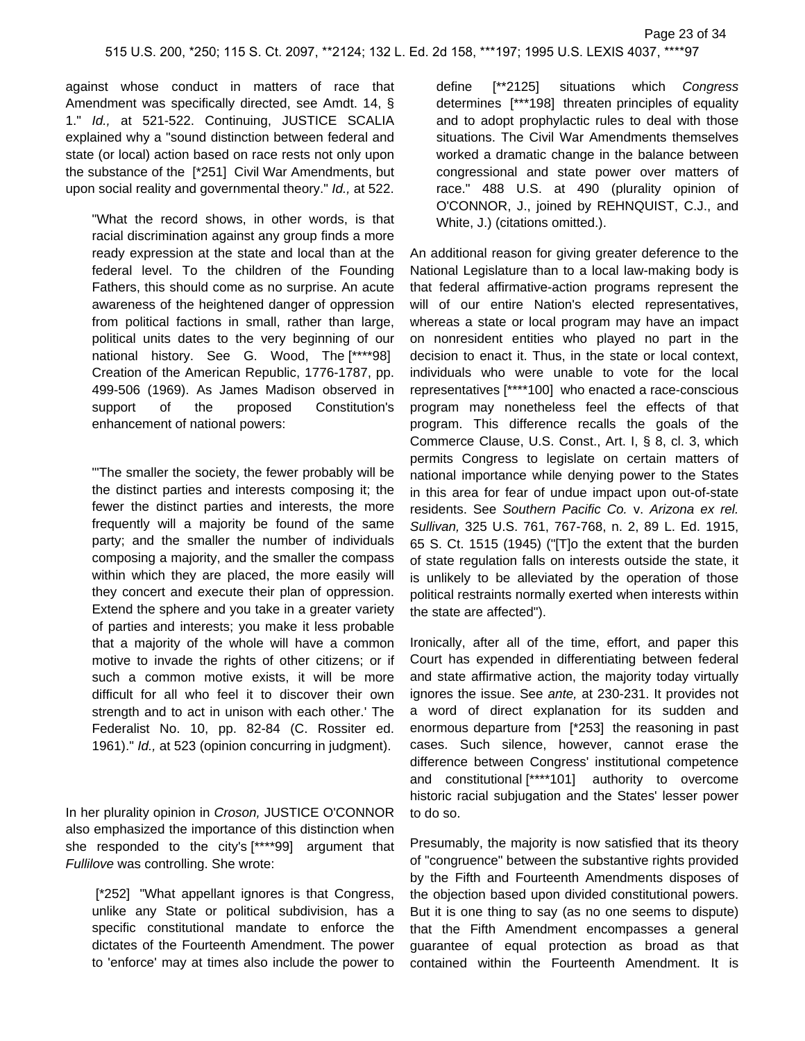against whose conduct in matters of race that Amendment was specifically directed, see Amdt. 14, § 1." Id., at 521-522. Continuing, JUSTICE SCALIA explained why a "sound distinction between federal and state (or local) action based on race rests not only upon the substance of the [\*251] Civil War Amendments, but upon social reality and governmental theory." Id., at 522.

"What the record shows, in other words, is that racial discrimination against any group finds a more ready expression at the state and local than at the federal level. To the children of the Founding Fathers, this should come as no surprise. An acute awareness of the heightened danger of oppression from political factions in small, rather than large, political units dates to the very beginning of our national history. See G. Wood, The [\*\*\*\*98] Creation of the American Republic, 1776-1787, pp. 499-506 (1969). As James Madison observed in support of the proposed Constitution's enhancement of national powers:

"'The smaller the society, the fewer probably will be the distinct parties and interests composing it; the fewer the distinct parties and interests, the more frequently will a majority be found of the same party; and the smaller the number of individuals composing a majority, and the smaller the compass within which they are placed, the more easily will they concert and execute their plan of oppression. Extend the sphere and you take in a greater variety of parties and interests; you make it less probable that a majority of the whole will have a common motive to invade the rights of other citizens; or if such a common motive exists, it will be more difficult for all who feel it to discover their own strength and to act in unison with each other.' The Federalist No. 10, pp. 82-84 (C. Rossiter ed. 1961)." Id., at 523 (opinion concurring in judgment).

In her plurality opinion in Croson, JUSTICE O'CONNOR also emphasized the importance of this distinction when she responded to the city's [\*\*\*\*99] argument that Fullilove was controlling. She wrote:

[\*252] "What appellant ignores is that Congress, unlike any State or political subdivision, has a specific constitutional mandate to enforce the dictates of the Fourteenth Amendment. The power to 'enforce' may at times also include the power to define [\*\*2125] situations which Congress determines [\*\*\*198] threaten principles of equality and to adopt prophylactic rules to deal with those situations. The Civil War Amendments themselves worked a dramatic change in the balance between congressional and state power over matters of race." 488 U.S. at 490 (plurality opinion of O'CONNOR, J., joined by REHNQUIST, C.J., and White, J.) (citations omitted.).

An additional reason for giving greater deference to the National Legislature than to a local law-making body is that federal affirmative-action programs represent the will of our entire Nation's elected representatives, whereas a state or local program may have an impact on nonresident entities who played no part in the decision to enact it. Thus, in the state or local context, individuals who were unable to vote for the local representatives [\*\*\*\*100] who enacted a race-conscious program may nonetheless feel the effects of that program. This difference recalls the goals of the Commerce Clause, U.S. Const., Art. I, § 8, cl. 3, which permits Congress to legislate on certain matters of national importance while denying power to the States in this area for fear of undue impact upon out-of-state residents. See Southern Pacific Co. v. Arizona ex rel. Sullivan, 325 U.S. 761, 767-768, n. 2, 89 L. Ed. 1915, 65 S. Ct. 1515 (1945) ("[T]o the extent that the burden of state regulation falls on interests outside the state, it is unlikely to be alleviated by the operation of those political restraints normally exerted when interests within the state are affected").

Ironically, after all of the time, effort, and paper this Court has expended in differentiating between federal and state affirmative action, the majority today virtually ignores the issue. See ante, at 230-231. It provides not a word of direct explanation for its sudden and enormous departure from [\*253] the reasoning in past cases. Such silence, however, cannot erase the difference between Congress' institutional competence and constitutional [\*\*\*\*101] authority to overcome historic racial subjugation and the States' lesser power to do so.

Presumably, the majority is now satisfied that its theory of "congruence" between the substantive rights provided by the Fifth and Fourteenth Amendments disposes of the objection based upon divided constitutional powers. But it is one thing to say (as no one seems to dispute) that the Fifth Amendment encompasses a general guarantee of equal protection as broad as that contained within the Fourteenth Amendment. It is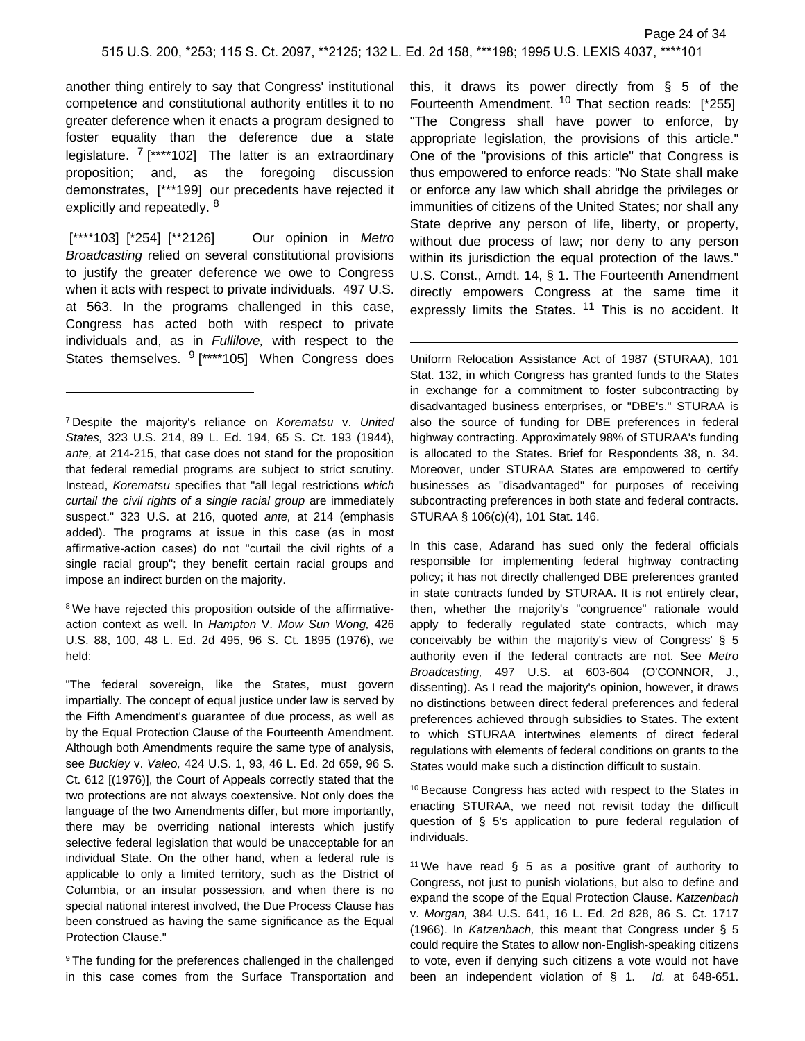another thing entirely to say that Congress' institutional competence and constitutional authority entitles it to no greater deference when it enacts a program designed to foster equality than the deference due a state legislature.  $7$  [\*\*\*\*102] The latter is an extraordinary proposition; and, as the foregoing discussion demonstrates, [\*\*\*199] our precedents have rejected it explicitly and repeatedly. <sup>8</sup>

[\*\*\*\*103] [\*254] [\*\*2126] Our opinion in Metro Broadcasting relied on several constitutional provisions to justify the greater deference we owe to Congress when it acts with respect to private individuals. 497 U.S. at 563. In the programs challenged in this case, Congress has acted both with respect to private individuals and, as in Fullilove, with respect to the States themselves. <sup>9</sup> [\*\*\*\*105] When Congress does

<sup>8</sup> We have rejected this proposition outside of the affirmativeaction context as well. In Hampton V. Mow Sun Wong, 426 U.S. 88, 100, 48 L. Ed. 2d 495, 96 S. Ct. 1895 (1976), we held:

"The federal sovereign, like the States, must govern impartially. The concept of equal justice under law is served by the Fifth Amendment's guarantee of due process, as well as by the Equal Protection Clause of the Fourteenth Amendment. Although both Amendments require the same type of analysis, see Buckley v. Valeo, 424 U.S. 1, 93, 46 L. Ed. 2d 659, 96 S. Ct. 612 [(1976)], the Court of Appeals correctly stated that the two protections are not always coextensive. Not only does the language of the two Amendments differ, but more importantly, there may be overriding national interests which justify selective federal legislation that would be unacceptable for an individual State. On the other hand, when a federal rule is applicable to only a limited territory, such as the District of Columbia, or an insular possession, and when there is no special national interest involved, the Due Process Clause has been construed as having the same significance as the Equal Protection Clause."

<sup>9</sup>The funding for the preferences challenged in the challenged in this case comes from the Surface Transportation and this, it draws its power directly from § 5 of the Fourteenth Amendment. <sup>10</sup> That section reads: [\*255] "The Congress shall have power to enforce, by appropriate legislation, the provisions of this article." One of the "provisions of this article" that Congress is thus empowered to enforce reads: "No State shall make or enforce any law which shall abridge the privileges or immunities of citizens of the United States; nor shall any State deprive any person of life, liberty, or property, without due process of law; nor deny to any person within its jurisdiction the equal protection of the laws." U.S. Const., Amdt. 14, § 1. The Fourteenth Amendment directly empowers Congress at the same time it expressly limits the States. <sup>11</sup> This is no accident. It

Uniform Relocation Assistance Act of 1987 (STURAA), 101 Stat. 132, in which Congress has granted funds to the States in exchange for a commitment to foster subcontracting by disadvantaged business enterprises, or "DBE's." STURAA is also the source of funding for DBE preferences in federal highway contracting. Approximately 98% of STURAA's funding is allocated to the States. Brief for Respondents 38, n. 34. Moreover, under STURAA States are empowered to certify businesses as "disadvantaged" for purposes of receiving subcontracting preferences in both state and federal contracts. STURAA § 106(c)(4), 101 Stat. 146.

In this case, Adarand has sued only the federal officials responsible for implementing federal highway contracting policy; it has not directly challenged DBE preferences granted in state contracts funded by STURAA. It is not entirely clear, then, whether the majority's "congruence" rationale would apply to federally regulated state contracts, which may conceivably be within the majority's view of Congress' § 5 authority even if the federal contracts are not. See Metro Broadcasting, 497 U.S. at 603-604 (O'CONNOR, J., dissenting). As I read the majority's opinion, however, it draws no distinctions between direct federal preferences and federal preferences achieved through subsidies to States. The extent to which STURAA intertwines elements of direct federal regulations with elements of federal conditions on grants to the States would make such a distinction difficult to sustain.

<sup>10</sup> Because Congress has acted with respect to the States in enacting STURAA, we need not revisit today the difficult question of § 5's application to pure federal regulation of individuals.

 $11$  We have read § 5 as a positive grant of authority to Congress, not just to punish violations, but also to define and expand the scope of the Equal Protection Clause. Katzenbach v. Morgan, 384 U.S. 641, 16 L. Ed. 2d 828, 86 S. Ct. 1717 (1966). In Katzenbach, this meant that Congress under  $\S$  5 could require the States to allow non-English-speaking citizens to vote, even if denying such citizens a vote would not have been an independent violation of § 1. Id. at 648-651.

<sup>&</sup>lt;sup>7</sup> Despite the majority's reliance on Korematsu v. United States, 323 U.S. 214, 89 L. Ed. 194, 65 S. Ct. 193 (1944), ante, at 214-215, that case does not stand for the proposition that federal remedial programs are subject to strict scrutiny. Instead, Korematsu specifies that "all legal restrictions which curtail the civil rights of a single racial group are immediately suspect." 323 U.S. at 216, quoted ante, at 214 (emphasis added). The programs at issue in this case (as in most affirmative-action cases) do not "curtail the civil rights of a single racial group"; they benefit certain racial groups and impose an indirect burden on the majority.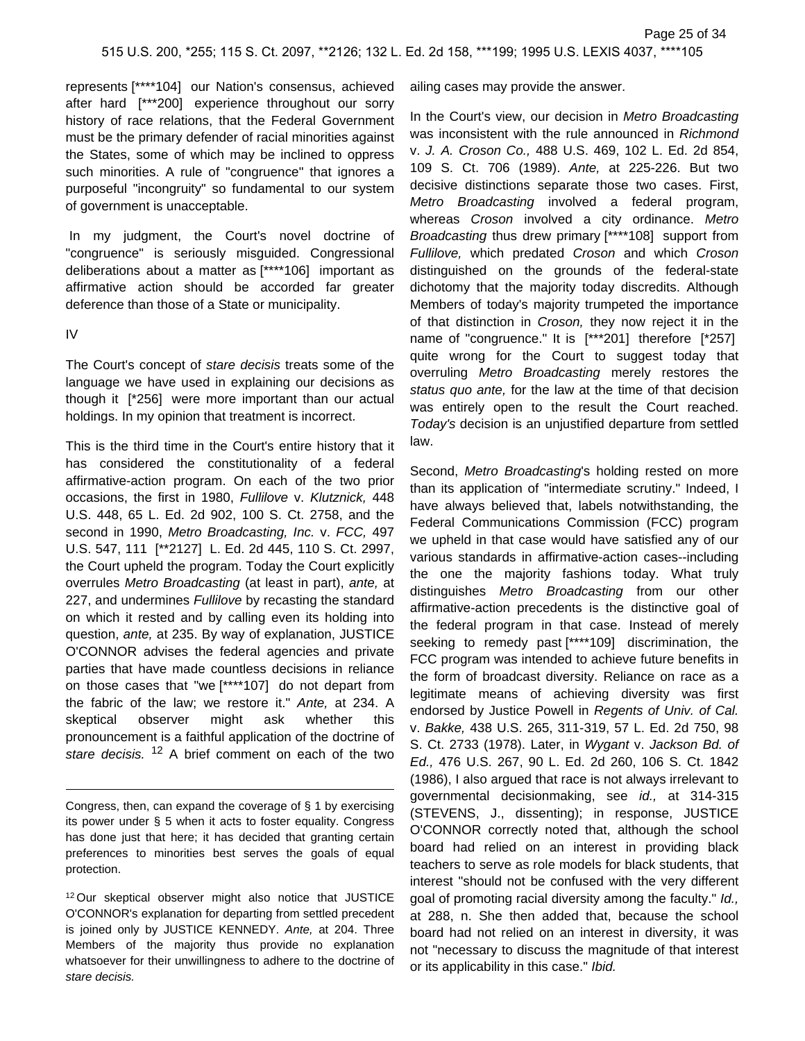represents [\*\*\*\*104] our Nation's consensus, achieved after hard [\*\*\*200] experience throughout our sorry history of race relations, that the Federal Government must be the primary defender of racial minorities against the States, some of which may be inclined to oppress such minorities. A rule of "congruence" that ignores a purposeful "incongruity" so fundamental to our system of government is unacceptable.

 In my judgment, the Court's novel doctrine of "congruence" is seriously misguided. Congressional deliberations about a matter as [\*\*\*\*106] important as affirmative action should be accorded far greater deference than those of a State or municipality.

#### IV

The Court's concept of stare decisis treats some of the language we have used in explaining our decisions as though it [\*256] were more important than our actual holdings. In my opinion that treatment is incorrect.

This is the third time in the Court's entire history that it has considered the constitutionality of a federal affirmative-action program. On each of the two prior occasions, the first in 1980, Fullilove v. Klutznick, 448 U.S. 448, 65 L. Ed. 2d 902, 100 S. Ct. 2758, and the second in 1990, Metro Broadcasting, Inc. v. FCC, 497 U.S. 547, 111 [\*\*2127] L. Ed. 2d 445, 110 S. Ct. 2997, the Court upheld the program. Today the Court explicitly overrules Metro Broadcasting (at least in part), ante, at 227, and undermines Fullilove by recasting the standard on which it rested and by calling even its holding into question, ante, at 235. By way of explanation, JUSTICE O'CONNOR advises the federal agencies and private parties that have made countless decisions in reliance on those cases that "we [\*\*\*\*107] do not depart from the fabric of the law; we restore it." Ante, at 234. A skeptical observer might ask whether this pronouncement is a faithful application of the doctrine of stare decisis.  $12$  A brief comment on each of the two

ailing cases may provide the answer.

In the Court's view, our decision in Metro Broadcasting was inconsistent with the rule announced in Richmond v. J. A. Croson Co., 488 U.S. 469, 102 L. Ed. 2d 854, 109 S. Ct. 706 (1989). Ante, at 225-226. But two decisive distinctions separate those two cases. First, Metro Broadcasting involved a federal program, whereas Croson involved a city ordinance. Metro Broadcasting thus drew primary [\*\*\*\*108] support from Fullilove, which predated Croson and which Croson distinguished on the grounds of the federal-state dichotomy that the majority today discredits. Although Members of today's majority trumpeted the importance of that distinction in Croson, they now reject it in the name of "congruence." It is [\*\*\*201] therefore [\*257] quite wrong for the Court to suggest today that overruling Metro Broadcasting merely restores the status quo ante, for the law at the time of that decision was entirely open to the result the Court reached. Today's decision is an unjustified departure from settled law.

Second, Metro Broadcasting's holding rested on more than its application of "intermediate scrutiny." Indeed, I have always believed that, labels notwithstanding, the Federal Communications Commission (FCC) program we upheld in that case would have satisfied any of our various standards in affirmative-action cases--including the one the majority fashions today. What truly distinguishes Metro Broadcasting from our other affirmative-action precedents is the distinctive goal of the federal program in that case. Instead of merely seeking to remedy past [\*\*\*\*109] discrimination, the FCC program was intended to achieve future benefits in the form of broadcast diversity. Reliance on race as a legitimate means of achieving diversity was first endorsed by Justice Powell in Regents of Univ. of Cal. v. Bakke, 438 U.S. 265, 311-319, 57 L. Ed. 2d 750, 98 S. Ct. 2733 (1978). Later, in Wygant v. Jackson Bd. of Ed., 476 U.S. 267, 90 L. Ed. 2d 260, 106 S. Ct. 1842 (1986), I also argued that race is not always irrelevant to governmental decisionmaking, see id., at 314-315 (STEVENS, J., dissenting); in response, JUSTICE O'CONNOR correctly noted that, although the school board had relied on an interest in providing black teachers to serve as role models for black students, that interest "should not be confused with the very different goal of promoting racial diversity among the faculty." Id., at 288, n. She then added that, because the school board had not relied on an interest in diversity, it was not "necessary to discuss the magnitude of that interest or its applicability in this case." Ibid.

Congress, then, can expand the coverage of § 1 by exercising its power under § 5 when it acts to foster equality. Congress has done just that here; it has decided that granting certain preferences to minorities best serves the goals of equal protection.

<sup>12</sup>Our skeptical observer might also notice that JUSTICE O'CONNOR's explanation for departing from settled precedent is joined only by JUSTICE KENNEDY. Ante, at 204. Three Members of the majority thus provide no explanation whatsoever for their unwillingness to adhere to the doctrine of stare decisis.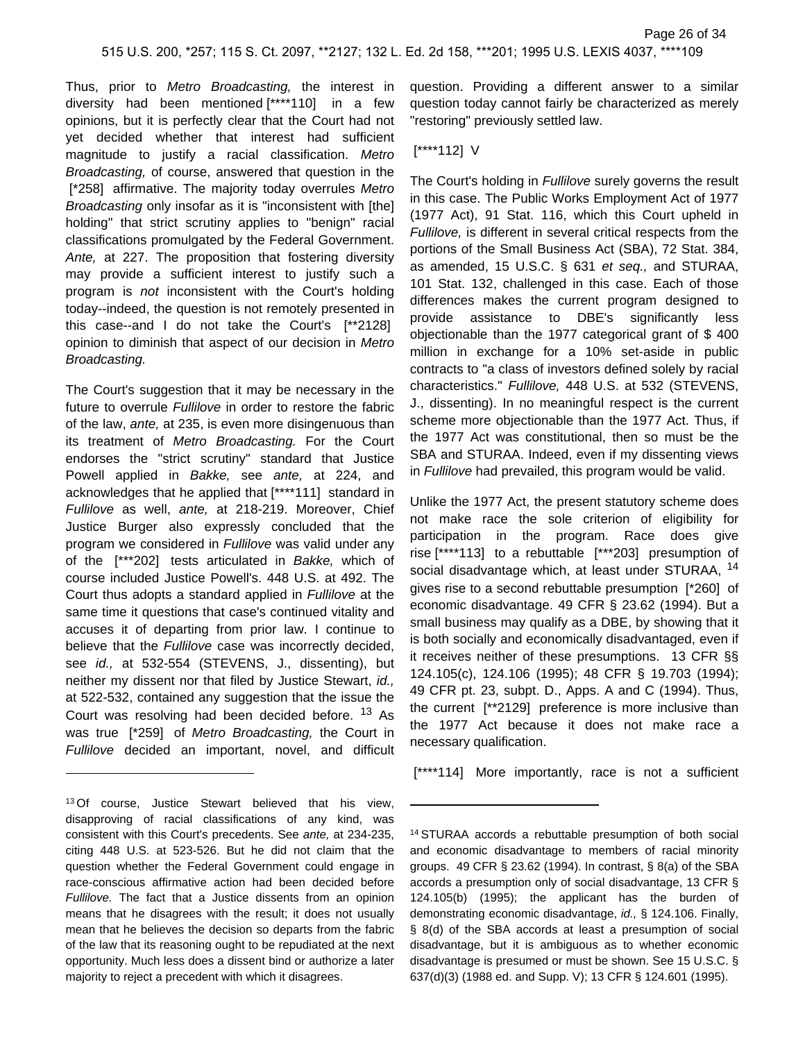Thus, prior to Metro Broadcasting, the interest in diversity had been mentioned [\*\*\*\*110] in a few opinions, but it is perfectly clear that the Court had not yet decided whether that interest had sufficient magnitude to justify a racial classification. Metro Broadcasting, of course, answered that question in the [\*258] affirmative. The majority today overrules Metro Broadcasting only insofar as it is "inconsistent with [the] holding" that strict scrutiny applies to "benign" racial classifications promulgated by the Federal Government. Ante, at 227. The proposition that fostering diversity may provide a sufficient interest to justify such a program is not inconsistent with the Court's holding today--indeed, the question is not remotely presented in this case--and I do not take the Court's [\*\*2128] opinion to diminish that aspect of our decision in Metro Broadcasting.

The Court's suggestion that it may be necessary in the future to overrule Fullilove in order to restore the fabric of the law, ante, at 235, is even more disingenuous than its treatment of Metro Broadcasting. For the Court endorses the "strict scrutiny" standard that Justice Powell applied in Bakke, see ante, at 224, and acknowledges that he applied that [\*\*\*\*111] standard in Fullilove as well, ante, at 218-219. Moreover, Chief Justice Burger also expressly concluded that the program we considered in Fullilove was valid under any of the [\*\*\*202] tests articulated in Bakke, which of course included Justice Powell's. 448 U.S. at 492. The Court thus adopts a standard applied in Fullilove at the same time it questions that case's continued vitality and accuses it of departing from prior law. I continue to believe that the Fullilove case was incorrectly decided, see id., at 532-554 (STEVENS, J., dissenting), but neither my dissent nor that filed by Justice Stewart, id., at 522-532, contained any suggestion that the issue the Court was resolving had been decided before. <sup>13</sup> As was true [\*259] of Metro Broadcasting, the Court in Fullilove decided an important, novel, and difficult

question. Providing a different answer to a similar question today cannot fairly be characterized as merely "restoring" previously settled law.

### [\*\*\*\*112] V

The Court's holding in Fullilove surely governs the result in this case. The Public Works Employment Act of 1977 (1977 Act), 91 Stat. 116, which this Court upheld in Fullilove, is different in several critical respects from the portions of the Small Business Act (SBA), 72 Stat. 384, as amended, 15 U.S.C. § 631 et seq., and STURAA, 101 Stat. 132, challenged in this case. Each of those differences makes the current program designed to provide assistance to DBE's significantly less objectionable than the 1977 categorical grant of \$ 400 million in exchange for a 10% set-aside in public contracts to "a class of investors defined solely by racial characteristics." Fullilove, 448 U.S. at 532 (STEVENS, J., dissenting). In no meaningful respect is the current scheme more objectionable than the 1977 Act. Thus, if the 1977 Act was constitutional, then so must be the SBA and STURAA. Indeed, even if my dissenting views in Fullilove had prevailed, this program would be valid.

Unlike the 1977 Act, the present statutory scheme does not make race the sole criterion of eligibility for participation in the program. Race does give rise [\*\*\*\*113] to a rebuttable [\*\*\*203] presumption of social disadvantage which, at least under STURAA, <sup>14</sup> gives rise to a second rebuttable presumption [\*260] of economic disadvantage. 49 CFR § 23.62 (1994). But a small business may qualify as a DBE, by showing that it is both socially and economically disadvantaged, even if it receives neither of these presumptions. 13 CFR §§ 124.105(c), 124.106 (1995); 48 CFR § 19.703 (1994); 49 CFR pt. 23, subpt. D., Apps. A and C (1994). Thus, the current [\*\*2129] preference is more inclusive than the 1977 Act because it does not make race a necessary qualification.

[\*\*\*\*114] More importantly, race is not a sufficient

<sup>&</sup>lt;sup>13</sup> Of course, Justice Stewart believed that his view, disapproving of racial classifications of any kind, was consistent with this Court's precedents. See ante, at 234-235, citing 448 U.S. at 523-526. But he did not claim that the question whether the Federal Government could engage in race-conscious affirmative action had been decided before Fullilove. The fact that a Justice dissents from an opinion means that he disagrees with the result; it does not usually mean that he believes the decision so departs from the fabric of the law that its reasoning ought to be repudiated at the next opportunity. Much less does a dissent bind or authorize a later majority to reject a precedent with which it disagrees.

<sup>14</sup>STURAA accords a rebuttable presumption of both social and economic disadvantage to members of racial minority groups. 49 CFR § 23.62 (1994). In contrast, § 8(a) of the SBA accords a presumption only of social disadvantage, 13 CFR § 124.105(b) (1995); the applicant has the burden of demonstrating economic disadvantage, id., § 124.106. Finally, § 8(d) of the SBA accords at least a presumption of social disadvantage, but it is ambiguous as to whether economic disadvantage is presumed or must be shown. See 15 U.S.C. § 637(d)(3) (1988 ed. and Supp. V); 13 CFR § 124.601 (1995).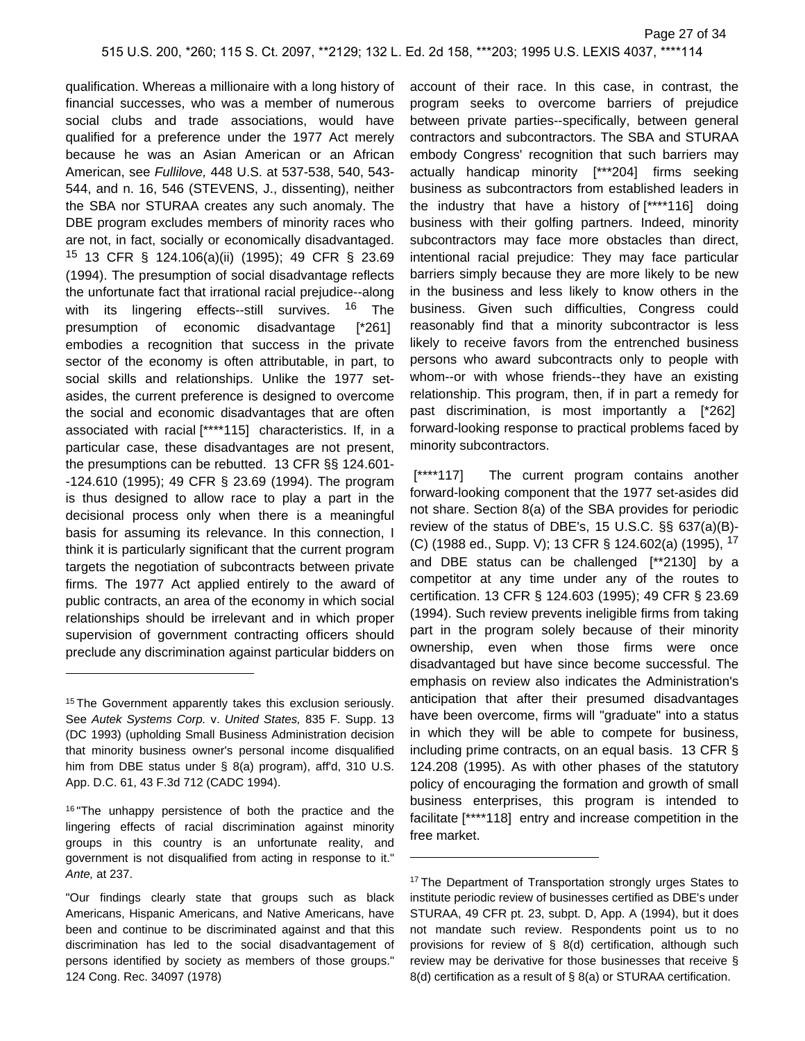qualification. Whereas a millionaire with a long history of financial successes, who was a member of numerous social clubs and trade associations, would have qualified for a preference under the 1977 Act merely because he was an Asian American or an African American, see Fullilove, 448 U.S. at 537-538, 540, 543- 544, and n. 16, 546 (STEVENS, J., dissenting), neither the SBA nor STURAA creates any such anomaly. The DBE program excludes members of minority races who are not, in fact, socially or economically disadvantaged. <sup>15</sup> 13 CFR § 124.106(a)(ii) (1995); 49 CFR § 23.69 (1994). The presumption of social disadvantage reflects the unfortunate fact that irrational racial prejudice--along with its lingering effects--still survives. <sup>16</sup> The presumption of economic disadvantage [\*261] embodies a recognition that success in the private sector of the economy is often attributable, in part, to social skills and relationships. Unlike the 1977 setasides, the current preference is designed to overcome the social and economic disadvantages that are often associated with racial [\*\*\*\*115] characteristics. If, in a particular case, these disadvantages are not present, the presumptions can be rebutted. 13 CFR §§ 124.601- -124.610 (1995); 49 CFR § 23.69 (1994). The program is thus designed to allow race to play a part in the decisional process only when there is a meaningful basis for assuming its relevance. In this connection, I think it is particularly significant that the current program targets the negotiation of subcontracts between private firms. The 1977 Act applied entirely to the award of public contracts, an area of the economy in which social relationships should be irrelevant and in which proper supervision of government contracting officers should preclude any discrimination against particular bidders on

account of their race. In this case, in contrast, the program seeks to overcome barriers of prejudice between private parties--specifically, between general contractors and subcontractors. The SBA and STURAA embody Congress' recognition that such barriers may actually handicap minority [\*\*\*204] firms seeking business as subcontractors from established leaders in the industry that have a history of [\*\*\*\*116] doing business with their golfing partners. Indeed, minority subcontractors may face more obstacles than direct, intentional racial prejudice: They may face particular barriers simply because they are more likely to be new in the business and less likely to know others in the business. Given such difficulties, Congress could reasonably find that a minority subcontractor is less likely to receive favors from the entrenched business persons who award subcontracts only to people with whom--or with whose friends--they have an existing relationship. This program, then, if in part a remedy for past discrimination, is most importantly a [\*262] forward-looking response to practical problems faced by minority subcontractors.

[\*\*\*\*117] The current program contains another forward-looking component that the 1977 set-asides did not share. Section 8(a) of the SBA provides for periodic review of the status of DBE's, 15 U.S.C. §§ 637(a)(B)- (C) (1988 ed., Supp. V); 13 CFR § 124.602(a) (1995), <sup>17</sup> and DBE status can be challenged [\*\*2130] by a competitor at any time under any of the routes to certification. 13 CFR § 124.603 (1995); 49 CFR § 23.69 (1994). Such review prevents ineligible firms from taking part in the program solely because of their minority ownership, even when those firms were once disadvantaged but have since become successful. The emphasis on review also indicates the Administration's anticipation that after their presumed disadvantages have been overcome, firms will "graduate" into a status in which they will be able to compete for business, including prime contracts, on an equal basis. 13 CFR § 124.208 (1995). As with other phases of the statutory policy of encouraging the formation and growth of small business enterprises, this program is intended to facilitate [\*\*\*\*118] entry and increase competition in the free market.

<sup>&</sup>lt;sup>15</sup> The Government apparently takes this exclusion seriously. See Autek Systems Corp. v. United States, 835 F. Supp. 13 (DC 1993) (upholding Small Business Administration decision that minority business owner's personal income disqualified him from DBE status under § 8(a) program), aff'd, 310 U.S. App. D.C. 61, 43 F.3d 712 (CADC 1994).

<sup>&</sup>lt;sup>16</sup> "The unhappy persistence of both the practice and the lingering effects of racial discrimination against minority groups in this country is an unfortunate reality, and government is not disqualified from acting in response to it." Ante, at 237.

<sup>&</sup>quot;Our findings clearly state that groups such as black Americans, Hispanic Americans, and Native Americans, have been and continue to be discriminated against and that this discrimination has led to the social disadvantagement of persons identified by society as members of those groups." 124 Cong. Rec. 34097 (1978)

<sup>&</sup>lt;sup>17</sup> The Department of Transportation strongly urges States to institute periodic review of businesses certified as DBE's under STURAA, 49 CFR pt. 23, subpt. D, App. A (1994), but it does not mandate such review. Respondents point us to no provisions for review of § 8(d) certification, although such review may be derivative for those businesses that receive § 8(d) certification as a result of § 8(a) or STURAA certification.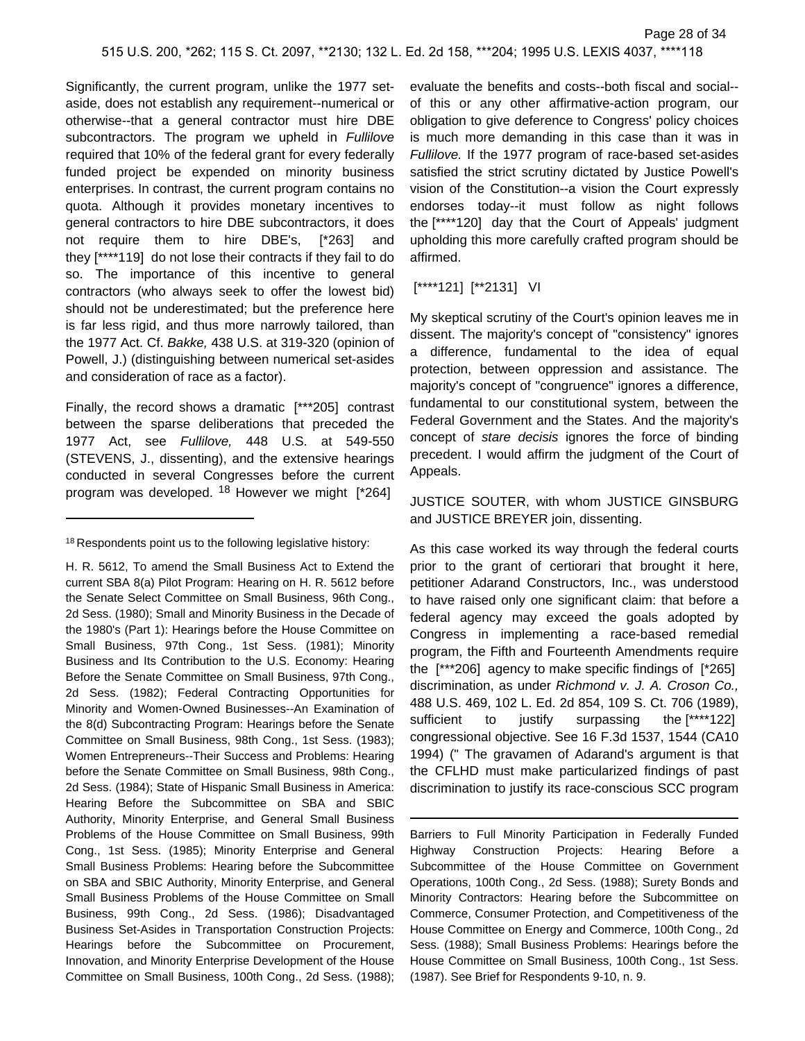Significantly, the current program, unlike the 1977 setaside, does not establish any requirement--numerical or otherwise--that a general contractor must hire DBE subcontractors. The program we upheld in Fullilove required that 10% of the federal grant for every federally funded project be expended on minority business enterprises. In contrast, the current program contains no quota. Although it provides monetary incentives to general contractors to hire DBE subcontractors, it does not require them to hire DBE's, [\*263] and they [\*\*\*\*119] do not lose their contracts if they fail to do so. The importance of this incentive to general contractors (who always seek to offer the lowest bid) should not be underestimated; but the preference here is far less rigid, and thus more narrowly tailored, than the 1977 Act. Cf. Bakke, 438 U.S. at 319-320 (opinion of Powell, J.) (distinguishing between numerical set-asides and consideration of race as a factor).

Finally, the record shows a dramatic [\*\*\*205] contrast between the sparse deliberations that preceded the 1977 Act, see Fullilove, 448 U.S. at 549-550 (STEVENS, J., dissenting), and the extensive hearings conducted in several Congresses before the current program was developed.  $18$  However we might [\*264]

evaluate the benefits and costs--both fiscal and social- of this or any other affirmative-action program, our obligation to give deference to Congress' policy choices is much more demanding in this case than it was in Fullilove. If the 1977 program of race-based set-asides satisfied the strict scrutiny dictated by Justice Powell's vision of the Constitution--a vision the Court expressly endorses today--it must follow as night follows the [\*\*\*\*120] day that the Court of Appeals' judgment upholding this more carefully crafted program should be affirmed.

# [\*\*\*\*121] [\*\*2131] VI

My skeptical scrutiny of the Court's opinion leaves me in dissent. The majority's concept of "consistency" ignores a difference, fundamental to the idea of equal protection, between oppression and assistance. The majority's concept of "congruence" ignores a difference, fundamental to our constitutional system, between the Federal Government and the States. And the majority's concept of stare decisis ignores the force of binding precedent. I would affirm the judgment of the Court of Appeals.

## JUSTICE SOUTER, with whom JUSTICE GINSBURG and JUSTICE BREYER join, dissenting.

As this case worked its way through the federal courts prior to the grant of certiorari that brought it here, petitioner Adarand Constructors, Inc., was understood to have raised only one significant claim: that before a federal agency may exceed the goals adopted by Congress in implementing a race-based remedial program, the Fifth and Fourteenth Amendments require the [\*\*\*206] agency to make specific findings of [\*265] discrimination, as under Richmond v. J. A. Croson Co., 488 U.S. 469, 102 L. Ed. 2d 854, 109 S. Ct. 706 (1989), sufficient to justify surpassing the [\*\*\*\*122] congressional objective. See 16 F.3d 1537, 1544 (CA10 1994) (" The gravamen of Adarand's argument is that the CFLHD must make particularized findings of past discrimination to justify its race-conscious SCC program

Barriers to Full Minority Participation in Federally Funded Highway Construction Projects: Hearing Before a Subcommittee of the House Committee on Government Operations, 100th Cong., 2d Sess. (1988); Surety Bonds and Minority Contractors: Hearing before the Subcommittee on Commerce, Consumer Protection, and Competitiveness of the House Committee on Energy and Commerce, 100th Cong., 2d Sess. (1988); Small Business Problems: Hearings before the House Committee on Small Business, 100th Cong., 1st Sess. (1987). See Brief for Respondents 9-10, n. 9.

<sup>18</sup> Respondents point us to the following legislative history:

H. R. 5612, To amend the Small Business Act to Extend the current SBA 8(a) Pilot Program: Hearing on H. R. 5612 before the Senate Select Committee on Small Business, 96th Cong., 2d Sess. (1980); Small and Minority Business in the Decade of the 1980's (Part 1): Hearings before the House Committee on Small Business, 97th Cong., 1st Sess. (1981); Minority Business and Its Contribution to the U.S. Economy: Hearing Before the Senate Committee on Small Business, 97th Cong., 2d Sess. (1982); Federal Contracting Opportunities for Minority and Women-Owned Businesses--An Examination of the 8(d) Subcontracting Program: Hearings before the Senate Committee on Small Business, 98th Cong., 1st Sess. (1983); Women Entrepreneurs--Their Success and Problems: Hearing before the Senate Committee on Small Business, 98th Cong., 2d Sess. (1984); State of Hispanic Small Business in America: Hearing Before the Subcommittee on SBA and SBIC Authority, Minority Enterprise, and General Small Business Problems of the House Committee on Small Business, 99th Cong., 1st Sess. (1985); Minority Enterprise and General Small Business Problems: Hearing before the Subcommittee on SBA and SBIC Authority, Minority Enterprise, and General Small Business Problems of the House Committee on Small Business, 99th Cong., 2d Sess. (1986); Disadvantaged Business Set-Asides in Transportation Construction Projects: Hearings before the Subcommittee on Procurement, Innovation, and Minority Enterprise Development of the House Committee on Small Business, 100th Cong., 2d Sess. (1988);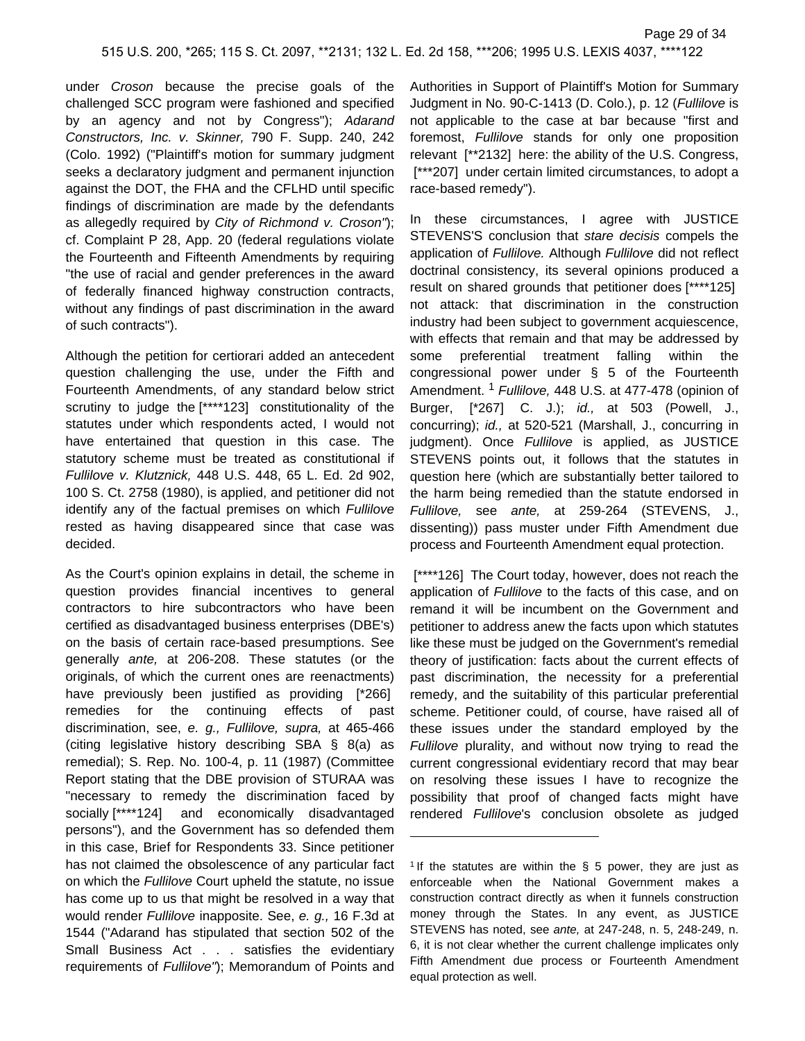under Croson because the precise goals of the challenged SCC program were fashioned and specified by an agency and not by Congress"); Adarand Constructors, Inc. v. Skinner, 790 F. Supp. 240, 242 (Colo. 1992) ("Plaintiff's motion for summary judgment seeks a declaratory judgment and permanent injunction against the DOT, the FHA and the CFLHD until specific findings of discrimination are made by the defendants as allegedly required by City of Richmond v. Croson"); cf. Complaint P 28, App. 20 (federal regulations violate the Fourteenth and Fifteenth Amendments by requiring "the use of racial and gender preferences in the award of federally financed highway construction contracts, without any findings of past discrimination in the award of such contracts").

Although the petition for certiorari added an antecedent question challenging the use, under the Fifth and Fourteenth Amendments, of any standard below strict scrutiny to judge the [\*\*\*\*123] constitutionality of the statutes under which respondents acted, I would not have entertained that question in this case. The statutory scheme must be treated as constitutional if Fullilove v. Klutznick, 448 U.S. 448, 65 L. Ed. 2d 902, 100 S. Ct. 2758 (1980), is applied, and petitioner did not identify any of the factual premises on which Fullilove rested as having disappeared since that case was decided.

As the Court's opinion explains in detail, the scheme in question provides financial incentives to general contractors to hire subcontractors who have been certified as disadvantaged business enterprises (DBE's) on the basis of certain race-based presumptions. See generally ante, at 206-208. These statutes (or the originals, of which the current ones are reenactments) have previously been justified as providing [\*266] remedies for the continuing effects of past discrimination, see, e. g., Fullilove, supra, at 465-466 (citing legislative history describing SBA § 8(a) as remedial); S. Rep. No. 100-4, p. 11 (1987) (Committee Report stating that the DBE provision of STURAA was "necessary to remedy the discrimination faced by socially [\*\*\*\*124] and economically disadvantaged persons"), and the Government has so defended them in this case, Brief for Respondents 33. Since petitioner has not claimed the obsolescence of any particular fact on which the Fullilove Court upheld the statute, no issue has come up to us that might be resolved in a way that would render Fullilove inapposite. See, e. g., 16 F.3d at 1544 ("Adarand has stipulated that section 502 of the Small Business Act . . . satisfies the evidentiary requirements of Fullilove"); Memorandum of Points and

Authorities in Support of Plaintiff's Motion for Summary Judgment in No. 90-C-1413 (D. Colo.), p. 12 (Fullilove is not applicable to the case at bar because "first and foremost, Fullilove stands for only one proposition relevant [\*\*2132] here: the ability of the U.S. Congress, [\*\*\*207] under certain limited circumstances, to adopt a race-based remedy").

In these circumstances, I agree with JUSTICE STEVENS'S conclusion that stare decisis compels the application of Fullilove. Although Fullilove did not reflect doctrinal consistency, its several opinions produced a result on shared grounds that petitioner does [\*\*\*\*125] not attack: that discrimination in the construction industry had been subject to government acquiescence, with effects that remain and that may be addressed by some preferential treatment falling within the congressional power under § 5 of the Fourteenth Amendment. <sup>1</sup> Fullilove, 448 U.S. at 477-478 (opinion of Burger, [\*267] C. J.); id., at 503 (Powell, J., concurring); id., at 520-521 (Marshall, J., concurring in judgment). Once Fullilove is applied, as JUSTICE STEVENS points out, it follows that the statutes in question here (which are substantially better tailored to the harm being remedied than the statute endorsed in Fullilove, see ante, at 259-264 (STEVENS, J., dissenting)) pass muster under Fifth Amendment due process and Fourteenth Amendment equal protection.

[\*\*\*\*126] The Court today, however, does not reach the application of Fullilove to the facts of this case, and on remand it will be incumbent on the Government and petitioner to address anew the facts upon which statutes like these must be judged on the Government's remedial theory of justification: facts about the current effects of past discrimination, the necessity for a preferential remedy, and the suitability of this particular preferential scheme. Petitioner could, of course, have raised all of these issues under the standard employed by the Fullilove plurality, and without now trying to read the current congressional evidentiary record that may bear on resolving these issues I have to recognize the possibility that proof of changed facts might have rendered Fullilove's conclusion obsolete as judged

<sup>&</sup>lt;sup>1</sup> If the statutes are within the  $\S$  5 power, they are just as enforceable when the National Government makes a construction contract directly as when it funnels construction money through the States. In any event, as JUSTICE STEVENS has noted, see ante, at 247-248, n. 5, 248-249, n. 6, it is not clear whether the current challenge implicates only Fifth Amendment due process or Fourteenth Amendment equal protection as well.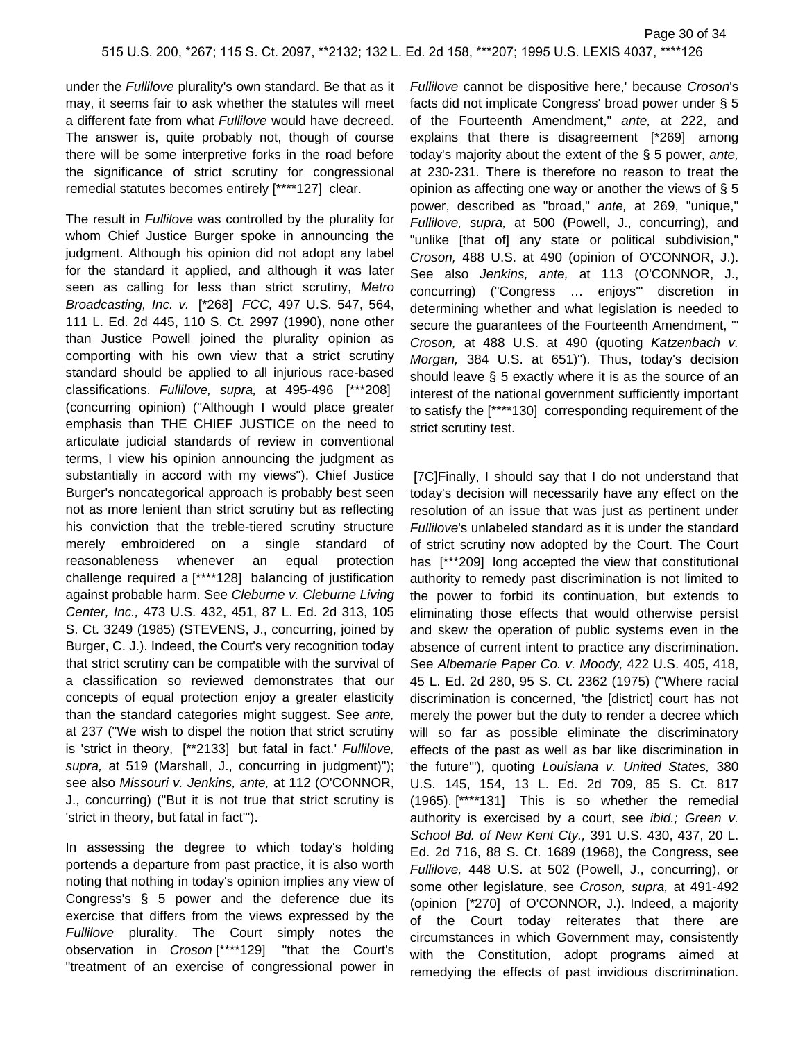under the Fullilove plurality's own standard. Be that as it may, it seems fair to ask whether the statutes will meet a different fate from what Fullilove would have decreed. The answer is, quite probably not, though of course there will be some interpretive forks in the road before the significance of strict scrutiny for congressional remedial statutes becomes entirely [\*\*\*\*127] clear.

The result in Fullilove was controlled by the plurality for whom Chief Justice Burger spoke in announcing the judgment. Although his opinion did not adopt any label for the standard it applied, and although it was later seen as calling for less than strict scrutiny, Metro Broadcasting, Inc. v. [\*268] FCC, 497 U.S. 547, 564, 111 L. Ed. 2d 445, 110 S. Ct. 2997 (1990), none other than Justice Powell joined the plurality opinion as comporting with his own view that a strict scrutiny standard should be applied to all injurious race-based classifications. Fullilove, supra, at 495-496 [\*\*\*208] (concurring opinion) ("Although I would place greater emphasis than THE CHIEF JUSTICE on the need to articulate judicial standards of review in conventional terms, I view his opinion announcing the judgment as substantially in accord with my views"). Chief Justice Burger's noncategorical approach is probably best seen not as more lenient than strict scrutiny but as reflecting his conviction that the treble-tiered scrutiny structure merely embroidered on a single standard of reasonableness whenever an equal protection challenge required a [\*\*\*\*128] balancing of justification against probable harm. See Cleburne v. Cleburne Living Center, Inc., 473 U.S. 432, 451, 87 L. Ed. 2d 313, 105 S. Ct. 3249 (1985) (STEVENS, J., concurring, joined by Burger, C. J.). Indeed, the Court's very recognition today that strict scrutiny can be compatible with the survival of a classification so reviewed demonstrates that our concepts of equal protection enjoy a greater elasticity than the standard categories might suggest. See ante, at 237 ("We wish to dispel the notion that strict scrutiny is 'strict in theory, [\*\*2133] but fatal in fact.' Fullilove, supra, at 519 (Marshall, J., concurring in judgment)"); see also Missouri v. Jenkins, ante, at 112 (O'CONNOR, J., concurring) ("But it is not true that strict scrutiny is 'strict in theory, but fatal in fact'").

In assessing the degree to which today's holding portends a departure from past practice, it is also worth noting that nothing in today's opinion implies any view of Congress's § 5 power and the deference due its exercise that differs from the views expressed by the Fullilove plurality. The Court simply notes the observation in Croson [\*\*\*\*129] "that the Court's "treatment of an exercise of congressional power in

Fullilove cannot be dispositive here,' because Croson's facts did not implicate Congress' broad power under § 5 of the Fourteenth Amendment," ante, at 222, and explains that there is disagreement [\*269] among today's majority about the extent of the § 5 power, ante, at 230-231. There is therefore no reason to treat the opinion as affecting one way or another the views of § 5 power, described as "broad," ante, at 269, "unique," Fullilove, supra, at 500 (Powell, J., concurring), and "unlike [that of] any state or political subdivision," Croson, 488 U.S. at 490 (opinion of O'CONNOR, J.). See also Jenkins, ante, at 113 (O'CONNOR, J., concurring) ("Congress … enjoys'" discretion in determining whether and what legislation is needed to secure the guarantees of the Fourteenth Amendment, "' Croson, at 488 U.S. at 490 (quoting Katzenbach v. Morgan, 384 U.S. at 651)"). Thus, today's decision should leave § 5 exactly where it is as the source of an interest of the national government sufficiently important to satisfy the [\*\*\*\*130] corresponding requirement of the strict scrutiny test.

 [7C]Finally, I should say that I do not understand that today's decision will necessarily have any effect on the resolution of an issue that was just as pertinent under Fullilove's unlabeled standard as it is under the standard of strict scrutiny now adopted by the Court. The Court has [\*\*\*209] long accepted the view that constitutional authority to remedy past discrimination is not limited to the power to forbid its continuation, but extends to eliminating those effects that would otherwise persist and skew the operation of public systems even in the absence of current intent to practice any discrimination. See Albemarle Paper Co. v. Moody, 422 U.S. 405, 418, 45 L. Ed. 2d 280, 95 S. Ct. 2362 (1975) ("Where racial discrimination is concerned, 'the [district] court has not merely the power but the duty to render a decree which will so far as possible eliminate the discriminatory effects of the past as well as bar like discrimination in the future'"), quoting Louisiana v. United States, 380 U.S. 145, 154, 13 L. Ed. 2d 709, 85 S. Ct. 817 (1965). [\*\*\*\*131] This is so whether the remedial authority is exercised by a court, see *ibid.; Green v.* School Bd. of New Kent Cty., 391 U.S. 430, 437, 20 L. Ed. 2d 716, 88 S. Ct. 1689 (1968), the Congress, see Fullilove, 448 U.S. at 502 (Powell, J., concurring), or some other legislature, see Croson, supra, at 491-492 (opinion [\*270] of O'CONNOR, J.). Indeed, a majority of the Court today reiterates that there are circumstances in which Government may, consistently with the Constitution, adopt programs aimed at remedying the effects of past invidious discrimination.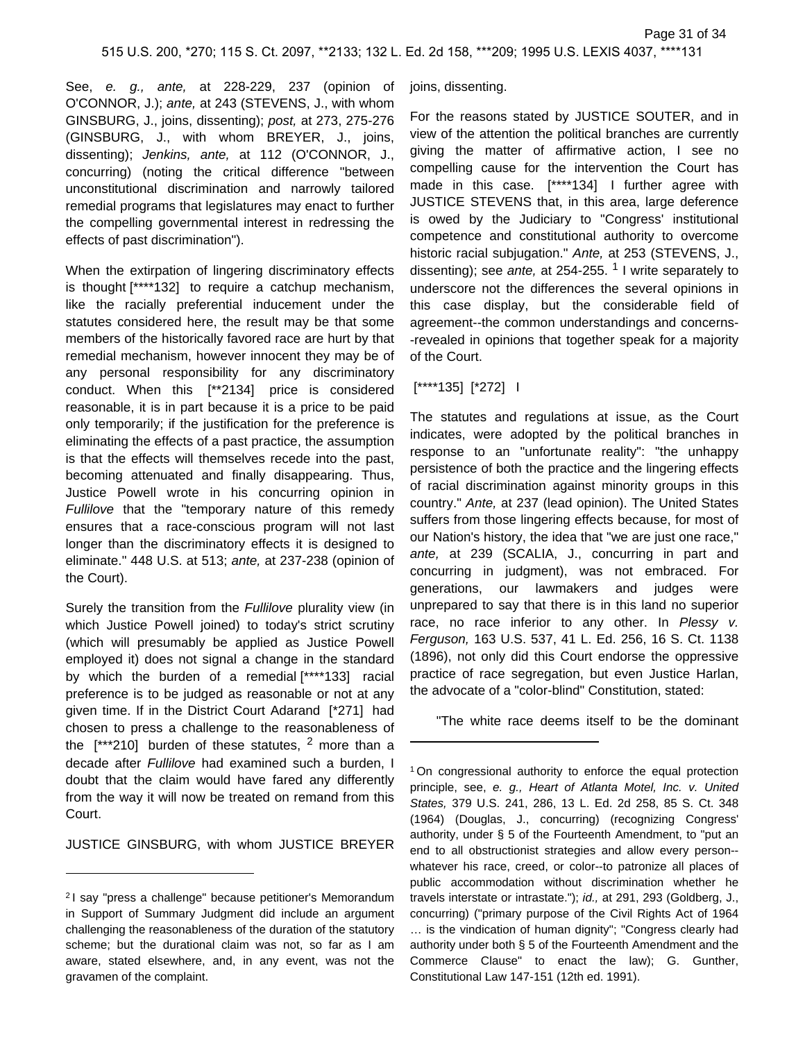See, e. g., ante, at 228-229, 237 (opinion of O'CONNOR, J.); ante, at 243 (STEVENS, J., with whom GINSBURG, J., joins, dissenting); post, at 273, 275-276 (GINSBURG, J., with whom BREYER, J., joins, dissenting); Jenkins, ante, at 112 (O'CONNOR, J., concurring) (noting the critical difference "between unconstitutional discrimination and narrowly tailored remedial programs that legislatures may enact to further the compelling governmental interest in redressing the effects of past discrimination").

When the extirpation of lingering discriminatory effects is thought [\*\*\*\*132] to require a catchup mechanism, like the racially preferential inducement under the statutes considered here, the result may be that some members of the historically favored race are hurt by that remedial mechanism, however innocent they may be of any personal responsibility for any discriminatory conduct. When this [\*\*2134] price is considered reasonable, it is in part because it is a price to be paid only temporarily; if the justification for the preference is eliminating the effects of a past practice, the assumption is that the effects will themselves recede into the past, becoming attenuated and finally disappearing. Thus, Justice Powell wrote in his concurring opinion in Fullilove that the "temporary nature of this remedy ensures that a race-conscious program will not last longer than the discriminatory effects it is designed to eliminate." 448 U.S. at 513; ante, at 237-238 (opinion of the Court).

Surely the transition from the Fullilove plurality view (in which Justice Powell joined) to today's strict scrutiny (which will presumably be applied as Justice Powell employed it) does not signal a change in the standard by which the burden of a remedial [\*\*\*\*133] racial preference is to be judged as reasonable or not at any given time. If in the District Court Adarand [\*271] had chosen to press a challenge to the reasonableness of the  $[^{***}210]$  burden of these statutes,  $^2$  more than a decade after Fullilove had examined such a burden, I doubt that the claim would have fared any differently from the way it will now be treated on remand from this Court.

JUSTICE GINSBURG, with whom JUSTICE BREYER

joins, dissenting.

For the reasons stated by JUSTICE SOUTER, and in view of the attention the political branches are currently giving the matter of affirmative action, I see no compelling cause for the intervention the Court has made in this case. [\*\*\*\*134] I further agree with JUSTICE STEVENS that, in this area, large deference is owed by the Judiciary to "Congress' institutional competence and constitutional authority to overcome historic racial subjugation." Ante, at 253 (STEVENS, J., dissenting); see *ante,* at 254-255. <sup>1</sup> I write separately to underscore not the differences the several opinions in this case display, but the considerable field of agreement--the common understandings and concerns- -revealed in opinions that together speak for a majority of the Court.

Page 31 of 34

### [\*\*\*\*135] [\*272] I

The statutes and regulations at issue, as the Court indicates, were adopted by the political branches in response to an "unfortunate reality": "the unhappy persistence of both the practice and the lingering effects of racial discrimination against minority groups in this country." Ante, at 237 (lead opinion). The United States suffers from those lingering effects because, for most of our Nation's history, the idea that "we are just one race," ante, at 239 (SCALIA, J., concurring in part and concurring in judgment), was not embraced. For generations, our lawmakers and judges were unprepared to say that there is in this land no superior race, no race inferior to any other. In Plessy v. Ferguson, 163 U.S. 537, 41 L. Ed. 256, 16 S. Ct. 1138 (1896), not only did this Court endorse the oppressive practice of race segregation, but even Justice Harlan, the advocate of a "color-blind" Constitution, stated:

"The white race deems itself to be the dominant

<sup>2</sup>I say "press a challenge" because petitioner's Memorandum in Support of Summary Judgment did include an argument challenging the reasonableness of the duration of the statutory scheme; but the durational claim was not, so far as I am aware, stated elsewhere, and, in any event, was not the gravamen of the complaint.

<sup>&</sup>lt;sup>1</sup> On congressional authority to enforce the equal protection principle, see, e. g., Heart of Atlanta Motel, Inc. v. United States, 379 U.S. 241, 286, 13 L. Ed. 2d 258, 85 S. Ct. 348 (1964) (Douglas, J., concurring) (recognizing Congress' authority, under § 5 of the Fourteenth Amendment, to "put an end to all obstructionist strategies and allow every person- whatever his race, creed, or color--to patronize all places of public accommodation without discrimination whether he travels interstate or intrastate."); id., at 291, 293 (Goldberg, J., concurring) ("primary purpose of the Civil Rights Act of 1964 … is the vindication of human dignity"; "Congress clearly had authority under both § 5 of the Fourteenth Amendment and the Commerce Clause" to enact the law); G. Gunther, Constitutional Law 147-151 (12th ed. 1991).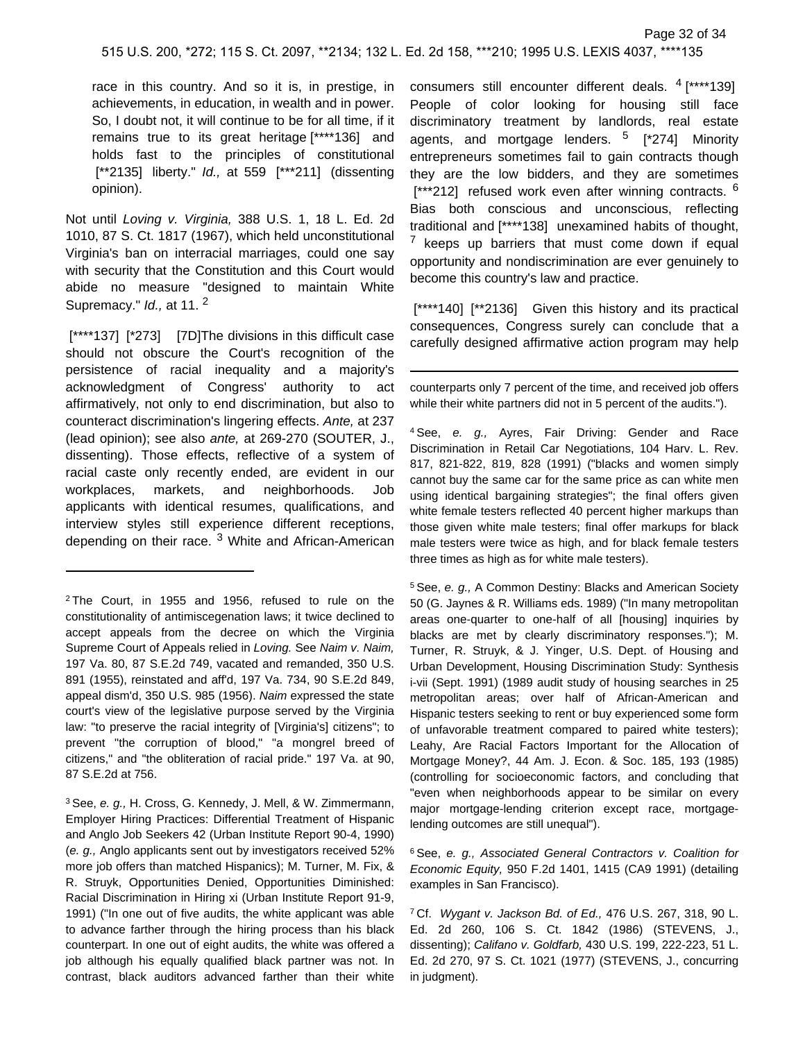race in this country. And so it is, in prestige, in achievements, in education, in wealth and in power. So, I doubt not, it will continue to be for all time, if it remains true to its great heritage [\*\*\*\*136] and holds fast to the principles of constitutional [\*\*2135] liberty." *ld.,* at 559 [\*\*\*211] (dissenting opinion).

Not until Loving v. Virginia, 388 U.S. 1, 18 L. Ed. 2d 1010, 87 S. Ct. 1817 (1967), which held unconstitutional Virginia's ban on interracial marriages, could one say with security that the Constitution and this Court would abide no measure "designed to maintain White Supremacy." Id., at 11. <sup>2</sup>

[\*\*\*\*137] [\*273] [7D]The divisions in this difficult case should not obscure the Court's recognition of the persistence of racial inequality and a majority's acknowledgment of Congress' authority to act affirmatively, not only to end discrimination, but also to counteract discrimination's lingering effects. Ante, at 237 (lead opinion); see also ante, at 269-270 (SOUTER, J., dissenting). Those effects, reflective of a system of racial caste only recently ended, are evident in our workplaces, markets, and neighborhoods. Job applicants with identical resumes, qualifications, and interview styles still experience different receptions, depending on their race. <sup>3</sup> White and African-American

<sup>3</sup>See, e. g., H. Cross, G. Kennedy, J. Mell, & W. Zimmermann, Employer Hiring Practices: Differential Treatment of Hispanic and Anglo Job Seekers 42 (Urban Institute Report 90-4, 1990) (e. g., Anglo applicants sent out by investigators received 52% more job offers than matched Hispanics); M. Turner, M. Fix, & R. Struyk, Opportunities Denied, Opportunities Diminished: Racial Discrimination in Hiring xi (Urban Institute Report 91-9, 1991) ("In one out of five audits, the white applicant was able to advance farther through the hiring process than his black counterpart. In one out of eight audits, the white was offered a job although his equally qualified black partner was not. In contrast, black auditors advanced farther than their white

consumers still encounter different deals. <sup>4</sup> [\*\*\*\*139] People of color looking for housing still face discriminatory treatment by landlords, real estate agents, and mortgage lenders. <sup>5</sup> [\*274] Minority entrepreneurs sometimes fail to gain contracts though they are the low bidders, and they are sometimes  $[$ \*\*\*212] refused work even after winning contracts.  $6$ Bias both conscious and unconscious, reflecting traditional and [\*\*\*\*138] unexamined habits of thought,  $7$  keeps up barriers that must come down if equal opportunity and nondiscrimination are ever genuinely to become this country's law and practice.

Page 32 of 34

[\*\*\*\*140] [\*\*2136] Given this history and its practical consequences, Congress surely can conclude that a carefully designed affirmative action program may help

counterparts only 7 percent of the time, and received job offers while their white partners did not in 5 percent of the audits.").

<sup>4</sup> See, e. g., Ayres, Fair Driving: Gender and Race Discrimination in Retail Car Negotiations, 104 Harv. L. Rev. 817, 821-822, 819, 828 (1991) ("blacks and women simply cannot buy the same car for the same price as can white men using identical bargaining strategies"; the final offers given white female testers reflected 40 percent higher markups than those given white male testers; final offer markups for black male testers were twice as high, and for black female testers three times as high as for white male testers).

<sup>5</sup> See, e. q., A Common Destiny: Blacks and American Society 50 (G. Jaynes & R. Williams eds. 1989) ("In many metropolitan areas one-quarter to one-half of all [housing] inquiries by blacks are met by clearly discriminatory responses."); M. Turner, R. Struyk, & J. Yinger, U.S. Dept. of Housing and Urban Development, Housing Discrimination Study: Synthesis i-vii (Sept. 1991) (1989 audit study of housing searches in 25 metropolitan areas; over half of African-American and Hispanic testers seeking to rent or buy experienced some form of unfavorable treatment compared to paired white testers); Leahy, Are Racial Factors Important for the Allocation of Mortgage Money?, 44 Am. J. Econ. & Soc. 185, 193 (1985) (controlling for socioeconomic factors, and concluding that "even when neighborhoods appear to be similar on every major mortgage-lending criterion except race, mortgagelending outcomes are still unequal").

 $6$  See, e. g., Associated General Contractors v. Coalition for Economic Equity, 950 F.2d 1401, 1415 (CA9 1991) (detailing examples in San Francisco).

<sup>2</sup>The Court, in 1955 and 1956, refused to rule on the constitutionality of antimiscegenation laws; it twice declined to accept appeals from the decree on which the Virginia Supreme Court of Appeals relied in Loving. See Naim v. Naim, 197 Va. 80, 87 S.E.2d 749, vacated and remanded, 350 U.S. 891 (1955), reinstated and aff'd, 197 Va. 734, 90 S.E.2d 849, appeal dism'd, 350 U.S. 985 (1956). Naim expressed the state court's view of the legislative purpose served by the Virginia law: "to preserve the racial integrity of [Virginia's] citizens"; to prevent "the corruption of blood," "a mongrel breed of citizens," and "the obliteration of racial pride." 197 Va. at 90, 87 S.E.2d at 756.

<sup>7</sup>Cf. Wygant v. Jackson Bd. of Ed., 476 U.S. 267, 318, 90 L. Ed. 2d 260, 106 S. Ct. 1842 (1986) (STEVENS, J., dissenting); Califano v. Goldfarb, 430 U.S. 199, 222-223, 51 L. Ed. 2d 270, 97 S. Ct. 1021 (1977) (STEVENS, J., concurring in judgment).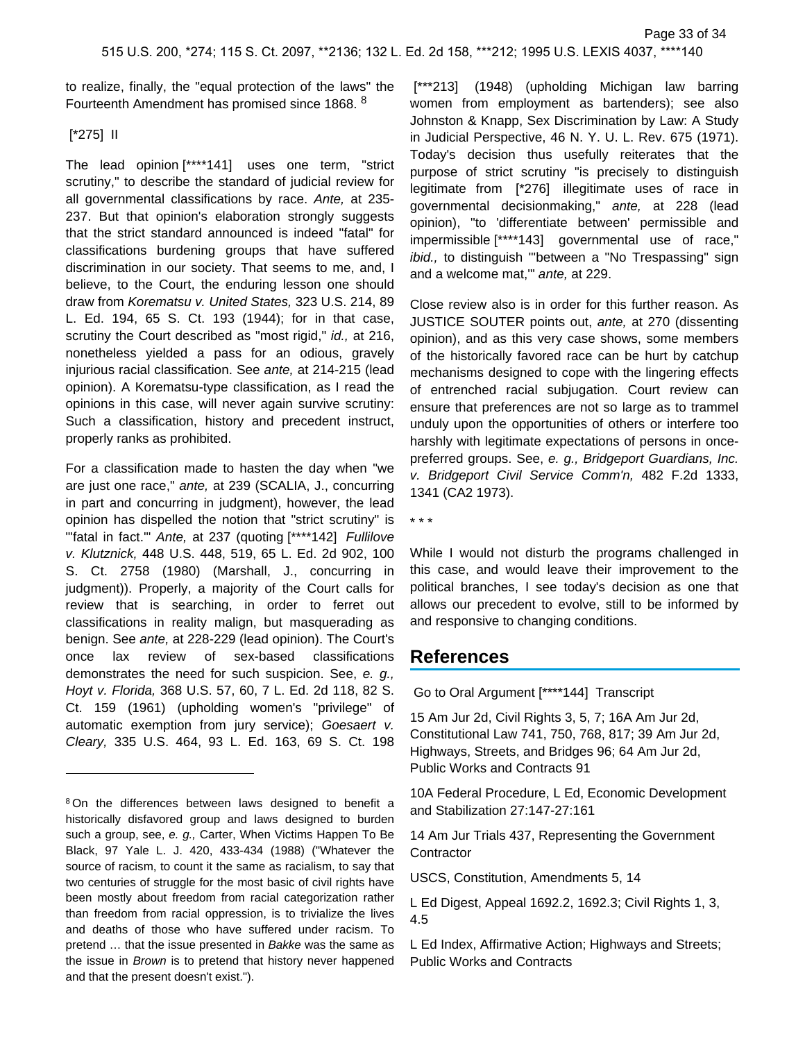to realize, finally, the "equal protection of the laws" the Fourteenth Amendment has promised since 1868. <sup>8</sup>

## [\*275] II

The lead opinion [\*\*\*\*141] uses one term, "strict scrutiny," to describe the standard of judicial review for all governmental classifications by race. Ante, at 235- 237. But that opinion's elaboration strongly suggests that the strict standard announced is indeed "fatal" for classifications burdening groups that have suffered discrimination in our society. That seems to me, and, I believe, to the Court, the enduring lesson one should draw from Korematsu v. United States, 323 U.S. 214, 89 L. Ed. 194, 65 S. Ct. 193 (1944); for in that case, scrutiny the Court described as "most rigid," *id.*, at 216, nonetheless yielded a pass for an odious, gravely injurious racial classification. See ante, at 214-215 (lead opinion). A Korematsu-type classification, as I read the opinions in this case, will never again survive scrutiny: Such a classification, history and precedent instruct, properly ranks as prohibited.

For a classification made to hasten the day when "we are just one race," ante, at 239 (SCALIA, J., concurring in part and concurring in judgment), however, the lead opinion has dispelled the notion that "strict scrutiny" is "'fatal in fact.'" Ante, at 237 (quoting [\*\*\*\*142] Fullilove v. Klutznick, 448 U.S. 448, 519, 65 L. Ed. 2d 902, 100 S. Ct. 2758 (1980) (Marshall, J., concurring in judgment)). Properly, a majority of the Court calls for review that is searching, in order to ferret out classifications in reality malign, but masquerading as benign. See ante, at 228-229 (lead opinion). The Court's once lax review of sex-based classifications demonstrates the need for such suspicion. See, e. g., Hoyt v. Florida, 368 U.S. 57, 60, 7 L. Ed. 2d 118, 82 S. Ct. 159 (1961) (upholding women's "privilege" of automatic exemption from jury service); Goesaert v. Cleary, 335 U.S. 464, 93 L. Ed. 163, 69 S. Ct. 198

[\*\*\*213] (1948) (upholding Michigan law barring women from employment as bartenders); see also Johnston & Knapp, Sex Discrimination by Law: A Study in Judicial Perspective, 46 N. Y. U. L. Rev. 675 (1971). Today's decision thus usefully reiterates that the purpose of strict scrutiny "is precisely to distinguish legitimate from [\*276] illegitimate uses of race in governmental decisionmaking," ante, at 228 (lead opinion), "to 'differentiate between' permissible and impermissible [\*\*\*\*143] governmental use of race," ibid., to distinguish "'between a "No Trespassing" sign and a welcome mat,'" ante, at 229.

Page 33 of 34

Close review also is in order for this further reason. As JUSTICE SOUTER points out, ante, at 270 (dissenting opinion), and as this very case shows, some members of the historically favored race can be hurt by catchup mechanisms designed to cope with the lingering effects of entrenched racial subjugation. Court review can ensure that preferences are not so large as to trammel unduly upon the opportunities of others or interfere too harshly with legitimate expectations of persons in oncepreferred groups. See, e. g., Bridgeport Guardians, Inc. v. Bridgeport Civil Service Comm'n, 482 F.2d 1333, 1341 (CA2 1973).

\* \* \*

While I would not disturb the programs challenged in this case, and would leave their improvement to the political branches, I see today's decision as one that allows our precedent to evolve, still to be informed by and responsive to changing conditions.

# **References**

Go to Oral Argument [\*\*\*\*144] Transcript

15 Am Jur 2d, Civil Rights 3, 5, 7; 16A Am Jur 2d, Constitutional Law 741, 750, 768, 817; 39 Am Jur 2d, Highways, Streets, and Bridges 96; 64 Am Jur 2d, Public Works and Contracts 91

10A Federal Procedure, L Ed, Economic Development and Stabilization 27:147-27:161

14 Am Jur Trials 437, Representing the Government **Contractor** 

USCS, Constitution, Amendments 5, 14

L Ed Digest, Appeal 1692.2, 1692.3; Civil Rights 1, 3, 4.5

L Ed Index, Affirmative Action; Highways and Streets; Public Works and Contracts

<sup>&</sup>lt;sup>8</sup>On the differences between laws designed to benefit a historically disfavored group and laws designed to burden such a group, see, e. g., Carter, When Victims Happen To Be Black, 97 Yale L. J. 420, 433-434 (1988) ("Whatever the source of racism, to count it the same as racialism, to say that two centuries of struggle for the most basic of civil rights have been mostly about freedom from racial categorization rather than freedom from racial oppression, is to trivialize the lives and deaths of those who have suffered under racism. To pretend ... that the issue presented in Bakke was the same as the issue in Brown is to pretend that history never happened and that the present doesn't exist.").